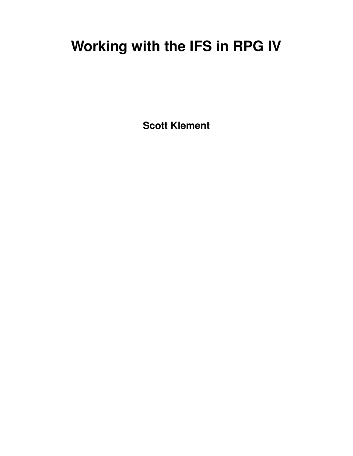# **Working with the IFS in RPG IV**

**Scott Klement**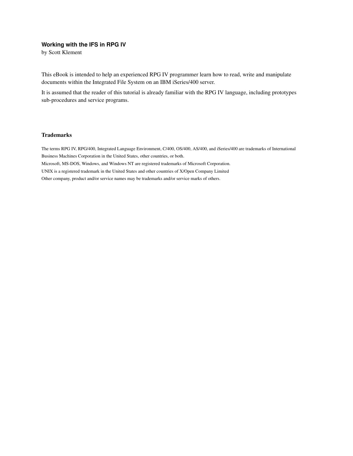#### **Working with the IFS in RPG IV**

by Scott Klement

This eBook is intended to help an experienced RPG IV programmer learn how to read, write and manipulate documents within the Integrated File System on an IBM iSeries/400 server.

It is assumed that the reader of this tutorial is already familiar with the RPG IV language, including prototypes sub-procedures and service programs.

#### Trademarks

The terms RPG IV, RPG/400, Integrated Language Environment, C/400, OS/400, AS/400, and iSeries/400 are trademarks of International Business Machines Corporation in the United States, other countries, or both.

Microsoft, MS-DOS, Windows, and Windows NT are registered trademarks of Microsoft Corporation.

UNIX is a registered trademark in the United States and other countries of X/Open Company Limited

Other company, product and/or service names may be trademarks and/or service marks of others.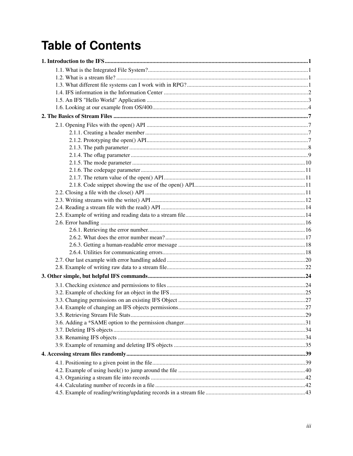# **Table of Contents**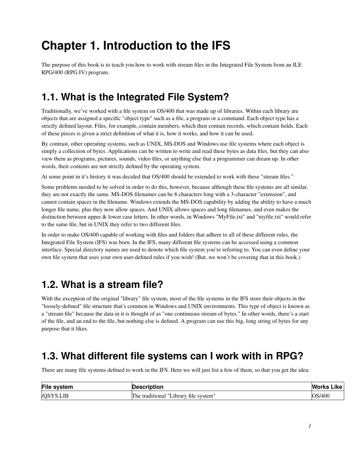# <span id="page-4-0"></span>**Chapter 1. Introduction to the IFS**

<span id="page-4-1"></span>The purpose of this book is to teach you how to work with stream files in the Integrated File System from an ILE RPG/400 (RPG IV) program.

# **1.1. What is the Integrated File System?**

Traditionally, we've worked with a file system on OS/400 that was made up of libraries. Within each library are objects that are assigned a specific "object type" such as a file, a program or a command. Each object type has a strictly defined layout. Files, for example, contain members, which then contain records, which contain fields. Each of these pieces is given a strict definition of what it is, how it works, and how it can be used.

By contrast, other operating systems, such as UNIX, MS-DOS and Windows use file systems where each object is simply a collection of bytes. Applications can be written to write and read these bytes as data files, but they can also view them as programs, pictures, sounds, video files, or anything else that a programmer can dream up. In other words, their contents are not strictly defined by the operating system.

At some point in it's history it was decided that OS/400 should be extended to work with these "stream files."

Some problems needed to be solved in order to do this, however, because although these file systems are all similar, they are not exactly the same. MS-DOS filenames can be 8 characters long with a 3-character "extension", and cannot contain spaces in the filename. Windows extends the MS-DOS capability by adding the ability to have a much longer file name, plus they now allow spaces. And UNIX allows spaces and long filenames, and even makes the distinction between upper & lower case letters. In other words, in Windows "MyFile.txt" and "myfile.txt" would refer to the same file, but in UNIX they refer to two different files.

In order to make OS/400 capable of working with files and folders that adhere to all of these different rules, the Integrated File System (IFS) was born. In the IFS, many different file systems can be accessed using a common interface. Special directory names are used to denote which file system you're referring to. You can even define your own file system that uses your own user-defined rules if you wish! (But, we won't be covering that in this book.)

# <span id="page-4-2"></span>**1.2. What is a stream file?**

With the exception of the original "library" file system, most of the file systems in the IFS store their objects in the "loosely-defined" file structure that's common in Windows and UNIX environments. This type of object is known as a "stream file" because the data in it is thought of as "one continuous stream of bytes." In other words, there's a start of the file, and an end to the file, but nothing else is defined. A program can use this big, long string of bytes for any purpose that it likes.

# <span id="page-4-3"></span>**1.3. What different file systems can I work with in RPG?**

There are many file systems defined to work in the IFS. Here we will just list a few of them, so that you get the idea:

| File system      | <b>Description</b>                           | <b>Works</b><br>Like |
|------------------|----------------------------------------------|----------------------|
| <b>VOSYS.LIB</b> | e traditional "Library file system"<br>1 he- | OS/400               |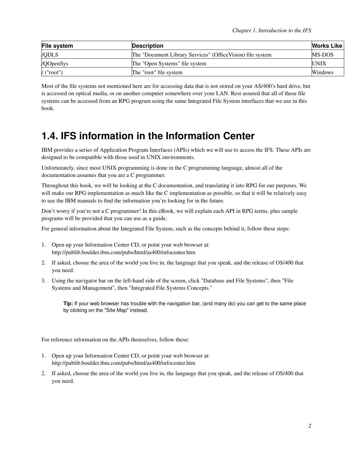| File system                            | <b>Description</b>                                          | <b>Works Like</b> |
|----------------------------------------|-------------------------------------------------------------|-------------------|
| <b>VODLS</b>                           | The "Document Library Services" (Office Vision) file system | MS-DOS            |
| /QOpenSys                              | The "Open Systems" file system                              | <b>UNIX</b>       |
| $\sqrt{(n^{\prime} \cdot n^{\prime})}$ | The "root" file system                                      | <b>Windows</b>    |

Most of the file systems not mentioned here are for accessing data that is not stored on your AS/400's hard drive, but is accessed on optical media, or on another computer somewhere over your LAN. Rest assured that all of these file systems can be accessed from an RPG program using the same Integrated File System interfaces that we use in this book.

# <span id="page-5-0"></span>**1.4. IFS information in the Information Center**

IBM provides a series of Application Program Interfaces (APIs) which we will use to access the IFS. These APIs are designed to be compatible with those used in UNIX environments.

Unfortunately, since most UNIX programming is done in the C programming language, almost all of the documentation assumes that you are a C programmer.

Throughout this book, we will be looking at the C documentation, and translating it into RPG for our purposes. We will make our RPG implementation as much like the C implementation as possible, so that it will be relatively easy to use the IBM manuals to find the information you're looking for in the future.

Don't worry if you're not a C programmer! In this eBook, we will explain each API in RPG terms, plus sample programs will be provided that you can use as a guide.

For general information about the Integrated File System, such as the concepts behind it, follow these steps:

- 1. Open up your Information Center CD, or point your web browser at: http://publib.boulder.ibm.com/pubs/html/as400/infocenter.htm
- 2. If asked, choose the area of the world you live in, the language that you speak, and the release of OS/400 that you need.
- 3. Using the navigator bar on the left-hand side of the screen, click "Database and File Systems", then "File Systems and Management", then "Integrated File Systems Concepts."

**Tip:** If your web browser has trouble with the navigation bar, (and many do) you can get to the same place by clicking on the "Site Map" instead.

For reference information on the APIs themselves, follow these:

- 1. Open up your Information Center CD, or point your web browser at: http://publib.boulder.ibm.com/pubs/html/as400/infocenter.htm
- 2. If asked, choose the area of the world you live in, the language that you speak, and the release of OS/400 that you need.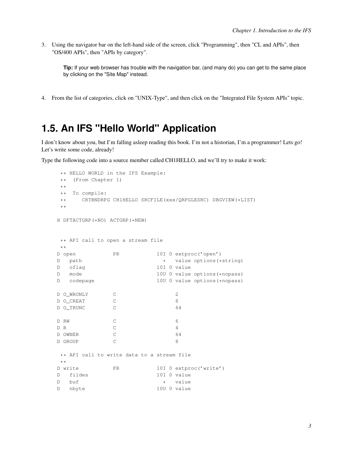3. Using the navigator bar on the left-hand side of the screen, click "Programming", then "CL and APIs", then "OS/400 APIs", then "APIs by category".

**Tip:** If your web browser has trouble with the navigation bar, (and many do) you can get to the same place by clicking on the "Site Map" instead.

<span id="page-6-0"></span>4. From the list of categories, click on "UNIX-Type", and then click on the "Integrated File System APIs" topic.

# **1.5. An IFS "Hello World" Application**

I don't know about you, but I'm falling asleep reading this book. I'm not a historian, I'm a programmer! Lets go! Let's write some code, already!

Type the following code into a source member called CH1HELLO, and we'll try to make it work:

```
** HELLO WORLD in the IFS Example:
** (From Chapter 1)
**
** To compile:
** CRTBNDRPG CH1HELLO SRCFILE(xxx/QRPGLESRC) DBGVIEW(*LIST)
**
H DFTACTGRP(*NO) ACTGRP(*NEW)
** API call to open a stream file
**
D open PR 10I 0 extproc('open')
D path \ast value options (*string)
D oflag 10I 0 value
D mode 10U 0 value options(*nopass)
D codepage 10U 0 value options (*nopass)
D O_WRONLY C 2
D O_CREAT C 8
D O_TRUNC C 64
D RW C 6
D R C 4
D OWNER C 64
D GROUP C 8
** API call to write data to a stream file
**
D write PR 10I 0 extproc('write')
D fildes 10I 0 value
D buf * value<br>D nbyte * 100 0 value
                   10U 0 value
```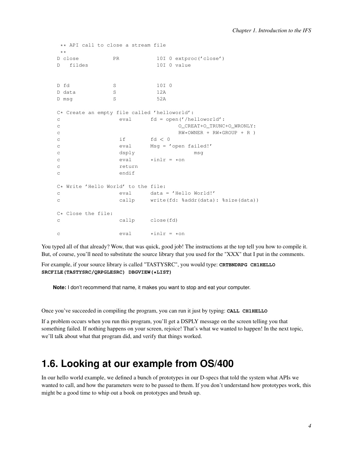```
** API call to close a stream file
**<br>D close
          PR 10I 0 extproc('close')
D fildes 10I 0 value
D fd S 10I 0
D data S 12A
D msq S 52A
C* Create an empty file called 'helloworld':
c eval fd = open('/helloworld':
c O_C^{\text{CREAT}+O_T^{\text{TRUNC}+O_W^{\text{RONLY}}}}c RW*OWNER + RW*GROUP + R )<br>c if \operatorname{fd} < 0c if f d < 0c eval Msg = 'open failed!'
c dsply msg
c \text{eval} \text{willr} = \text{son}c return
c endif
C* Write 'Hello World' to the file:
c eval data = 'Hello World!'
c callp write(fd: %addr(data): %size(data))
C* Close the file:
c callp close(fd)
c \text{eval} \text{willr} = \text{son}
```
You typed all of that already? Wow, that was quick, good job! The instructions at the top tell you how to compile it. But, of course, you'll need to substitute the source library that you used for the "XXX" that I put in the comments.

For example, if your source library is called "TASTYSRC", you would type: **CRTBNDRPG CH1HELLO SRCFILE(TASTYSRC/QRPGLESRC) DBGVIEW(\*LIST)**

**Note:** I don't recommend that name, it makes you want to stop and eat your computer.

Once you've succeeded in compiling the program, you can run it just by typing: **CALL CH1HELLO**

If a problem occurs when you run this program, you'll get a DSPLY message on the screen telling you that something failed. If nothing happens on your screen, rejoice! That's what we wanted to happen! In the next topic, we'll talk about what that program did, and verify that things worked.

### <span id="page-7-0"></span>**1.6. Looking at our example from OS/400**

In our hello world example, we defined a bunch of prototypes in our D-specs that told the system what APIs we wanted to call, and how the parameters were to be passed to them. If you don't understand how prototypes work, this might be a good time to whip out a book on prototypes and brush up.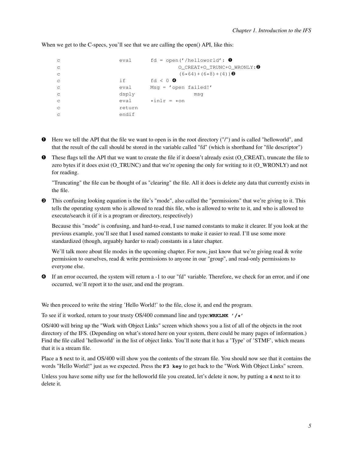```
c eval fd = open('/helloworld': \thetac O_CREAT+O_TRUNC+O_WRONLY:➋
c (6*64)+(6*8)+(4)) ❸
c if f d < 0c eval Msg = 'open failed!'
c dsply msg
c eval \starinlr = \staron
c return
c endif
```
When we get to the C-specs, you'll see that we are calling the open() API, like this:

- ➊ Here we tell the API that the file we want to open is in the root directory ("/") and is called "helloworld", and that the result of the call should be stored in the variable called "fd" (which is shorthand for "file descriptor")
- ➊ These flags tell the API that we want to create the file if it doesn't already exist (O\_CREAT), truncate the file to zero bytes if it does exist (O\_TRUNC) and that we're opening the only for writing to it (O\_WRONLY) and not for reading.

"Truncating" the file can be thought of as "clearing" the file. All it does is delete any data that currently exists in the file.

➌ This confusing looking equation is the file's "mode", also called the "permissions" that we're giving to it. This tells the operating system who is allowed to read this file, who is allowed to write to it, and who is allowed to execute/search it (if it is a program or directory, respectively)

Because this "mode" is confusing, and hard-to-read, I use named constants to make it clearer. If you look at the previous example, you'll see that I used named constants to make it easier to read. I'll use some more standardized (though, arguably harder to read) constants in a later chapter.

We'll talk more about file modes in the upcoming chapter. For now, just know that we're giving read & write permission to ourselves, read & write permissions to anyone in our "group", and read-only permissions to everyone else.

➍ If an error occurred, the system will return a -1 to our "fd" variable. Therefore, we check for an error, and if one occurred, we'll report it to the user, and end the program.

We then proceed to write the string 'Hello World!' to the file, close it, and end the program.

To see if it worked, return to your trusty OS/400 command line and type:**WRKLNK '/\*'**

OS/400 will bring up the "Work with Object Links" screen which shows you a list of all of the objects in the root directory of the IFS. (Depending on what's stored here on your system, there could be many pages of information.) Find the file called 'helloworld' in the list of object links. You'll note that it has a 'Type' of 'STMF', which means that it is a stream file.

Place a **5** next to it, and OS/400 will show you the contents of the stream file. You should now see that it contains the words "Hello World!" just as we expected. Press the **F3 key** to get back to the "Work With Object Links" screen.

Unless you have some nifty use for the helloworld file you created, let's delete it now, by putting a **4** next to it to delete it.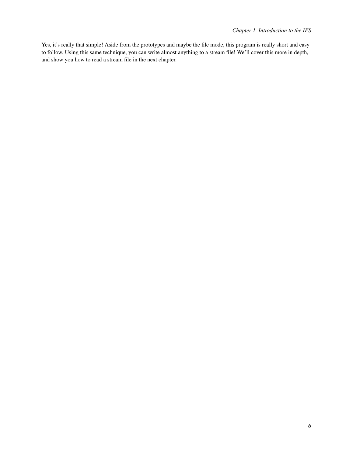Yes, it's really that simple! Aside from the prototypes and maybe the file mode, this program is really short and easy to follow. Using this same technique, you can write almost anything to a stream file! We'll cover this more in depth, and show you how to read a stream file in the next chapter.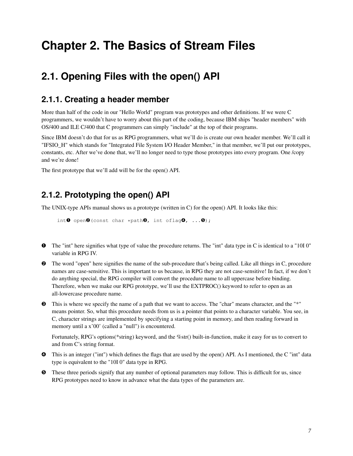# <span id="page-10-0"></span>**Chapter 2. The Basics of Stream Files**

# <span id="page-10-2"></span><span id="page-10-1"></span>**2.1. Opening Files with the open() API**

### **2.1.1. Creating a header member**

More than half of the code in our "Hello World" program was prototypes and other definitions. If we were C programmers, we wouldn't have to worry about this part of the coding, because IBM ships "header members" with OS/400 and ILE C/400 that C programmers can simply "include" at the top of their programs.

Since IBM doesn't do that for us as RPG programmers, what we'll do is create our own header member. We'll call it "IFSIO\_H" which stands for "Integrated File System I/O Header Member," in that member, we'll put our prototypes, constants, etc. After we've done that, we'll no longer need to type those prototypes into every program. One /copy and we're done!

<span id="page-10-3"></span>The first prototype that we'll add will be for the open() API.

### **2.1.2. Prototyping the open() API**

The UNIX-type APIs manual shows us a prototype (written in C) for the open() API. It looks like this:

```
int\mathbf 0 open\mathbf 0 (const char *path\mathbf 0, int oflag\mathbf 0, ...\mathbf 0);
```
- ➊ The "int" here signifies what type of value the procedure returns. The "int" data type in C is identical to a "10I 0" variable in RPG IV.
- ➋ The word "open" here signifies the name of the sub-procedure that's being called. Like all things in C, procedure names are case-sensitive. This is important to us because, in RPG they are not case-sensitive! In fact, if we don't do anything special, the RPG compiler will convert the procedure name to all uppercase before binding. Therefore, when we make our RPG prototype, we'll use the EXTPROC() keyword to refer to open as an all-lowercase procedure name.
- ➌ This is where we specify the name of a path that we want to access. The "char" means character, and the "\*" means pointer. So, what this procedure needs from us is a pointer that points to a character variable. You see, in C, character strings are implemented by specifying a starting point in memory, and then reading forward in memory until a x'00' (called a "null") is encountered.

Fortunately, RPG's options(\*string) keyword, and the %str() built-in-function, make it easy for us to convert to and from C's string format.

- ➍ This is an integer ("int") which defines the flags that are used by the open() API. As I mentioned, the C "int" data type is equivalent to the "10I 0" data type in RPG.
- ➎ These three periods signify that any number of optional parameters may follow. This is difficult for us, since RPG prototypes need to know in advance what the data types of the parameters are.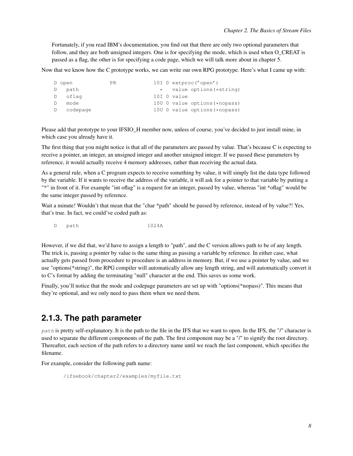Fortunately, if you read IBM's documentation, you find out that there are only two optional parameters that follow, and they are both unsigned integers. One is for specifying the mode, which is used when O\_CREAT is passed as a flag, the other is for specifying a code page, which we will talk more about in chapter 5.

Now that we know how the C prototype works, we can write our own RPG prototype. Here's what I came up with:

|   | D open     | PR. |  |             | 10I $0$ extproc('open')       |
|---|------------|-----|--|-------------|-------------------------------|
|   | D path     |     |  |             | * value options (*string)     |
|   | D oflag    |     |  | 10I O value |                               |
| D | mode       |     |  |             | 100 0 value options (*nopass) |
|   | D codepage |     |  |             | 100 0 value options (*nopass) |

Please add that prototype to your IFSIO H member now, unless of course, you've decided to just install mine, in which case you already have it.

The first thing that you might notice is that all of the parameters are passed by value. That's because C is expecting to receive a pointer, an integer, an unsigned integer and another unsigned integer. If we passed these parameters by reference, it would actually receive 4 memory addresses, rather than receiving the actual data.

As a general rule, when a C program expects to receive something by value, it will simply list the data type followed by the variable. If it wants to receive the address of the variable, it will ask for a pointer to that variable by putting a "\*" in front of it. For example "int oflag" is a request for an integer, passed by value, whereas "int \*oflag" would be the same integer passed by reference.

Wait a minute! Wouldn't that mean that the "char \*path" should be passed by reference, instead of by value?! Yes, that's true. In fact, we could've coded path as:

D path 1024A

However, if we did that, we'd have to assign a length to "path", and the C version allows path to be of any length. The trick is, passing a pointer by value is the same thing as passing a variable by reference. In either case, what actually gets passed from procedure to procedure is an address in memory. But, if we use a pointer by value, and we use "options(\*string)", the RPG compiler will automatically allow any length string, and will automatically convert it to C's format by adding the terminating "null" character at the end. This saves us some work.

Finally, you'll notice that the mode and codepage parameters are set up with "options(\*nopass)". This means that they're optional, and we only need to pass them when we need them.

#### <span id="page-11-0"></span>**2.1.3. The path parameter**

 $path$  is pretty self-explanatory. It is the path to the file in the IFS that we want to open. In the IFS, the "/" character is used to separate the different components of the path. The first component may be a "/" to signify the root directory. Thereafter, each section of the path refers to a directory name until we reach the last component, which specifies the filename.

For example, consider the following path name:

/ifsebook/chapter2/examples/myfile.txt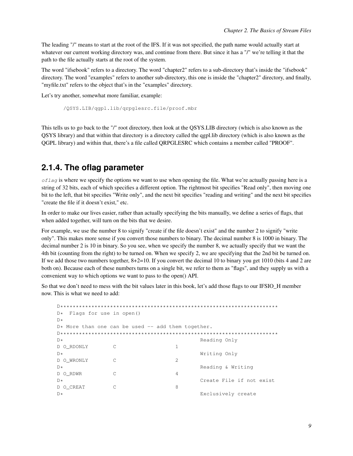The leading "/" means to start at the root of the IFS. If it was not specified, the path name would actually start at whatever our current working directory was, and continue from there. But since it has a "/" we're telling it that the path to the file actually starts at the root of the system.

The word "ifsebook" refers to a directory. The word "chapter2" refers to a sub-directory that's inside the "ifsebook" directory. The word "examples" refers to another sub-directory, this one is inside the "chapter2" directory, and finally, "myfile.txt" refers to the object that's in the "examples" directory.

Let's try another, somewhat more familiar, example:

/QSYS.LIB/qgpl.lib/qrpglesrc.file/proof.mbr

This tells us to go back to the "/" root directory, then look at the QSYS.LIB directory (which is also known as the QSYS library) and that within that directory is a directory called the qgpl.lib directory (which is also known as the QGPL library) and within that, there's a file called QRPGLESRC which contains a member called "PROOF".

#### <span id="page-12-0"></span>**2.1.4. The oflag parameter**

 $oflag$  is where we specify the options we want to use when opening the file. What we're actually passing here is a string of 32 bits, each of which specifies a different option. The rightmost bit specifies "Read only", then moving one bit to the left, that bit specifies "Write only", and the next bit specifies "reading and writing" and the next bit specifies "create the file if it doesn't exist," etc.

In order to make our lives easier, rather than actually specifying the bits manually, we define a series of flags, that when added together, will turn on the bits that we desire.

For example, we use the number 8 to signify "create if the file doesn't exist" and the number 2 to signify "write only". This makes more sense if you convert those numbers to binary. The decimal number 8 is 1000 in binary. The decimal number 2 is 10 in binary. So you see, when we specify the number 8, we actually specify that we want the 4th bit (counting from the right) to be turned on. When we specify 2, we are specifying that the 2nd bit be turned on. If we add those two numbers together, 8+2=10. If you convert the decimal 10 to binary you get 1010 (bits 4 and 2 are both on). Because each of these numbers turns on a single bit, we refer to them as "flags", and they supply us with a convenient way to which options we want to pass to the open() API.

So that we don't need to mess with the bit values later in this book, let's add those flags to our IFSIO H member now. This is what we need to add:

```
D**********************************************************************
D* Flags for use in open()
D*D* More than one can be used -- add them together.
D**********************************************************************
D* Reading Only
D O RDONLY C 1
D* Writing Only
D O_WRONLY C 2
D* Reading & Writing
D O_RDWR C 4
D* Create File if not exist
D O_CREAT C 8
D* Exclusively create
```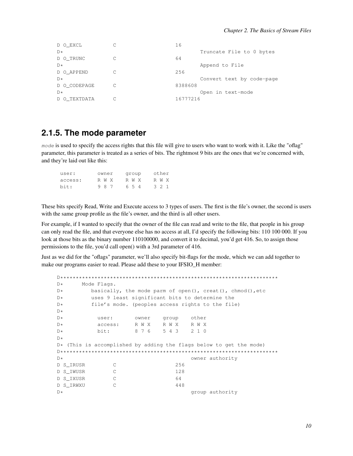| D O EXCL     | 16                        |
|--------------|---------------------------|
| $D*$         | Truncate File to 0 bytes  |
| D O TRUNC    | 64                        |
| $D*$         | Append to File            |
| D O APPEND   | 256                       |
| $D*$         | Convert text by code-page |
| D O CODEPAGE | 8388608                   |
| $D*$         | Open in text-mode         |
| D O TEXTDATA | 16777216                  |

#### <span id="page-13-0"></span>2.1.5. The mode parameter

mode is used to specify the access rights that this file will give to users who want to work with it. Like the "oflag" parameter, this parameter is treated as a series of bits. The rightmost 9 bits are the ones that we're concerned with, and they're laid out like this:

| user:   | owner | group | other |
|---------|-------|-------|-------|
| access: | R W X | R W X | R W X |
| bit:    | 987   | 654   | 321   |

These bits specify Read, Write and Execute access to 3 types of users. The first is the file's owner, the second is users with the same group profile as the file's owner, and the third is all other users.

For example, if I wanted to specify that the owner of the file can read and write to the file, that people in his group can only read the file, and that everyone else has no access at all, I'd specify the following bits: 110 100 000. If you look at those bits as the binary number 110100000, and convert it to decimal, you'd get 416. So, to assign those permissions to the file, you'd call open() with a 3rd parameter of 416.

Just as we did for the "oflags" parameter, we'll also specify bit-flags for the mode, which we can add together to make our programs easier to read. Please add these to your IFSIO H member:

```
D*Mode Flags.
D*basically, the mode parm of open(), creat(), chmod(), etc
       uses 9 least significant bits to determine the
D*file's mode. (peoples access rights to the file)
D*D*D*user:
                  owner group
                               other
                  R W X R W X
                               R W X
D*access:
         bit:
                   8 7 6
                        5432 1 0D*D*D* (This is accomplished by adding the flags below to get the mode)
D*owner authority
D S IRUSR
            \overline{C}256
D S_IWUSR
             \overline{C}128
D S_IXUSR
             \mathbb{C}64
D S_IRWXU
            \overline{C}448
\mathbb{D} \stargroup authority
```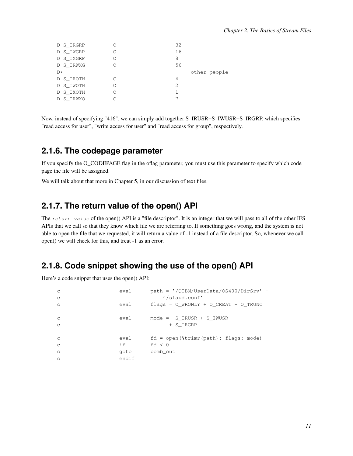| D S_IRGRP |   | 32            |
|-----------|---|---------------|
| D S_IWGRP |   | 16            |
| D S_IXGRP |   | 8             |
| D S_IRWXG | ┌ | 56            |
| $D*$      |   | other people  |
| D S IROTH | ┌ | 4             |
| D S_IWOTH |   | $\mathcal{D}$ |
| D S_IXOTH |   |               |
| D S IRWXO |   |               |

Now, instead of specifying "416", we can simply add together S\_IRUSR+S\_IWUSR+S\_IRGRP, which specifies "read access for user", "write access for user" and "read access for group", respectively.

#### <span id="page-14-0"></span>**2.1.6. The codepage parameter**

If you specify the O\_CODEPAGE flag in the oflag parameter, you must use this parameter to specify which code page the file will be assigned.

<span id="page-14-1"></span>We will talk about that more in Chapter 5, in our discussion of text files.

#### **2.1.7. The return value of the open() API**

The return value of the open() API is a "file descriptor". It is an integer that we will pass to all of the other IFS APIs that we call so that they know which file we are referring to. If something goes wrong, and the system is not able to open the file that we requested, it will return a value of -1 instead of a file descriptor. So, whenever we call open() we will check for this, and treat -1 as an error.

#### <span id="page-14-2"></span>**2.1.8. Code snippet showing the use of the open() API**

Here's a code snippet that uses the open() API:

<span id="page-14-3"></span>

| $\mathbb{C}$ | eval  | $path = \prime$ /QIBM/UserData/OS400/DirSrv' + |
|--------------|-------|------------------------------------------------|
| $\mathbf C$  |       | '/slapd.conf'                                  |
| $\mathbf C$  | eval  | flags = $0$ WRONLY + $0$ CREAT + $0$ TRUNC     |
| $\mathbf C$  | eval  | $mode = S$ IRUSR + S IWUSR                     |
| $\mathbf C$  |       | + S IRGRP                                      |
| $\mathbf C$  | eval  | $fd = open$ ( $strim$ (path): $flags: mode$ )  |
| $\mathbb{C}$ | if    | fd $< 0$                                       |
| $\mathbb{C}$ | goto  | bomb out                                       |
| $\mathsf{C}$ | endif |                                                |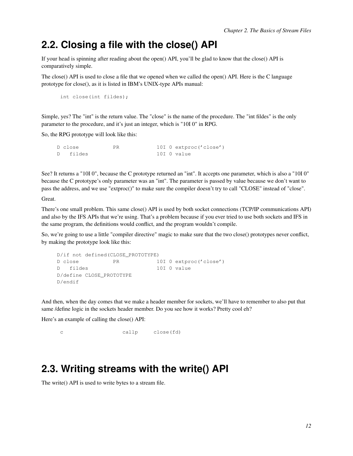## **2.2. Closing a file with the close() API**

If your head is spinning after reading about the open() API, you'll be glad to know that the close() API is comparatively simple.

The close() API is used to close a file that we opened when we called the open() API. Here is the C language prototype for close(), as it is listed in IBM's UNIX-type APIs manual:

int close(int fildes);

Simple, yes? The "int" is the return value. The "close" is the name of the procedure. The "int fildes" is the only parameter to the procedure, and it's just an integer, which is "10I 0" in RPG.

So, the RPG prototype will look like this:

| D close | ΡR | 10I 0 extproc('close') |
|---------|----|------------------------|
| fildes  |    | 10I 0 value            |

See? It returns a "10I 0", because the C prototype returned an "int". It accepts one parameter, which is also a "10I 0" because the C prototype's only parameter was an "int". The parameter is passed by value because we don't want to pass the address, and we use "extproc()" to make sure the compiler doesn't try to call "CLOSE" instead of "close".

Great.

There's one small problem. This same close() API is used by both socket connections (TCP/IP communications API) and also by the IFS APIs that we're using. That's a problem because if you ever tried to use both sockets and IFS in the same program, the definitions would conflict, and the program wouldn't compile.

So, we're going to use a little "compiler directive" magic to make sure that the two close() prototypes never conflict, by making the prototype look like this:

```
D/if not defined(CLOSE_PROTOTYPE)
D close PR 10I 0 extproc('close')
D fildes 10I 0 value
D/define CLOSE_PROTOTYPE
D/endif
```
And then, when the day comes that we make a header member for sockets, we'll have to remember to also put that same /define logic in the sockets header member. Do you see how it works? Pretty cool eh?

Here's an example of calling the close() API:

```
c callp close(fd)
```
## <span id="page-15-0"></span>**2.3. Writing streams with the write() API**

The write() API is used to write bytes to a stream file.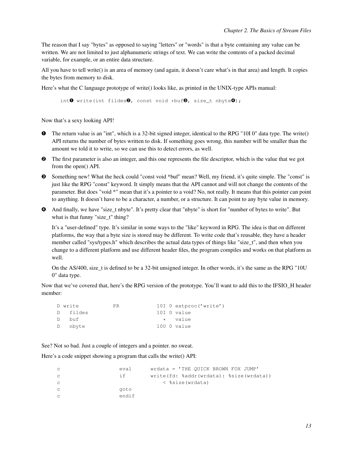<span id="page-16-0"></span>The reason that I say "bytes" as opposed to saying "letters" or "words" is that a byte containing any value can be written. We are not limited to just alphanumeric strings of text. We can write the contents of a packed decimal variable, for example, or an entire data structure.

All you have to tell write() is an area of memory (and again, it doesn't care what's in that area) and length. It copies the bytes from memory to disk.

Here's what the C language prototype of write() looks like, as printed in the UNIX-type APIs manual:

int $\mathbf 0$  write(int fildes $\mathbf 0$ , const void \*buf $\mathbf 0$ , size t nbyte $\mathbf 0$ );

Now that's a sexy looking API!

- ➊ The return value is an "int", which is a 32-bit signed integer, identical to the RPG "10I 0" data type. The write() API returns the number of bytes written to disk. If something goes wrong, this number will be smaller than the amount we told it to write, so we can use this to detect errors, as well.
- ➋ The first parameter is also an integer, and this one represents the file descriptor, which is the value that we got from the open() API.
- ➌ Something new! What the heck could "const void \*buf" mean? Well, my friend, it's quite simple. The "const" is just like the RPG "const" keyword. It simply means that the API cannot and will not change the contents of the parameter. But does "void \*" mean that it's a pointer to a void? No, not really. It means that this pointer can point to anything. It doesn't have to be a character, a number, or a structure. It can point to any byte value in memory.
- ➍ And finally, we have "size\_t nbyte". It's pretty clear that "nbyte" is short for "number of bytes to write". But what is that funny "size\_t" thing?

It's a "user-defined" type. It's similar in some ways to the "like" keyword in RPG. The idea is that on different platforms, the way that a byte size is stored may be different. To write code that's reusable, they have a header member called "sys/types.h" which describes the actual data types of things like "size\_t", and then when you change to a different platform and use different header files, the program compiles and works on that platform as well.

On the AS/400, size t is defined to be a 32-bit unsigned integer. In other words, it's the same as the RPG "10U 0" data type.

Now that we've covered that, here's the RPG version of the prototype. You'll want to add this to the IFSIO\_H header member:

| D write  | PR. | 10I 0 extproc('write') |
|----------|-----|------------------------|
| D fildes |     | 10I 0 value            |
| D buf    |     | * value                |
| D nbyte  |     | 10U O value            |

See? Not so bad. Just a couple of integers and a pointer. no sweat.

Here's a code snippet showing a program that calls the write() API:

|   | eval  | $wrdata = 'THE OUTCK BROWN FOX JUMP'$   |
|---|-------|-----------------------------------------|
|   | i f   | write(fd: %addr(wrdata): %size(wrdata)) |
| C |       | < %size(wrdata)                         |
|   | goto  |                                         |
|   | endif |                                         |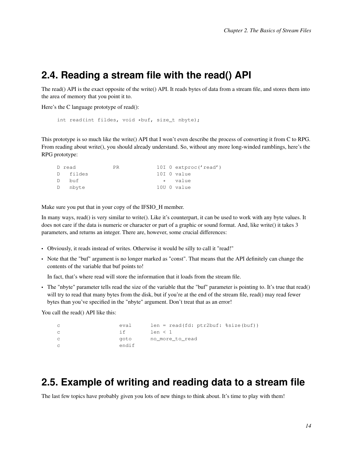### **2.4. Reading a stream file with the read() API**

The read() API is the exact opposite of the write() API. It reads bytes of data from a stream file, and stores them into the area of memory that you point it to.

Here's the C language prototype of read():

```
int read(int fildes, void *buf, size_t nbyte);
```
This prototype is so much like the write() API that I won't even describe the process of converting it from C to RPG. From reading about write(), you should already understand. So, without any more long-winded ramblings, here's the RPG prototype:

| D read   | PR. |  | 10I $0$ extproc('read') |
|----------|-----|--|-------------------------|
| D fildes |     |  | 10I O value             |
| D buf    |     |  | * value                 |
| D nbyte  |     |  | 10U O value             |

Make sure you put that in your copy of the IFSIO\_H member.

In many ways, read() is very similar to write(). Like it's counterpart, it can be used to work with any byte values. It does not care if the data is numeric or character or part of a graphic or sound format. And, like write() it takes 3 parameters, and returns an integer. There are, however, some crucial differences:

- Obviously, it reads instead of writes. Otherwise it would be silly to call it "read!"
- Note that the "buf" argument is no longer marked as "const". That means that the API definitely can change the contents of the variable that buf points to!

In fact, that's where read will store the information that it loads from the stream file.

• The "nbyte" parameter tells read the size of the variable that the "buf" parameter is pointing to. It's true that read() will try to read that many bytes from the disk, but if you're at the end of the stream file, read() may read fewer bytes than you've specified in the "nbyte" argument. Don't treat that as an error!

You call the read() API like this:

| $\mathbf C$ | eval  | $len = read(fd: ptr2buf: %size(buf))$ |
|-------------|-------|---------------------------------------|
| $\mathbb C$ | i f   | len < 1                               |
| $\mathbb C$ | aoto  | no more to read                       |
| $\mathbb C$ | endif |                                       |

# <span id="page-17-0"></span>**2.5. Example of writing and reading data to a stream file**

The last few topics have probably given you lots of new things to think about. It's time to play with them!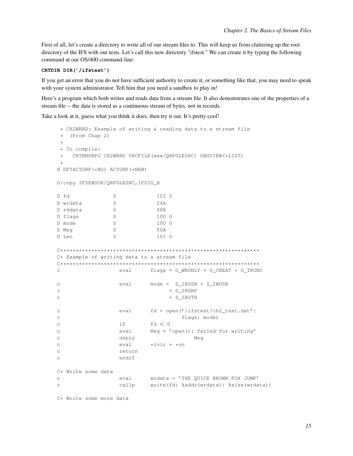First of all, let's create a directory to write all of our stream files to. This will keep us from cluttering up the root directory of the IFS with our tests. Let's call this new directory "ifstest." We can create it by typing the following command at our OS/400 command-line:

#### CRTDIR DIR('/ifstest')

If you get an error that you do not have sufficient authority to create it, or something like that, you may need to speak with your system administrator. Tell him that you need a sandbox to play in!

Here's a program which both writes and reads data from a stream file. It also demonstrates one of the properties of a stream file -- the data is stored as a continuous stream of bytes, not in records.

Take a look at it, guess what you think it does, then try it out. It's pretty cool!

\* CH2WRRD: Example of writing & reading data to a stream file  $\star$  (From Chap 2) \* To compile: \* CRTBNDRPG CH2WRRD SRCFILE(xxx/QRPGLESRC) DBGVIEW(\*LIST) H DFTACTGRP (\*NO) ACTGRP (\*NEW) D/copy IFSEBOOK/QRPGLESRC, IFSIO\_H D fd 10I 0  $S$ D wrdata  $S$  $24A$  $S$ D rddata 48A D flags  $S$ 10U 0 D mode  $S$ 10U 0  $S$ 50A D Msg  $S$ 10I 0 D Len C\* Example of writing data to a stream file eval  $flags = O_WRONLY + O_CREAT + O_TRWC$  $\mathcal{C}$  $eval \qquad mode = S_IRUSR + S_IWUSR$  $\mathtt{C}$  $\overline{C}$ + S\_IRGRP + S\_IROTH  $\overline{C}$ eval fd = open('/ifstest/ch2\_test.dat':  $\cap$  $\mathsf{C}$ flags: mode)  $i f$  $f d < 0$  $\mathtt{C}$ it id < 0<br>eval Msg = 'open(): failed for writing'  $\mathsf{C}$ dsply Msq  $\mathcal{C}$ eval  $*inlr = *on$  $\mathcal{C}$ return  $\mathsf{C}$ endif  $\mathcal{C}$ C\* Write some data wrdata = 'THE QUICK BROWN FOX JUMP'  $\mathsf{C}$ eval callp write(fd: %addr(wrdata): %size(wrdata))  $\mathtt{C}$ C\* Write some more data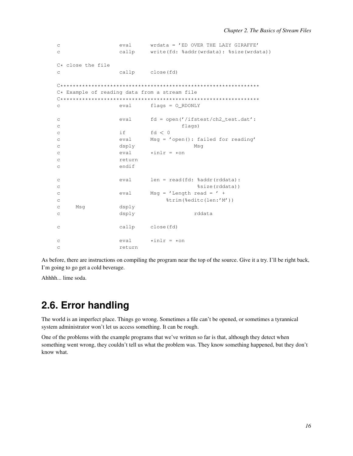```
eval
                                wrdata = 'ED OVER THE LAZY GIRAFFE'
\mathtt{C}\circcallp
                                write(fd: %addr(wrdata): %size(wrdata))
C* close the file
                     callp
                                close (fd)
\mathcal{C}C* Example of reading data from a stream file
flags = O\_RDONLY\mathtt{C}eval
                                fd = open('/ifstest/ch2_test.dat':
                     eval
\mathsf{C}\mathtt{C}flags)
                     iffd < 0\epsilonMsg = 'open(): failed for reading'
                     eval
\mathsf Cdsply
                                               Msq
\overline{C}_{\rm C}eval
                                *inlr = *on\mathsf Creturn
                     endif
\overline{C}eval
                                len = read(fd: %addr(rddata):
\mathcal{C}%size(rddata))
\rm{C}Msq = 'Length read = ' +
                     eval
\mathsf{C}%trim(%editc(len:'M'))
\mathcal{C}\circMsq
                     dsply
                                               rddata
\mathtt{C}dsplycallp
                                close(fd)
\mathsf{C}eval
                                *in1r = *on\mathcal{C}return
\overline{C}
```
As before, there are instructions on compiling the program near the top of the source. Give it a try. I'll be right back, I'm going to go get a cold beverage.

<span id="page-19-0"></span>Ahhhh... lime soda.

# 2.6. Error handling

The world is an imperfect place. Things go wrong. Sometimes a file can't be opened, or sometimes a tyrannical system administrator won't let us access something. It can be rough.

<span id="page-19-1"></span>One of the problems with the example programs that we've written so far is that, although they detect when something went wrong, they couldn't tell us what the problem was. They know something happened, but they don't know what.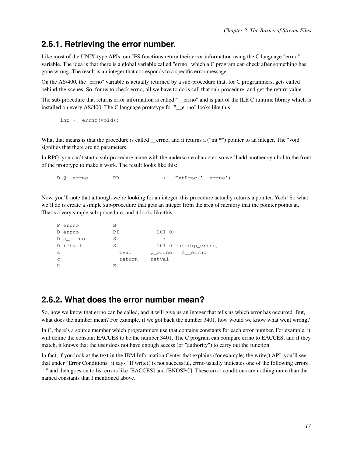#### **2.6.1. Retrieving the error number.**

Like most of the UNIX-type APIs, our IFS functions return their error information using the C language "errno" variable. The idea is that there is a global variable called "errno" which a C program can check after something has gone wrong. The result is an integer that corresponds to a specific error message.

On the AS/400, the "errno" variable is actually returned by a sub-procedure that, for C programmers, gets called behind-the-scenes. So, for us to check errno, all we have to do is call that sub-procedure, and get the return value.

The sub-procedure that returns error information is called "\_\_errno" and is part of the ILE C runtime library which is installed on every AS/400. The C language prototype for "\_\_errno" looks like this:

```
int * errno(void);
```
What that means is that the procedure is called \_\_errno, and it returns a ("int \*") pointer to an integer. The "void" signifies that there are no parameters.

In RPG, you can't start a sub-procedure name with the underscore character, so we'll add another symbol to the front of the prototype to make it work. The result looks like this:

D @ errno PR \* ExtProc('\_errno')

Now, you'll note that although we're looking for an integer, this procedure actually returns a pointer. Yech! So what we'll do is create a simple sub-procedure that gets an integer from the area of memory that the pointer points at. That's a very simple sub-procedure, and it looks like this:

```
P errno B
D errno PI 10I 0
D p_errno S *
D retval S 10I 0 based(p_errno)
c eval p_errno = @__errno
c return retval
P E
```
#### <span id="page-20-0"></span>**2.6.2. What does the error number mean?**

So, now we know that errno can be called, and it will give us an integer that tells us which error has occurred. But, what does the number mean? For example, if we got back the number 3401, how would we know what went wrong?

In C, there's a source member which programmers use that contains constants for each error number. For example, it will define the constant EACCES to be the number 3401. The C program can compare errno to EACCES, and if they match, it knows that the user does not have enough access (or "authority") to carry out the function.

In fact, if you look at the text in the IBM Information Center that explains (for example) the write() API, you'll see that under "Error Conditions" it says "If write() is not successful, errno usually indicates one of the following errors . . ." and then goes on to list errors like [EACCES] and [ENOSPC]. These error conditions are nothing more than the named constants that I mentioned above.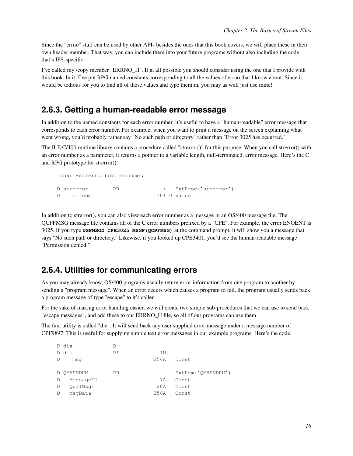Since the "errno" stuff can be used by other APIs besides the ones that this book covers, we will place these in their own header member. That way, you can include them into your future programs without also including the code that's IFS-specific.

I've called my /copy member "ERRNO H". If at all possible you should consider using the one that I provide with this book. In it, I've put RPG named constants corresponding to all the values of errno that I know about. Since it would be tedious for you to find all of these values and type them in, you may as well just use mine!

#### <span id="page-21-0"></span>**2.6.3. Getting a human-readable error message**

In addition to the named constants for each error number, it's useful to have a "human-readable" error message that corresponds to each error number. For example, when you want to print a message on the screen explaining what went wrong, you'd probably rather say "No such path or directory" rather than "Error 3025 has occurred."

The ILE C/400 runtime library contains a procedure called "strerror()" for this purpose. When you call strerror() with an error number as a parameter, it returns a pointer to a variable length, null-terminated, error message. Here's the C and RPG prototype for strerror():

```
char *strerror(int errnum);
D strerror PR * ExtProc('strerror')<br>D errnum 10T 0 value
D errnum
```
In addition to strerror(), you can also view each error number as a message in an OS/400 message file. The QCPFMSG message file contains all of the C error numbers prefixed by a "CPE". For example, the error ENOENT is 3025. If you type **DSPMSGD CPE3025 MSGF(QCPFMSG)** at the command prompt, it will show you a message that says "No such path or directory." Likewise, if you looked up CPE3401, you'd see the human-readable message "Permission denied."

#### <span id="page-21-1"></span>**2.6.4. Utilities for communicating errors**

As you may already know, OS/400 programs usually return error information from one program to another by sending a "program message". When an error occurs which causes a program to fail, the program usually sends back a program message of type "escape" to it's caller.

For the sake of making error handling easier, we will create two simple sub-procedures that we can use to send back "escape messages", and add these to our ERRNO\_H file, so all of our programs can use them.

The first utility is called "die". It will send back any user supplied error message under a message number of CPF9897. This is useful for supplying simple text error messages in our example programs. Here's the code:

|   | P die      | B         |                |                    |
|---|------------|-----------|----------------|--------------------|
|   | D die      | PΙ        | 1 <sub>N</sub> |                    |
| D | msq        |           | 256A           | const              |
|   |            |           |                |                    |
|   | D OMHSNDPM | <b>PR</b> |                | ExtPqm('QMHSNDPM') |
| D | MessageID  |           | 7 A            | Const              |
| D | OualMsqF   |           | 20A            | Const              |
| D | MsqData    |           | 256A           | Const              |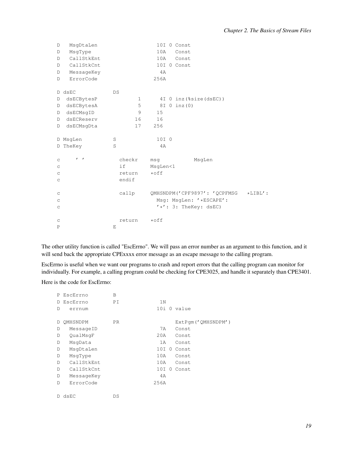| D                         | MsgDtaLen    |              | 10I 0 Const                     |            |
|---------------------------|--------------|--------------|---------------------------------|------------|
| D                         | MsqType      |              | 10A<br>Const                    |            |
| D                         | CallStkEnt   |              | 10A<br>Const                    |            |
| D                         | CallStkCnt   |              | 10I 0 Const                     |            |
| D                         | MessageKey   |              | 4A                              |            |
| D                         | ErrorCode    |              | 256A                            |            |
|                           |              |              |                                 |            |
|                           | D dsEC       | DS           |                                 |            |
| D                         | dsECBytesP   | $\mathbf{1}$ | 4I 0 inz (%size(dsEC))          |            |
| D                         | dsECBytesA   | 5            | $8I$ 0 inz(0)                   |            |
| D                         | dsECMsgID    | 9            | 15                              |            |
| D                         | dsECReserv   | 16           | 16                              |            |
| D                         | dsECMsgDta   | 17           | 256                             |            |
|                           |              |              |                                 |            |
|                           | D MsqLen     | S            | 10I 0                           |            |
|                           | D TheKey     | S            | 4A                              |            |
|                           |              |              |                                 |            |
| $\mathop{\rm \mathsf{C}}$ | $\mathbf{r}$ | checkr       | MsgLen<br>msq                   |            |
| $\mathop{\rm \mathsf{C}}$ |              | if           | MsgLen<1                        |            |
| $\mathop{\rm \mathsf{C}}$ |              | return       | $*$ off                         |            |
| $\mathsf C$               |              | endif        |                                 |            |
|                           |              |              |                                 |            |
| $\mathsf C$               |              | callp        | QMHSNDPM('CPF9897': 'QCPFMSG    | $*LIBL'$ : |
| $\mathop{\rm \mathsf{C}}$ |              |              | Msg: MsgLen: '*ESCAPE':         |            |
| $\rm{C}$                  |              |              | $' *': 3: \text{TheKey: dSEC.}$ |            |
|                           |              |              |                                 |            |
| C                         |              | return       | $*$ off                         |            |
| $\mathbf P$               |              | E            |                                 |            |

The other utility function is called "EscErrno". We will pass an error number as an argument to this function, and it will send back the appropriate CPExxxx error message as an escape message to the calling program.

EscErrno is useful when we want our programs to crash and report errors that the calling program can monitor for individually. For example, a calling program could be checking for CPE3025, and handle it separately than CPE3401.

Here is the code for EscErrno:

| P  | EscErrno   | B   |                |          |                    |
|----|------------|-----|----------------|----------|--------------------|
| D. | EscErrno   | ΡI  | 1 <sub>N</sub> |          |                    |
| D  | errnum     |     |                |          | 10i 0 value        |
|    |            |     |                |          |                    |
| D  | OMHSNDPM   | PR. |                |          | ExtPqm('QMHSNDPM') |
| D  | MessageID  |     | 7 A            |          | Const              |
| D  | QualMsqF   |     | 20A            |          | Const              |
| D  | MsqData    |     | 1A             |          | Const              |
| D  | MsgDtaLen  |     | 10I 0          |          | Const              |
| D  | MsqType    |     | 10A            |          | Const              |
| D  | CallStkEnt |     | 10A            |          | Const              |
| D  | CallStkCnt |     | 10I            | $\Omega$ | Const.             |
| D  | MessageKey |     | 4A             |          |                    |
| D  | ErrorCode  |     | 256A           |          |                    |
|    |            |     |                |          |                    |
| D. | dsEC       | DS  |                |          |                    |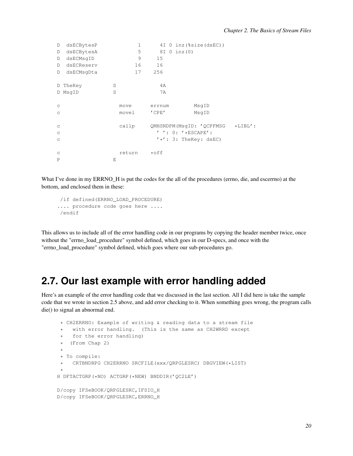| D           | dsECBytesP |   | 1      |             | 4I 0 inz (%size(dsEC))          |            |
|-------------|------------|---|--------|-------------|---------------------------------|------------|
| D           | dsECBytesA |   | 5      |             | 8I 0 inz (0)                    |            |
| D           | dsECMsqID  |   | 9      | 15          |                                 |            |
| D           | dsECReserv |   | 16     | 16          |                                 |            |
| D           | dsECMsqDta |   | 17     | 256         |                                 |            |
|             | D TheKey   | S |        | 4A          |                                 |            |
|             | D MsqID    | S |        | 7A          |                                 |            |
| $\mathsf C$ |            |   | move   | errnum      | MsgID                           |            |
| $\mathsf C$ |            |   | movel  | $'$ CPE $'$ | MsqID                           |            |
| $\mathsf C$ |            |   | callp  |             | QMHSNDPM(MsqID: 'QCPFMSG        | $*$ LIBL': |
| $\mathsf C$ |            |   |        |             | $'$ ': 0: '*ESCAPE':            |            |
| $\mathsf C$ |            |   |        |             | $' *': 3: \text{TheKey: dSEC)}$ |            |
| $\mathsf C$ |            |   | return | ∗off        |                                 |            |
| $\mathbf P$ |            | E |        |             |                                 |            |

What I've done in my ERRNO\_H is put the codes for the all of the procedures (errno, die, and escerrno) at the bottom, and enclosed them in these:

```
/if defined(ERRNO_LOAD_PROCEDURE)
.... procedure code goes here ....
/endif
```
This allows us to include all of the error handling code in our programs by copying the header member twice, once without the "errno\_load\_procedure" symbol defined, which goes in our D-specs, and once with the "errno\_load\_procedure" symbol defined, which goes where our sub-procedures go.

## <span id="page-23-0"></span>**2.7. Our last example with error handling added**

Here's an example of the error handling code that we discussed in the last section. All I did here is take the sample code that we wrote in section 2.5 above, and add error checking to it. When something goes wrong, the program calls die() to signal an abnormal end.

```
* CH2ERRNO: Example of writing & reading data to a stream file
 * with error handling. (This is the same as CH2WRRD except
 * for the error handling)
 * (From Chap 2)
 *
* To compile:
   CRTBNDRPG CH2ERRNO SRCFILE(xxx/QRPGLESRC) DBGVIEW(*LIST)
 *
H DFTACTGRP(*NO) ACTGRP(*NEW) BNDDIR('QC2LE')
D/copy IFSeBOOK/QRPGLESRC,IFSIO_H
D/copy IFSeBOOK/QRPGLESRC,ERRNO_H
```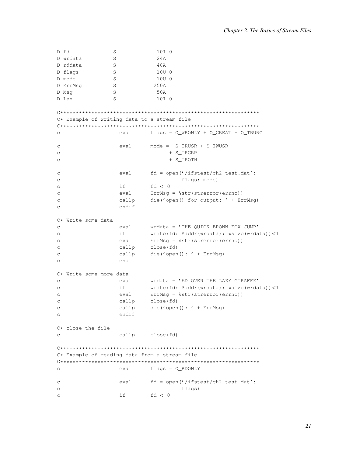```
S10I 0
D wrdata
              S24AD rddata
              S48A
D flags
              S10U 0
              S10U 0
D mode
D ErrMsg
              S250AD Msq
              S50A
D Len
               S10I 0
C* Example of writing data to a stream file
eval
                         flags = O_WRONLY + O_CREAT + O_TRWC\Gammaeval
                         mode = S_I RUSR + S_I WUSR_{\rm C}\mathtt{C}+ S_IRGRP
\mathcal{C}+ S IROTH
_{\rm C}eval fd = open('/ifstest/ch2_test.dat':
                                  flags: mode)
\mathcal{C}if
                        f d < 0\mathcal{C}ErrMsq = %str(strerror(errno))
_{\rm C}eval
                 callp
                         die('open() for output: ' + ErrMsq)
\mathcal{C}\mathtt{C}endif
C* Write some data
                        wrdata = 'THE QUICK BROWN FOX JUMP'
                 eval
\mathsf{C}if
                         write(fd: %addr(wrdata): %size(wrdata))<1
\mathtt{C}ErrMsg = %str(strerror(errno))
\mathbf{C}eval
                         close(fd)
                 callp
\mathsf{C}callp
                         die ('open (): ' + ErrMsg)
\mathtt{C}endif
\mathcal{C}C* Write some more data
                        wrdata = 'ED OVER THE LAZY GIRAFFE'
\mathbf Ceval
\mathbf{C}if (
                        write(fd: %addr(wrdata): %size(wrdata))<1
                 eval
                        ErrMsg = %str(strerror(errno))
\mathcal{C}callp
                         close (fd)
\mathtt{C}callp
                         die ('open (): ' + ErrMsg)
\mathcal{C}endif
\mathsf{C}C* close the file
                 callp close(fd)
\mathcal{C}C* Example of reading data from a stream file
\mathsf{C}eval flags = O_RDOMLYfd = open('/ifstest/ch2_test.dat':
_{\rm C}eval
                                  flags)
\mathtt{C}if
                         fd < 0\mathcal{C}
```
D fd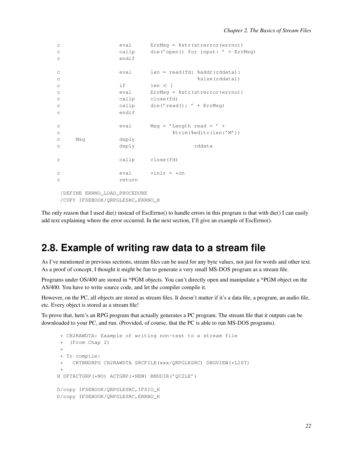```
c eval ErrMsg = %str(strerror(errno))
c callp die('open() for input: ' + ErrMsg)
c endif
c eval len = read(fd: %addr(rddata):
c %size(rddata))
c if len < 1
c eval ErrMsg = %str(strerror(errno))
c callp close(fd)
c callp die('read(): ' + ErrMsg)
c endif
c eval Msq = 'Length read = ' +
c %trim(%editc(len:'M'))
c Msg dsply
c dsply rddata
c callp close(fd)
c \qquad \qquad \text{eval} \qquad \text{willr = *on}c return
/DEFINE ERRNO_LOAD_PROCEDURE
/COPY IFSEBOOK/QRPGLESRC,ERRNO_H
```
<span id="page-25-0"></span>The only reason that I used die() instead of EscErrno() to handle errors in this program is that with die() I can easily add text explaining where the error occurred. In the next section, I'll give an example of EscErrno().

## **2.8. Example of writing raw data to a stream file**

As I've mentioned in previous sections, stream files can be used for any byte values, not just for words and other text. As a proof of concept, I thought it might be fun to generate a very small MS-DOS program as a stream file.

Programs under OS/400 are stored in \*PGM objects. You can't directly open and manipulate a \*PGM object on the AS/400. You have to write source code, and let the compiler compile it.

However, on the PC, all objects are stored as stream files. It doesn't matter if it's a data file, a program, an audio file, etc. Every object is stored as a stream file!

To prove that, here's an RPG program that actually generates a PC program. The stream file that it outputs can be downloaded to your PC, and run. (Provided, of course, that the PC is able to run MS-DOS programs).

```
* CH2RAWDTA: Example of writing non-text to a stream file
 * (From Chap 2)
 *
* To compile:
 * CRTBNDRPG CH2RAWDTA SRCFILE(xxx/QRPGLESRC) DBGVIEW(*LIST)
 *
H DFTACTGRP(*NO) ACTGRP(*NEW) BNDDIR('QC2LE')
D/copy IFSEBOOK/QRPGLESRC,IFSIO_H
D/copy IFSEBOOK/QRPGLESRC,ERRNO_H
```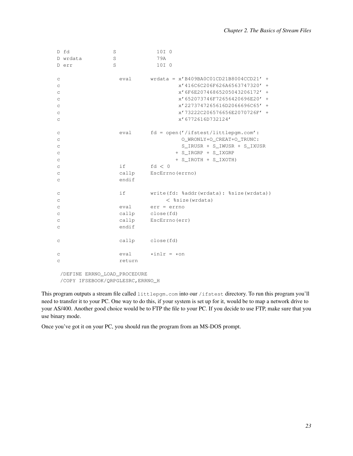|                           | D fd     | S      | 10I <sub>0</sub>                         |
|---------------------------|----------|--------|------------------------------------------|
|                           | D wrdata | S      | 79A                                      |
|                           | D err    | S      | 10I <sub>0</sub>                         |
|                           |          |        |                                          |
| $\mathsf C$               |          | eval   | wrdata = $x' B409BAC01CD21B8004CCD21' +$ |
| $\mathsf C$               |          |        | x'416C6C206F626A6563747320' +            |
| $\mathsf C$               |          |        | x'6F6E20746865205043206172' +            |
| $\mathop{\rm \mathsf{C}}$ |          |        | x'652073746F72656420696E20' +            |
| C                         |          |        | x'2273747265616D2066696C65' +            |
| C                         |          |        | x'73222C206576656E2070726F' +            |
| С                         |          |        | x'6772616D732124'                        |
| $\mathop{\rm \mathsf{C}}$ |          | eval   | $fd = open('/ifstest/littlepgm.com':$    |
| $\mathop{\rm \mathsf{C}}$ |          |        | O_WRONLY+O_CREAT+O_TRUNC:                |
| $\mathsf C$               |          |        | S_IRUSR + S_IWUSR + S_IXUSR              |
| C                         |          |        | + S_IRGRP + S_IXGRP                      |
| $\mathop{\rm \mathsf{C}}$ |          |        | + S_IROTH + S_IXOTH)                     |
| $\mathsf C$               |          | if     | fd < 0                                   |
| C                         |          | callp  | EscErrno (errno)                         |
| C                         |          | endif  |                                          |
|                           |          |        |                                          |
| С                         |          | if     | write(fd: %addr(wrdata): %size(wrdata))  |
| $\mathop{\rm \mathsf{C}}$ |          |        | $<$ %size (wrdata)                       |
| $\mathop{\rm \mathsf{C}}$ |          | eval   | err = errno                              |
| $\mathsf C$               |          |        | callp close(fd)                          |
| C                         |          |        | callp EscErrno (err)                     |
| C                         |          | endif  |                                          |
|                           |          |        |                                          |
| $\mathsf C$               |          |        | callp close(fd)                          |
| С                         |          | eval   | $\star$ inlr = $\star$ on                |
| C                         |          | return |                                          |
|                           |          |        |                                          |

/DEFINE ERRNO\_LOAD\_PROCEDURE /COPY IFSEBOOK/QRPGLESRC,ERRNO\_H

This program outputs a stream file called littlepgm.com into our /ifstest directory. To run this program you'll need to transfer it to your PC. One way to do this, if your system is set up for it, would be to map a network drive to your AS/400. Another good choice would be to FTP the file to your PC. If you decide to use FTP, make sure that you use binary mode.

Once you've got it on your PC, you should run the program from an MS-DOS prompt.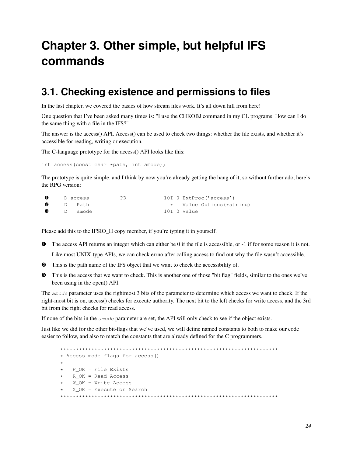# <span id="page-27-0"></span>**Chapter 3. Other simple, but helpful IFS commands**

## <span id="page-27-1"></span>**3.1. Checking existence and permissions to files**

In the last chapter, we covered the basics of how stream files work. It's all down hill from here!

One question that I've been asked many times is: "I use the CHKOBJ command in my CL programs. How can I do the same thing with a file in the IFS?"

The answer is the access() API. Access() can be used to check two things: whether the file exists, and whether it's accessible for reading, writing or execution.

The C-language prototype for the access() API looks like this:

int access(const char \*path, int amode);

The prototype is quite simple, and I think by now you're already getting the hang of it, so without further ado, here's the RPG version:

| $\Omega$ | D access | PR. |  | 10I 0 ExtProc('access')   |
|----------|----------|-----|--|---------------------------|
| മ        | D Path   |     |  | * Value Options (*string) |
| ഒ        | D amode  |     |  | 10I O Value               |

Please add this to the IFSIO H copy member, if you're typing it in yourself.

- ➊ The access API returns an integer which can either be 0 if the file is accessible, or -1 if for some reason it is not. Like most UNIX-type APIs, we can check errno after calling access to find out why the file wasn't accessible.
- ➋ This is the path name of the IFS object that we want to check the accessibility of.
- ➌ This is the access that we want to check. This is another one of those "bit flag" fields, similar to the ones we've been using in the open() API.

The amode parameter uses the rightmost 3 bits of the parameter to determine which access we want to check. If the right-most bit is on, access() checks for execute authority. The next bit to the left checks for write access, and the 3rd bit from the right checks for read access.

If none of the bits in the amode parameter are set, the API will only check to see if the object exists.

Just like we did for the other bit-flags that we've used, we will define named constants to both to make our code easier to follow, and also to match the constants that are already defined for the C programmers.

```
**********************************************************************
* Access mode flags for access()
*
  F_OK = File Exists
  R\_{OK} = Read Access
  W_OK = Write Access
  X_OK = Execute or Search
**********************************************************************
```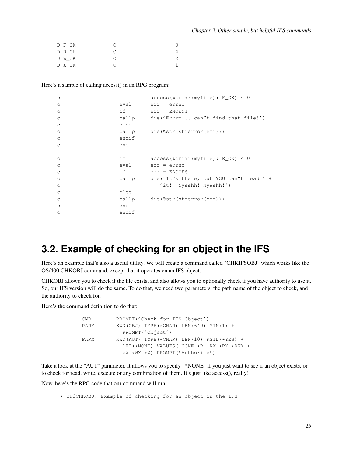| D F OK |  |
|--------|--|
| D R OK |  |
| D W OK |  |
| D X OK |  |

#### Here's a sample of calling access() in an RPG program:

| $\mathsf C$ | if    | $access$ ( $x = (myfile) : F_OK$ ) < 0  |
|-------------|-------|-----------------------------------------|
| $\mathsf C$ | eval  | $err = err$                             |
| $\mathsf C$ | if    | $err = ENOENT$                          |
| $\mathsf C$ | callp | die('Errrm can"t find that file!')      |
| $\mathsf C$ | else  |                                         |
| $\mathsf C$ |       | callp die(%str(strerror(err)))          |
| $\mathsf C$ | endif |                                         |
| C           | endif |                                         |
|             |       |                                         |
|             |       |                                         |
| $\mathsf C$ | if    | $access$ ( $x = (myfile) : R_OK) < 0$   |
| $\mathsf C$ | eval  | $err = errno$                           |
| $\mathsf C$ | if    | $err = EACCES$                          |
| $\mathsf C$ | callp | die('It"s there, but YOU can't read ' + |
| C           |       | Nyaahh! Nyaahh!')<br>$^{\prime}$ it !   |
| $\mathsf C$ | else  |                                         |
| $\mathsf C$ | callp | die(%str(strerror(err)))                |
| C           | endif |                                         |

## <span id="page-28-0"></span>**3.2. Example of checking for an object in the IFS**

Here's an example that's also a useful utility. We will create a command called "CHKIFSOBJ" which works like the OS/400 CHKOBJ command, except that it operates on an IFS object.

CHKOBJ allows you to check if the file exists, and also allows you to optionally check if you have authority to use it. So, our IFS version will do the same. To do that, we need two parameters, the path name of the object to check, and the authority to check for.

Here's the command definition to do that:

| <b>CMD</b> | PROMPT ('Check for IFS Object')                     |
|------------|-----------------------------------------------------|
| PARM       | KWD (OBJ) TYPE $(*CHAR)$ LEN $(640)$ MIN $(1)$ +    |
|            | PROMPT ('Object')                                   |
| PARM       | KWD (AUT) TYPE $(*CHAR)$ LEN $(10)$ RSTD $(*YES)$ + |
|            | DFT(*NONE) VALUES(*NONE *R *RW *RX *RWX +           |
|            | *W *WX *X) PROMPT('Authority')                      |

Take a look at the "AUT" parameter. It allows you to specify "\*NONE" if you just want to see if an object exists, or to check for read, write, execute or any combination of them. It's just like access(), really!

Now, here's the RPG code that our command will run:

\* CH3CHKOBJ: Example of checking for an object in the IFS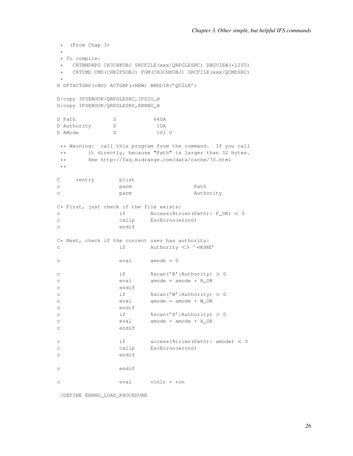```
* (From Chap 3)
 *
* To compile:
  CRTBNDRPG CH3CHKOBJ SRCFILE(xxx/QRPGLESRC) DBGVIEW(*LIST)
* CRTCMD CMD(CHKIFSOBJ) PGM(CH3CHKOBJ) SRCFILE(xxx/QCMDSRC)
 *
H DFTACTGRP(*NO) ACTGRP(*NEW) BNDDIR('QC2LE')
D/copy IFSEBOOK/QRPGLESRC,IFSIO_H
D/copy IFSEBOOK/QRPGLESRC,ERRNO_H
D Path S 640A
D Authority S 10A
D AMode S 3 10I 0
** Warning: call this program from the command. If you call
** it directly, because "Path" is larger than 32 bytes.
** See http://faq.midrange.com/data/cache/70.html
**
C *entry plist
c parm Path
c parm parm Authority
C* First, just check if the file exists:<br>c if Access(%tr:
c if Access(%trimr(Path): F_OK) < 0
c callp EscErrno(errno)
c endif
C* Next, check if the current user has authority:
c if Authority <> '*NONE'
c eval amode = 0
c if %scan('R':Authority) > 0
c eval amode = amode + R_OK
c endif
c if %scan('W':Authority) > 0
c eval amode = amode + W_OK
c endif
c if \frac{1}{3} if \frac{1}{3} and \frac{1}{3} if \frac{1}{3} and \frac{1}{3} if \frac{1}{3} and \frac{1}{3} are \frac{1}{3} and \frac{1}{3} are \frac{1}{3} and \frac{1}{3} are \frac{1}{3} are \frac{1}{3} are \frac{1}{3} are \frac{1}{3} are \frac{1}{3}c eval amode = amode + X_OK
c endif
c if access(%trimr(Path): amode) < 0
c callp EscErrno(errno)
c endif
c endif
c \text{eval} \text{willr} = \text{kon}
```
/DEFINE ERRNO\_LOAD\_PROCEDURE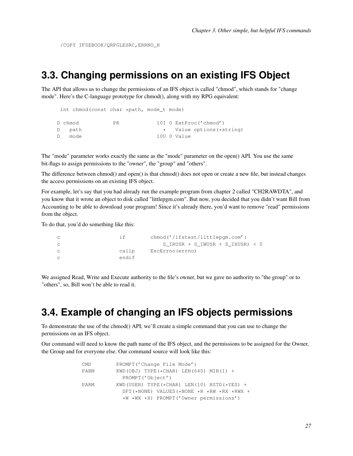/COPY IFSEBOOK/QRPGLESRC,ERRNO\_H

### **3.3. Changing permissions on an existing IFS Object**

The API that allows us to change the permissions of an IFS object is called "chmod", which stands for "change mode". Here's the C-language prototype for chmod(), along with my RPG equivalent:

|   | int chmod(const char *path, mode_t mode) |     |  |                           |
|---|------------------------------------------|-----|--|---------------------------|
|   |                                          |     |  |                           |
|   | D chmod                                  | PR. |  | 10I 0 ExtProc('chmod')    |
|   | D path                                   |     |  | * Value options (*string) |
| D | mode                                     |     |  | 10U O Value               |

The "mode" parameter works exactly the same as the "mode" parameter on the open() API. You use the same bit-flags to assign permissions to the "owner", the "group" and "others".

The difference between chmod() and open() is that chmod() does not open or create a new file, but instead changes the access permissions on an existing IFS object.

For example, let's say that you had already run the example program from chapter 2 called "CH2RAWDTA", and you know that it wrote an object to disk called "littlepgm.com". But now, you decided that you didn't want Bill from Accounting to be able to download your program! Since it's already there, you'd want to remove "read" permissions from the object.

To do that, you'd do something like this:

| i f   | chmod('/ifstest/littlepqm.com':    |
|-------|------------------------------------|
|       | S IRUSR + S IWUSR + S IXUSR) $<$ 0 |
| callp | EscErrno (errno)                   |
| endif |                                    |

<span id="page-30-0"></span>We assigned Read, Write and Execute authority to the file's owner, but we gave no authority to "the group" or to "others", so, Bill won't be able to read it.

# **3.4. Example of changing an IFS objects permissions**

To demonstrate the use of the chmod() API, we'll create a simple command that you can use to change the permissions on an IFS object.

Our command will need to know the path name of the IFS object, and the permissions to be assigned for the Owner, the Group and for everyone else. Our command source will look like this:

| <b>CMD</b> | PROMPT ('Change File Mode')                         |
|------------|-----------------------------------------------------|
| PARM       | KWD (OBJ) TYPE $(*CHAR)$ LEN (640) MIN (1) +        |
|            | PROMPT ('Object')                                   |
| PARM       | KWD (USER) TYPE $(*$ CHAR) LEN(10) RSTD $(*$ YES) + |
|            | $DFT$ (*NONE) VALUES (*NONE *R *RW *RX *RWX +       |
|            | *W *WX *X) PROMPT('Owner permissions')              |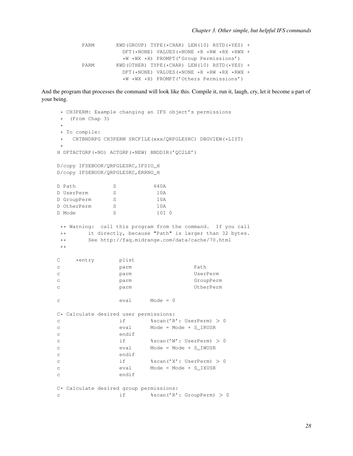PARM KWD(GROUP) TYPE(\*CHAR) LEN(10) RSTD(\*YES) + DFT(\*NONE) VALUES(\*NONE \*R \*RW \*RX \*RWX + \*W \*WX \*X) PROMPT('Group Permissions') PARM KWD(OTHER) TYPE(\*CHAR) LEN(10) RSTD(\*YES) + DFT(\*NONE) VALUES(\*NONE \*R \*RW \*RX \*RWX + \*W \*WX \*X) PROMPT('Others Permissions')

And the program that processes the command will look like this. Compile it, run it, laugh, cry, let it become a part of your being.

```
* CH3PERM: Example changing an IFS object's permissions
* (From Chap 3)
*
* To compile:
* CRTBNDRPG CH3PERM SRCFILE(xxx/QRPGLESRC) DBGVIEW(*LIST)
*
H DFTACTGRP(*NO) ACTGRP(*NEW) BNDDIR('QC2LE')
D/copy IFSEBOOK/QRPGLESRC,IFSIO_H
D/copy IFSEBOOK/QRPGLESRC,ERRNO_H
D Path S 640A
D UserPerm S 10A
D GroupPerm S 10A
D OtherPerm S 10A
D Mode S 3 10I 0
** Warning: call this program from the command. If you call
** it directly, because "Path" is larger than 32 bytes.
** See http://faq.midrange.com/data/cache/70.html
**
C *entry plist
c parm Path
c parm UserPerm
c parm GroupPerm
c parm OtherPerm
c eval Mode = 0
C* Calculate desired user permissions:
c if %scan('R': UserPerm) > 0
c eval Mode = Mode + S_IRUSR
c endif
c if %scan('W': UserPerm) > 0
c eval Mode = Mode + S_IWUSR
c endif
c if %scan('X': UserPerm) > 0
c eval Mode = Mode + S_IXUSR
c endif
C* Calculate desired group permissions:
c if %scan('R': GroupPerm) > 0
```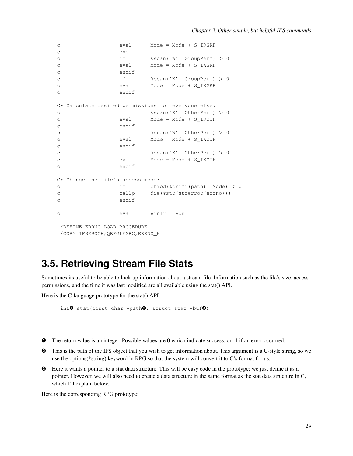```
c eval Mode = Mode + S_IRGRP
c endif
c if %scan('W': GroupPerm) > 0
c eval Mode = Mode + S_IWGRP
c endif
c if \frac{1}{3} if \frac{1}{3} scan('X': GroupPerm) > 0
c eval Mode = Mode + S_IXGRP
c endif
C* Calculate desired permissions for everyone else:<br>c if $scan('R': OtherPerm)c if %scan('R': OtherPerm) > 0
c eval Mode = Mode + S_IROTH
c endif
c if %scan('W': OtherPerm) > 0
c eval Mode = Mode + S_IWOTH
c endif
c if %scan('X': OtherPerm) > 0
c eval Mode = Mode + S_IXOTH
c endif
C* Change the file's access mode:
c if chmod(%trimr(path): Mode) < 0
c callp die(%str(strerror(errno)))
c endif
c \text{eval} \text{willr} = \text{son}/DEFINE ERRNO_LOAD_PROCEDURE
/COPY IFSEBOOK/QRPGLESRC,ERRNO_H
```
## <span id="page-32-0"></span>**3.5. Retrieving Stream File Stats**

Sometimes its useful to be able to look up information about a stream file. Information such as the file's size, access permissions, and the time it was last modified are all available using the stat() API.

Here is the C-language prototype for the stat() API:

```
int\bullet stat(const char *path\bullet, struct stat *buf\bullet)
```
- ➊ The return value is an integer. Possible values are 0 which indicate success, or -1 if an error occurred.
- ➋ This is the path of the IFS object that you wish to get information about. This argument is a C-style string, so we use the options(\*string) keyword in RPG so that the system will convert it to C's format for us.
- ➌ Here it wants a pointer to a stat data structure. This will be easy code in the prototype: we just define it as a pointer. However, we will also need to create a data structure in the same format as the stat data structure in C, which I'll explain below.

Here is the corresponding RPG prototype: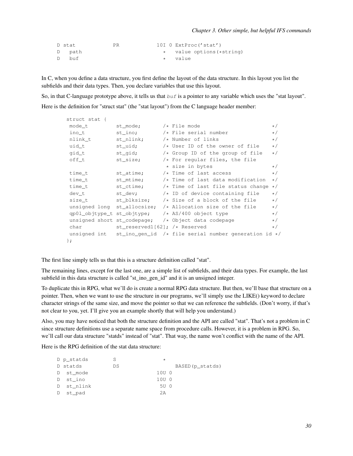```
D stat PR 10I 0 ExtProc('stat')
D path \star value options (*string)<br>
D buf \star value
D buf * value
```
In C, when you define a data structure, you first define the layout of the data structure. In this layout you list the subfields and their data types. Then, you declare variables that use this layout.

So, in that C-language prototype above, it tells us that  $buf$  is a pointer to any variable which uses the "stat layout".

Here is the definition for "struct stat" (the "stat layout") from the C language header member:

| struct stat { |                                 |                                                                          |          |
|---------------|---------------------------------|--------------------------------------------------------------------------|----------|
| mode_t        | st_mode;                        | $/*$ File mode                                                           | $\star/$ |
| ino_t         | st_ino;                         | $/*$ File serial number                                                  | $\star/$ |
| nlink_t       | st_nlink;                       | /* Number of links                                                       | $\star/$ |
| uid_t         | st_uid;                         | $/*$ User ID of the owner of file                                        | $\star/$ |
| gid_t         | st_gid;                         | $/*$ Group ID of the group of file                                       | $\star/$ |
| off_t         | st_size;                        | $/*$ For reqular files, the file                                         |          |
|               |                                 | * size in bytes                                                          | $\star/$ |
| time_t        | st_atime;                       | $/*$ Time of last access                                                 | $\star/$ |
| time_t        | st_mtime;                       | $/*$ Time of last data modification                                      | $\star/$ |
| time t        |                                 | st_ctime; $\overline{\phantom{a}}$ /* Time of last file status change */ |          |
| dev t         |                                 | st_dev; $/*$ ID of device containing file                                | $\star/$ |
|               |                                 | size_t st_blksize; $/*$ Size of a block of the file                      | $\star/$ |
|               |                                 | unsigned long st_allocsize; $/*$ Allocation size of the file             | $\star/$ |
|               |                                 | $qp01\_\text{objtype_t st}\_\text{objtype}$ /* AS/400 object type        | $\star/$ |
|               |                                 | unsigned short st_codepage; $/*$ Object data codepage                    | $\star/$ |
| char          | st_reserved1[62]; $/*$ Reserved |                                                                          | $\star/$ |
|               |                                 | unsigned int st_ino_gen_id /* file serial number generation id $*/$      |          |
| $\}$ ;        |                                 |                                                                          |          |

The first line simply tells us that this is a structure definition called "stat".

The remaining lines, except for the last one, are a simple list of subfields, and their data types. For example, the last subfield in this data structure is called "st\_ino\_gen\_id" and it is an unsigned integer.

To duplicate this in RPG, what we'll do is create a normal RPG data structure. But then, we'll base that structure on a pointer. Then, when we want to use the structure in our programs, we'll simply use the LIKE() keyword to declare character strings of the same size, and move the pointer so that we can reference the subfields. (Don't worry, if that's not clear to you, yet. I'll give you an example shortly that will help you understand.)

Also, you may have noticed that both the structure definition and the API are called "stat". That's not a problem in C since structure definitions use a separate name space from procedure calls. However, it is a problem in RPG. So, we'll call our data structure "statds" instead of "stat". That way, the name won't conflict with the name of the API.

Here is the RPG definition of the stat data structure:

| S                                                                         | $\star$ |                                   |
|---------------------------------------------------------------------------|---------|-----------------------------------|
| DS                                                                        |         | BASED (p_statds)                  |
|                                                                           |         |                                   |
|                                                                           |         |                                   |
|                                                                           |         |                                   |
|                                                                           | 2A      |                                   |
| D p_statds<br>D statds<br>D st mode<br>D st ino<br>D st nlink<br>D st_pad |         | 10U 0<br>10U 0<br>5U <sub>0</sub> |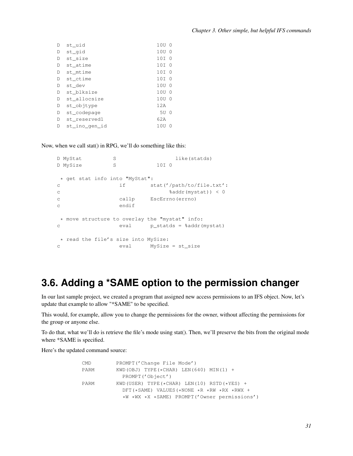| D | st_uid        | 10U              | $\overline{0}$ |
|---|---------------|------------------|----------------|
| D | st_gid        | 10U 0            |                |
| D | st_size       | 10I              | - 0            |
| D | st_atime      | 10T              | $\Omega$       |
| D | st_mtime      | 10T              | - 0            |
| D | st ctime      | 10T              | $\cap$         |
| D | st dev        | 10U              | $\Omega$       |
| D | st blksize    | 10U              | $\Omega$       |
| D | st allocsize  | 10U <sub>0</sub> |                |
| D | st_objtype    | 12A              |                |
| D | st_codepage   | 5U               | - 0            |
| D | st reservedl  | 62A              |                |
| D | st_ino_qen_id | 1 OU             | ∩              |
|   |               |                  |                |

Now, when we call stat() in RPG, we'll do something like this:

```
D MyStat S<br>
D MySize S<br>
S<br>
101 0
D MySize S
* get stat info into "MyStat":
c if stat('/path/to/file.txt':
c %addr(mystat)) < 0
c callp EscErrno(errno)
c endif
* move structure to overlay the "mystat" info:
c eval p_statds = %addr(mystat)
* read the file's size into MySize:
c eval MySize = st_size
```
# <span id="page-34-0"></span>**3.6. Adding a \*SAME option to the permission changer**

In our last sample project, we created a program that assigned new access permissions to an IFS object. Now, let's update that example to allow "\*SAME" to be specified.

This would, for example, allow you to change the permissions for the owner, without affecting the permissions for the group or anyone else.

To do that, what we'll do is retrieve the file's mode using stat(). Then, we'll preserve the bits from the original mode where \*SAME is specified.

Here's the updated command source:

| CMD  | PROMPT ('Change File Mode')                         |
|------|-----------------------------------------------------|
| PARM | KWD (OBJ) TYPE $(*CHAR)$ LEN $(640)$ MIN $(1)$ +    |
|      | PROMPT ('Object')                                   |
| PARM | KWD (USER) TYPE $(*$ CHAR) LEN(10) RSTD $(*$ YES) + |
|      | DFT(*SAME) VALUES(*NONE *R *RW *RX *RWX +           |
|      | *W *WX *X *SAME) PROMPT('Owner permissions')        |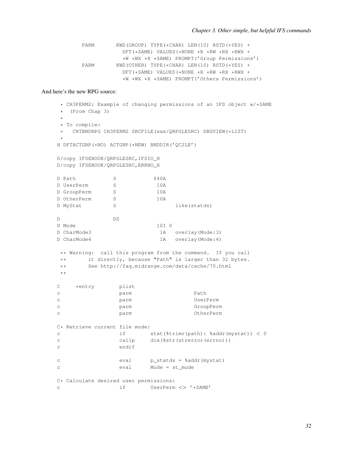```
PARM KWD(GROUP) TYPE(*CHAR) LEN(10) RSTD(*YES) +
            DFT(*SAME) VALUES(*NONE *R *RW *RX *RWX +
            *W *WX *X *SAME) PROMPT('Group Permissions')
PARM KWD(OTHER) TYPE(*CHAR) LEN(10) RSTD(*YES) +
            DFT(*SAME) VALUES(*NONE *R *RW *RX *RWX +
            *W *WX *X *SAME) PROMPT('Others Permissions')
```
#### And here's the new RPG source:

```
* CH3PERM2: Example of changing permissions of an IFS object w/*SAME
* (From Chap 3)
*
* To compile:
* CRTBNDRPG CH3PERM2 SRCFILE(xxx/QRPGLESRC) DBGVIEW(*LIST)
*
H DFTACTGRP(*NO) ACTGRP(*NEW) BNDDIR('QC2LE')
D/copy IFSEBOOK/QRPGLESRC,IFSIO_H
D/copy IFSEBOOK/QRPGLESRC,ERRNO_H
D Path S 640A
D UserPerm S 10A
D GroupPerm S 10A
D OtherPerm S 10A
D MyStat S S like (statds)
D DS
D Mode 10I 0
D CharMode3 1A overlay(Mode:3)
D CharMode4 1A overlay(Mode:4)
** Warning: call this program from the command. If you call
** it directly, because "Path" is larger than 32 bytes.
** See http://faq.midrange.com/data/cache/70.html
**
C *entry plist
c parm Path
c parm UserPerm
c parm GroupPerm
c parm OtherPerm
C* Retrieve current file mode:
c if stat(%trimr(path): %addr(mystat)) < 0
c callp die(%str(strerror(errno)))
c endif
c eval p_statds = %addr(mystat)
c eval Mode = st_mode
C* Calculate desired user permissions:
c if UserPerm <> '*SAME'
```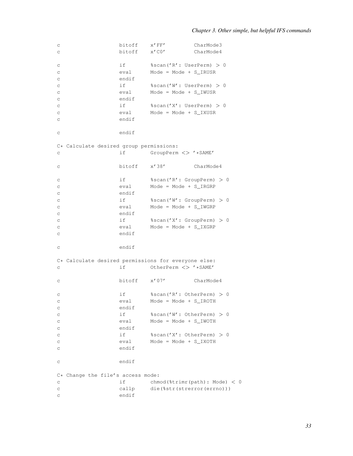| С           |                                                     | bitoff       | $x'$ FF $'$                   | CharMode3                     |
|-------------|-----------------------------------------------------|--------------|-------------------------------|-------------------------------|
| C           |                                                     | bitoff       | $x'$ CO $'$                   | CharMode4                     |
|             |                                                     |              |                               |                               |
| C           |                                                     | if a         | %scan('R':UserPerm) > 0       |                               |
|             |                                                     | eval         | Mode = $Mode + S$ IRUSR       |                               |
| $\rm _C$    |                                                     |              |                               |                               |
| $\rm _C$    |                                                     | endif        |                               |                               |
| $\rm _C$    |                                                     | if           | %scan('W': UserPerm) > 0      |                               |
| C           |                                                     | eval         | $Mode = Mode + S_IWUSR$       |                               |
| C           |                                                     | endif        |                               |                               |
| C           |                                                     | if           | %scan('X':UserPerm) > 0       |                               |
| C           |                                                     | eval         | Mode = $Mode + S_IXUSR$       |                               |
| C           |                                                     | endif        |                               |                               |
|             |                                                     |              |                               |                               |
|             |                                                     |              |                               |                               |
| C           |                                                     | endif        |                               |                               |
|             |                                                     |              |                               |                               |
|             | C* Calculate desired group permissions:             |              |                               |                               |
| C           |                                                     | if           | GroupPerm <> '*SAME'          |                               |
|             |                                                     |              |                               |                               |
| C           |                                                     | bitoff       | $x'$ 38 $'$                   | CharMode4                     |
|             |                                                     |              |                               |                               |
| C           |                                                     | if           | %scan('R': GroupPerm) > 0     |                               |
|             |                                                     | eval         | $Mode = Mode + S_IRRP$        |                               |
| $\rm _C$    |                                                     |              |                               |                               |
| $\rm _C$    |                                                     | endif        |                               |                               |
| $\rm _C$    |                                                     | if           | %scan('W': GroupPerm) > 0     |                               |
| $\rm _C$    |                                                     | eval         | $Mode = Mode + S_IWGRP$       |                               |
| C           |                                                     | endif        |                               |                               |
| C           |                                                     | if           | %scan('X': GroupPerm) > 0     |                               |
| C           |                                                     | eval         | $Mode = Mode + S_I XGRP$      |                               |
| C           |                                                     | endif        |                               |                               |
|             |                                                     |              |                               |                               |
|             |                                                     |              |                               |                               |
| C           |                                                     | endif        |                               |                               |
|             |                                                     |              |                               |                               |
|             | C* Calculate desired permissions for everyone else: |              |                               |                               |
| С           |                                                     | if           | OtherPerm <> '*SAME'          |                               |
|             |                                                     |              |                               |                               |
| C           |                                                     | bitoff x'07' |                               | CharMode4                     |
|             |                                                     |              |                               |                               |
| C           |                                                     | if           | %scan('R': OtherPerm) > 0     |                               |
|             |                                                     | eval         | Mode = Mode + S_IROTH         |                               |
| С           |                                                     |              |                               |                               |
| C           |                                                     | endif        |                               |                               |
| $\rm{C}$    |                                                     | if           | %scan('W': OtherPerm) > 0     |                               |
| C           |                                                     | eval         | $Mode = Mode + S_IWOTH$       |                               |
| С           |                                                     | endif        |                               |                               |
| C           |                                                     | if           | %scan('X': OtherPerm) > 0     |                               |
| С           |                                                     | eval         | $Mode = Mode + SIXOTH$        |                               |
| C           |                                                     | endif        |                               |                               |
|             |                                                     |              |                               |                               |
|             |                                                     |              |                               |                               |
| C           |                                                     | endif        |                               |                               |
|             |                                                     |              |                               |                               |
| $C*$        | Change the file's access mode:                      |              |                               |                               |
| C           |                                                     | if           |                               | chmod(%trimr(path): Mode) < 0 |
| $\rm _C$    |                                                     | callp        | die (%str (strerror (errno))) |                               |
| $\mathsf C$ |                                                     | endif        |                               |                               |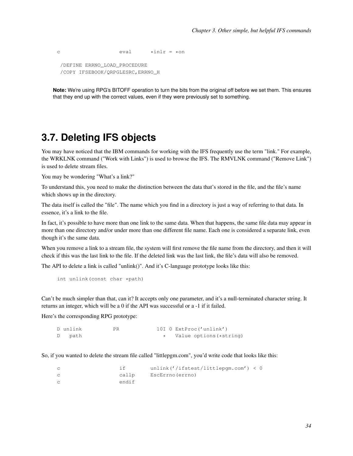```
c \text{eval} \text{willr} = \text{son}/DEFINE ERRNO_LOAD_PROCEDURE
 /COPY IFSEBOOK/QRPGLESRC,ERRNO_H
```
**Note:** We're using RPG's BITOFF operation to turn the bits from the original off before we set them. This ensures that they end up with the correct values, even if they were previously set to something.

### **3.7. Deleting IFS objects**

You may have noticed that the IBM commands for working with the IFS frequently use the term "link." For example, the WRKLNK command ("Work with Links") is used to browse the IFS. The RMVLNK command ("Remove Link") is used to delete stream files.

You may be wondering "What's a link?"

To understand this, you need to make the distinction between the data that's stored in the file, and the file's name which shows up in the directory.

The data itself is called the "file". The name which you find in a directory is just a way of referring to that data. In essence, it's a link to the file.

In fact, it's possible to have more than one link to the same data. When that happens, the same file data may appear in more than one directory and/or under more than one different file name. Each one is considered a separate link, even though it's the same data.

When you remove a link to a stream file, the system will first remove the file name from the directory, and then it will check if this was the last link to the file. If the deleted link was the last link, the file's data will also be removed.

The API to delete a link is called "unlink()". And it's C-language prototype looks like this:

int unlink(const char \*path)

Can't be much simpler than that, can it? It accepts only one parameter, and it's a null-terminated character string. It returns an integer, which will be a 0 if the API was successful or a -1 if it failed.

Here's the corresponding RPG prototype:

```
D unlink PR 10I 0 ExtProc('unlink')
D path \star Value options (*string)
```
So, if you wanted to delete the stream file called "littlepgm.com", you'd write code that looks like this:

```
c if unlink('/ifstest/littlepgm.com') < 0
c callp EscErrno(errno)
c endif
```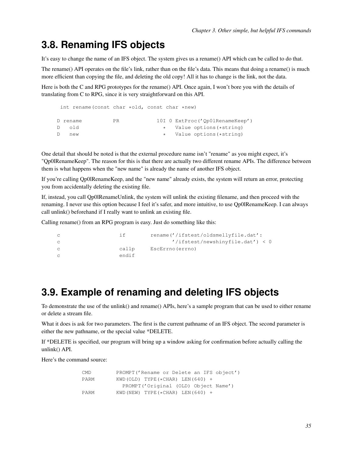# **3.8. Renaming IFS objects**

It's easy to change the name of an IFS object. The system gives us a rename() API which can be called to do that.

The rename() API operates on the file's link, rather than on the file's data. This means that doing a rename() is much more efficient than copying the file, and deleting the old copy! All it has to change is the link, not the data.

Here is both the C and RPG prototypes for the rename() API. Once again, I won't bore you with the details of translating from C to RPG, since it is very straightforward on this API.

|    |      | int rename (const char $*$ old, const char $*$ new) |     |  |  |                                 |
|----|------|-----------------------------------------------------|-----|--|--|---------------------------------|
|    |      | D rename                                            | PR. |  |  | 10I 0 ExtProc('Op01RenameKeep') |
|    | Dold |                                                     |     |  |  | * Value options (*string)       |
| D. |      | new                                                 |     |  |  | * Value options (*string)       |

One detail that should be noted is that the external procedure name isn't "rename" as you might expect, it's "Qp0lRenameKeep". The reason for this is that there are actually two different rename APIs. The difference between them is what happens when the "new name" is already the name of another IFS object.

If you're calling Qp0lRenameKeep, and the "new name" already exists, the system will return an error, protecting you from accidentally deleting the existing file.

If, instead, you call Qp0lRenameUnlink, the system will unlink the existing filename, and then proceed with the renaming. I never use this option because I feel it's safer, and more intuitive, to use Qp0lRenameKeep. I can always call unlink() beforehand if I really want to unlink an existing file.

Calling rename() from an RPG program is easy. Just do something like this:

```
c if rename('/ifstest/oldsmellyfile.dat':
c '/ifstest/newshinyfile.dat') < 0
c callp EscErrno(errno)
c endif
```
# **3.9. Example of renaming and deleting IFS objects**

To demonstrate the use of the unlink() and rename() APIs, here's a sample program that can be used to either rename or delete a stream file.

What it does is ask for two parameters. The first is the current pathname of an IFS object. The second parameter is either the new pathname, or the special value \*DELETE.

If \*DELETE is specified, our program will bring up a window asking for confirmation before actually calling the unlink() API.

Here's the command source:

| CMD  | PROMPT('Rename or Delete an IFS object') |
|------|------------------------------------------|
| PARM | KWD (OLD) TYPE $(*$ CHAR) LEN $(640)$ +  |
|      | PROMPT('Original (OLD) Object Name')     |
| PARM | KWD (NEW) TYPE $(*$ CHAR) LEN $(640)$ +  |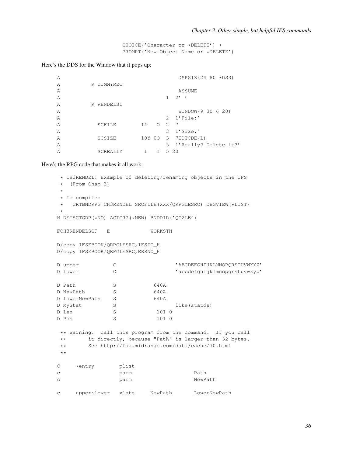CHOICE('Character or \*DELETE') + PROMPT('New Object Name or \*DELETE')

#### Here's the DDS for the Window that it pops up:

A DSPSIZ(24 80 \*DS3) A R DUMMYREC A ASSUME  $A$  1 2' ' A R RENDELS1 A WINDOW(9 30 6 20) A 2 1'File:' A SCFILE 14 O 2 7 A 3 1'Size:' A SCSIZE 10Y 00 3 7EDTCDE(L) A 5 1'Really? Delete it?' A SCREALLY 1 I 5 20

Here's the RPG code that makes it all work:

```
* CH3RENDEL: Example of deleting/renaming objects in the IFS
* (From Chap 3)
 *
* To compile:
* CRTBNDRPG CH3RENDEL SRCFILE(xxx/QRPGLESRC) DBGVIEW(*LIST)
 *
H DFTACTGRP(*NO) ACTGRP(*NEW) BNDDIR('QC2LE')
FCH3RENDELSCF E WORKSTN
D/copy IFSEBOOK/QRPGLESRC,IFSIO_H
D/copy IFSEBOOK/QRPGLESRC,ERRNO_H
D upper C C 'ABCDEFGHIJKLMNOPORSTUVWXYZ'
D lower C C 'abcdefghijklmnopqrstuvwxyz'
D Path S 640A
D NewPath S 640A
D LowerNewPath S 640A
D MyStat S S like (statds)
D Len S 10I 0
D Pos S 10I 0
** Warning: call this program from the command. If you call
** it directly, because "Path" is larger than 32 bytes.
** See http://faq.midrange.com/data/cache/70.html
**
C *entry plist
c parm Path
c parm NewPath
c upper:lower xlate NewPath LowerNewPath
```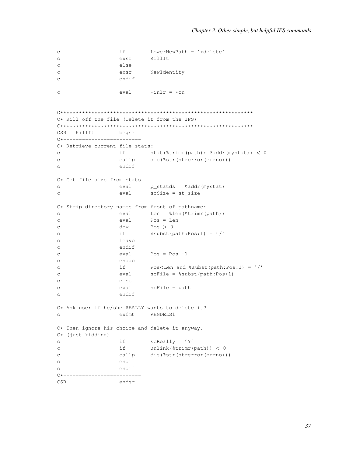```
_{\rm C}i fLowerNewPath = '*delete'
                              KillIt
                    exsr
\mathsf{C}else
\mathcal{C}NewIdentity
                     exsr
\mathcal{C}endif
\mathsf{C}*inlr = *on_{\rm C}eval
C* Kill off the file (Delete it from the IFS)
CSR Ki11Ttbegsr
C*----------------------------
C* Retrieve current file stats:
\mathbf{C}if stat(%trimr(path): %addr(mystat)) < 0
\mathbf{C}callp
                              die (%str (strerror (errno)))
                     endif
\mathsf{C}C* Get file size from stats
                   eval p_statds = %addr(mystat)
_{\rm C}scSize = st_size
_{\rm C}eval
C* Strip directory names from front of pathname:
                    eval Len = %len(%trimr(path))
\mathtt{C}Pos = Len\mathsf{C}eval
                    dow
                              Pos > 0\mathsf{C}if
                               \text{Subst}(\text{path:Pos:1}) = \text{1}\mathtt{C}leave
\mathcal{C}endif
\mathcal{C}eval
                              Pos = Pos -1\mathtt{C}enddo
\mathcal{C}Pos<Len and %subst(path:Pos:1) = \prime /\prime<br>scFile = %subst(path:Pos+1)
                    if
\mathtt{C}eval\mathsf{C}\mathbf{C}else
\mathcal{C}eval
                             scFile = path
                     endif
_{\rm C}C* Ask user if he/she REALLY wants to delete it?
                    exfmt RENDELS1
\mathbf{C}C* Then ignore his choice and delete it anyway.
C* (just kidding)
                    if
                              scReally = 'Y'\mathtt{C}if
                              unlink(%trimr(path)) < 0
\mathsf{C}callp
                              die (%str (strerror (errno)))
\mathcal{C}\mathtt{C}endif
                    endif
\simC*--------------------------
CSR
                    endsr
```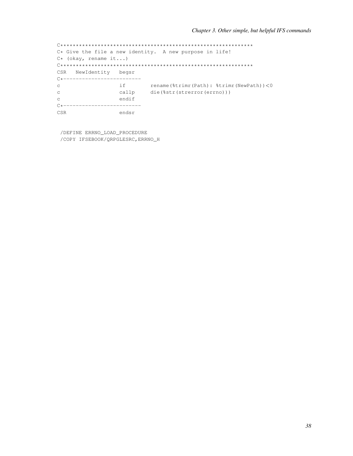C\* Give the file a new identity. A new purpose in life!  $C*$  (okay, rename it...) CSR NewIdentity begsr C\*--------------------------if rename(%trimr(Path): %trimr(NewPath))<0<br>callp die(%str(strerror(errno)))  $\mathbf{C}$  $\mathbf C$  $\mathbf{C}$ endif C\*-------------------------- $CSR$ endsr

/DEFINE ERRNO\_LOAD\_PROCEDURE /COPY IFSEBOOK/QRPGLESRC, ERRNO\_H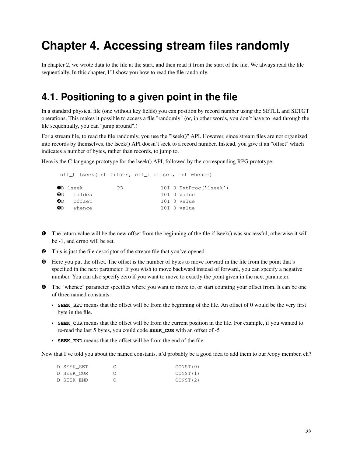# **Chapter 4. Accessing stream files randomly**

In chapter 2, we wrote data to the file at the start, and then read it from the start of the file. We always read the file sequentially. In this chapter, I'll show you how to read the file randomly.

### **4.1. Positioning to a given point in the file**

In a standard physical file (one without key fields) you can position by record number using the SETLL and SETGT operations. This makes it possible to access a file "randomly" (or, in other words, you don't have to read through the file sequentially, you can "jump around".)

For a stream file, to read the file randomly, you use the "lseek()" API. However, since stream files are not organized into records by themselves, the lseek() API doesn't seek to a record number. Instead, you give it an "offset" which indicates a number of bytes, rather than records, to jump to.

Here is the C-language prototype for the lseek() API, followed by the corresponding RPG prototype:

| off t lseek (int fildes, off t offset, int whence) |    |  |                        |
|----------------------------------------------------|----|--|------------------------|
| $\mathbf{0}$ D lseek                               | PR |  | 10I 0 ExtProc('lseek') |
| 0D fildes                                          |    |  | 10I O value            |
| $\bullet$ Doffset                                  |    |  | 10I O value            |
| <b>O</b> D whence                                  |    |  | 10I O value            |
|                                                    |    |  |                        |

- ➊ The return value will be the new offset from the beginning of the file if lseek() was successful, otherwise it will be -1, and errno will be set.
- ➋ This is just the file descriptor of the stream file that you've opened.
- ➌ Here you put the offset. The offset is the number of bytes to move forward in the file from the point that's specified in the next parameter. If you wish to move backward instead of forward, you can specify a negative number. You can also specify zero if you want to move to exactly the point given in the next parameter.
- ➍ The "whence" parameter specifies where you want to move to, or start counting your offset from. It can be one of three named constants:
	- **SEEK\_SET** means that the offset will be from the beginning of the file. An offset of 0 would be the very first byte in the file.
	- **SEEK\_CUR** means that the offset will be from the current position in the file. For example, if you wanted to re-read the last 5 bytes, you could code **SEEK\_CUR** with an offset of -5
	- **SEEK\_END** means that the offset will be from the end of the file.

Now that I've told you about the named constants, it'd probably be a good idea to add them to our /copy member, eh?

| D SEEK SET | CONST(0) |
|------------|----------|
| D SEEK CUR | CONST(1) |
| D SEEK END | CONST(2) |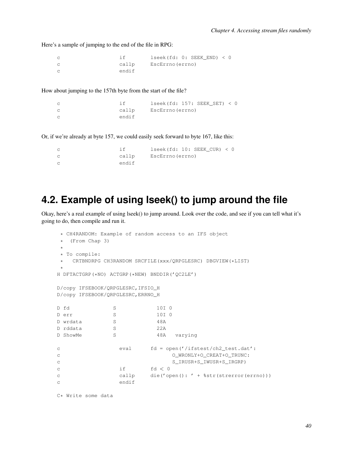Here's a sample of jumping to the end of the file in RPG:

```
c if lseek(fd: 0: SEEK_END) < 0
c callp EscErrno(errno)
c endif
```
How about jumping to the 157th byte from the start of the file?

```
c if lseek(fd: 157: SEEK_SET) < 0
c callp EscErrno(errno)
c endif
```
Or, if we're already at byte 157, we could easily seek forward to byte 167, like this:

| $\mathbb C$    |       | lseek (fd: 10: SEEK CUR) < 0 |
|----------------|-------|------------------------------|
| $\mathbb C$    | callp | EscErrno (errno)             |
| $\overline{C}$ | endif |                              |

## **4.2. Example of using lseek() to jump around the file**

Okay, here's a real example of using lseek() to jump around. Look over the code, and see if you can tell what it's going to do, then compile and run it.

```
* CH4RANDOM: Example of random access to an IFS object
* (From Chap 3)
*
* To compile:
  CRTBNDRPG CH3RANDOM SRCFILE(xxx/QRPGLESRC) DBGVIEW(*LIST)
*
H DFTACTGRP(*NO) ACTGRP(*NEW) BNDDIR('QC2LE')
D/copy IFSEBOOK/QRPGLESRC,IFSIO_H
D/copy IFSEBOOK/QRPGLESRC,ERRNO_H
D fd S 10I 0
D err S 10I 0
D wrdata S 3 48A
D rddata S 22A
D ShowMe S S 48A varying
c eval fd = open('/ifstest/ch2 test.dat':
c O_WRONLY+O_CREAT+O_TRUNC:
c S_IRUSR+S_IWUSR+S_IRGRP)
c if f d < 0c callp die('open(): ' + %str(strerror(errno)))
c endif
```
C\* Write some data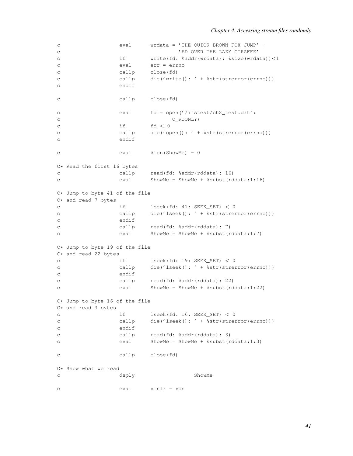```
c eval wrdata = 'THE QUICK BROWN FOX JUMP' +
c <sup>'ED</sup> OVER THE LAZY GIRAFFE'
c if write(fd: %addr(wrdata): %size(wrdata))<1
c eval err = errno
c callp close(fd)
c callp die('write(): ' + %str(strerror(errno)))
c endif
c callp close(fd)
c eval fd = open('/ifstest/ch2_test.dat':
c O_RDONLY)
c if fd < 0c callp die('open(): ' + %str(strerror(errno)))
c endif
c eval %len(ShowMe) = 0
C* Read the first 16 bytes<br>c calc callp read(fd: %addr(rddata): 16)
c eval ShowMe = ShowMe + %subst(rddata:1:16)
C* Jump to byte 41 of the file
C* and read 7 bytes
c if lseek(fd: 41: SEEK_SET) < 0
c callp die('lseek(): ' + %str(strerror(errno)))
c endif
c callp read(fd: %addr(rddata): 7)
c eval ShowMe = ShowMe + %subst(rddata:1:7)
C* Jump to byte 19 of the file
C* and read 22 bytes<br>C* if
c if lseek(fd: 19: SEEK_SET) < 0
c callp die('lseek(): ' + %str(strerror(errno)))
c endif
c callp read(fd: %addr(rddata): 22)
c eval ShowMe = ShowMe + %subst(rddata:1:22)
C* Jump to byte 16 of the file
C* and read 3 bytes
c if lseek(fd: 16: SEEK_SET) < 0
c callp die('lseek(): ' + %str(strerror(errno)))
c endif
c callp read(fd: %addr(rddata): 3)
c eval ShowMe = ShowMe + %subst(rddata:1:3)
c callp close(fd)
C* Show what we read
c dsply ShowMe
c \text{eval} \text{*inlr} = \text{*on}
```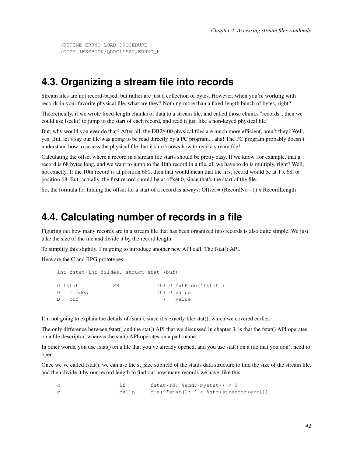#### **4.3. Organizing a stream file into records**

Stream files are not record-based, but rather are just a collection of bytes. However, when you're working with records in your favorite physical file, what are they? Nothing more than a fixed-length bunch of bytes, right?

Theoretically, if we wrote fixed-length chunks of data to a stream file, and called those chunks "records", then we could use lseek() to jump to the start of each record, and read it just like a non-keyed physical file!

But, why would you ever do that? After all, the DB2/400 physical files are much more efficient, aren't they? Well, yes. But, let's say our file was going to be read directly by a PC program... aha! The PC program probably doesn't understand how to access the physical file, but it sure knows how to read a stream file!

Calculating the offset where a record in a stream file starts should be pretty easy. If we know, for example, that a record is 68 bytes long, and we want to jump to the 10th record in a file, all we have to do is multiply, right? Well, not exactly. If the 10th record is at position 680, then that would mean that the first record would be at 1 x 68, or position 68. But, actually, the first record should be at offset 0, since that's the start of the file.

So, the formula for finding the offset for a start of a record is always: Offset = (RecordNo - 1) x RecordLength

#### **4.4. Calculating number of records in a file**

Figuring out how many records are in a stream file that has been organized into records is also quite simple. We just take the size of the file and divide it by the record length.

To simplify this slightly, I'm going to introduce another new API call. The fstat() API.

Here are the C and RPG prototypes:

```
int fstat(int fildes, struct stat *buf)
D fstat PR 10I 0 ExtProc('fstat')
D fildes 10I 0 value
D buf * value
```
I'm not going to explain the details of fstat(), since it's exactly like stat(), which we covered earlier.

The only difference between fstat() and the stat() API that we discussed in chapter 3, is that the fstat() API operates on a file descriptor, whereas the stat() API operates on a path name.

In other words, you use fstat() on a file that you've already opened, and you use stat() on a file that you don't need to open.

Once we've called fstat(), we can use the st size subfield of the statds data structure to find the size of the stream file, and then divide it by our record length to find out how many records we have, like this:

|       | fstat(fd: %addr(mystat)) < 0              |
|-------|-------------------------------------------|
| callp | die('fstat(): ' + $%$ str(strerror(err))) |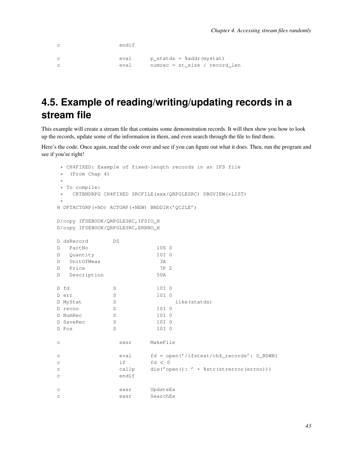```
c endif
c eval p_statds = %addr(mystat)
c eval numrec = st_size / record_len
```
# **4.5. Example of reading/writing/updating records in a stream file**

This example will create a stream file that contains some demonstration records. It will then show you how to look up the records, update some of the information in them, and even search through the file to find them.

Here's the code. Once again, read the code over and see if you can figure out what it does. Then, run the program and see if you're right!

```
* CH4FIXED: Example of fixed-length records in an IFS file
* (From Chap 4)
*
* To compile:
* CRTBNDRPG CH4FIXED SRCFILE(xxx/QRPGLESRC) DBGVIEW(*LIST)
*
H DFTACTGRP(*NO) ACTGRP(*NEW) BNDDIR('QC2LE')
D/copy IFSEBOOK/QRPGLESRC,IFSIO_H
D/copy IFSEBOOK/QRPGLESRC,ERRNO_H
D dsRecord DS
D PartNo 10S 0
D Quantity 10I 0
D UnitOfMeas 3A
D Price 7P 2
D Description 50A
D fd S 10I 0
D err S 10I 0
D MyStat S S like(statds)
D recno S 10I 0
D NumRec S 10I 0
D SaveRec S 10I 0
D Pos S 10I 0
c exsr MakeFile
c eval fd = open('/ifstest/ch4 records': O_RDWR)
c if fd < 0c callp die('open(): ' + %str(strerror(errno)))
c endif
c exsr UpdateEx
c exsr SearchEx
```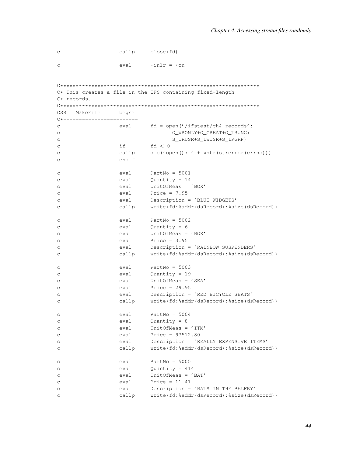| C | callp | close(fd)      |
|---|-------|----------------|
| C | eval  | $*int r = *on$ |

| $C*$ This creates a file in the IFS containing fixed-length<br>C* records. |                |                                                                        |  |
|----------------------------------------------------------------------------|----------------|------------------------------------------------------------------------|--|
|                                                                            |                |                                                                        |  |
| CSR MakeFile                                                               | begsr          |                                                                        |  |
| $C*$ --------------<br>С<br>C                                              |                | eval $fd = open('/ifstest/ch4\_records':$<br>O_WRONLY+O_CREAT+O_TRUNC: |  |
| С                                                                          |                | S_IRUSR+S_IWUSR+S_IRGRP)                                               |  |
| С                                                                          | if             | fd < 0                                                                 |  |
| C<br>С                                                                     | callp<br>endif | die ('open (): ' + $%$ str (strerror (errno)))                         |  |
| С                                                                          | eval           | PartNo = $5001$                                                        |  |
| C                                                                          | eval           | Quantity = $14$                                                        |  |
| С                                                                          | eval           | UnitOfMeas = $'$ BOX'                                                  |  |
| С                                                                          | eval           | Price = $7.95$                                                         |  |
| С                                                                          | eval           | Description = 'BLUE WIDGETS'                                           |  |
| С                                                                          | callp          | write(fd:%addr(dsRecord):%size(dsRecord))                              |  |
| С                                                                          | eval           | PartNo = $5002$                                                        |  |
| С                                                                          |                | $eval$ Quantity = 6                                                    |  |
| С                                                                          | eval           | UnitOfMeas = 'BOX'                                                     |  |
| C                                                                          | eval           | Price = $3.95$                                                         |  |
| С                                                                          | eval           | Description = 'RAINBOW SUSPENDERS'                                     |  |
| С                                                                          | callp          | write(fd:%addr(dsRecord):%size(dsRecord))                              |  |
| С                                                                          | eval           | PartNo = $5003$                                                        |  |
| С                                                                          | eval           | Quantity = $19$                                                        |  |
| С                                                                          | eval           | UnitOfMeas = $'SEA'$                                                   |  |
| С                                                                          | eval           | Price = $29.95$                                                        |  |
| С                                                                          | eval           | Description = 'RED BICYCLE SEATS'                                      |  |
| C                                                                          | callp          | write(fd:%addr(dsRecord):%size(dsRecord))                              |  |
| С                                                                          | eval           | PartNo = $5004$                                                        |  |
| С                                                                          | eval           | Quantity = $8$                                                         |  |
| C                                                                          | eval           | UnitOfMeas = $'ITM'$                                                   |  |
| C                                                                          | eval           | Price = $93512.80$                                                     |  |
| С                                                                          | eval           | Description = 'REALLY EXPENSIVE ITEMS'                                 |  |
| C                                                                          | callp          | write(fd:%addr(dsRecord):%size(dsRecord))                              |  |
| C                                                                          | eval           | PartNo = $5005$                                                        |  |
| C                                                                          | eval           | Quantity = $414$                                                       |  |
| C                                                                          | eval           | UnitOfMeas = $'BAT'$                                                   |  |
| C                                                                          | eval           | Price = $11.41$                                                        |  |
| C                                                                          | eval           | Description = 'BATS IN THE BELFRY'                                     |  |
| C                                                                          | callp          | write(fd:%addr(dsRecord):%size(dsRecord))                              |  |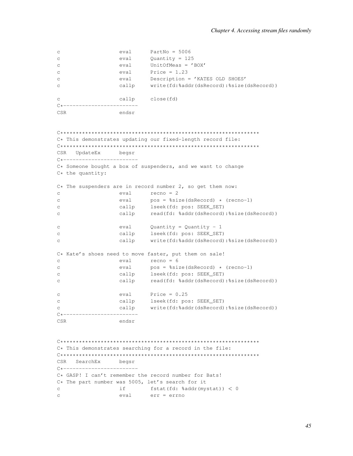```
eval
                             Quantity = 125\mathsf{C}eval
                             UnitOfMeas = 'BOX'
\mathcal{C}Price = 1.23eval
\mathcal{C}Description = 'KATES OLD SHOES'
                    eval
\mathsf{C}callp
                              write(fd:%addr(dsRecord):%size(dsRecord))
\Gammacallp
\Gammaclose(fd)
CSR
                    endsr
C* This demonstrates updating our fixed-length record file:
CSR UpdateEx
                  begsr
C*-------------------------
C* Someone bought a box of suspenders, and we want to change
C* the quantity:
C* The suspenders are in record number 2, so get them now:
                    eval
                            recho = 2\mathsf{C}eval
                              pos = %size(dsRecord) * (recno-1)\mathcal{C}callp
                              lseek (fd: pos: SEEK_SET)
\mathtt{C}read(fd: %addr(dsRecord):%size(dsRecord))
\mathtt{C}callp
                    eval Quantity = Quantity - 1<br>callp lseek(fd: pos: SEEK_SET)
\mathcal{C}\mathtt{C}write(fd:%addr(dsRecord):%size(dsRecord))
                    callp
\mathcal{C}C* Kate's shoes need to move faster, put them on sale!
                             recho = 6eval
\mathcal{C}pos = %size(dsRecord) * (recno-1)eval
\mathsf{C}callp lseek (fd: pos: SEEK_SET)
\mathsf{C}\mathcal{C}callp
                             read(fd: %addr(dsRecord):%size(dsRecord))
                    eval
                             Price = 0.25\mathcal{C}callp
                              lseek (fd: pos: SEEK_SET)
\mathsf{C}write(fd:%addr(dsRecord):%size(dsRecord))
                    callp
\simC*-------------------------
CSR
                    endsr
C* This demonstrates searching for a record in the file:
CSRSearchEx
                    begsr
C*-------------------------
C* GASP! I can't remember the record number for Bats!
C* The part number was 5005, let's search for it
                    if and the set of the set of the set of the set of the set of the set of the set of the set of the set of the set of the set of the set of the set of the set of the set of the set of the set of the set of the set of the se
                             fstat(fd: %addr(mystal)) < 0_{\rm C}\mathcal{C}eval
                             err = err
```
PartNo =  $5006$ 

eval

 $\overline{C}$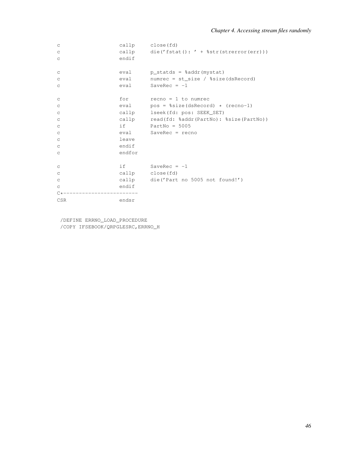| $\mathsf C$  |        | callp close(fd)                                |
|--------------|--------|------------------------------------------------|
| $\mathtt{C}$ |        | callp $die('fstat(): ' + %str(strerror(err)))$ |
| $\mathtt{C}$ | endif  |                                                |
| $\mathsf C$  |        | eval p_statds = %addr(mystat)                  |
| $\mathtt{C}$ |        | eval numrec = $st\_size / $size (dskecord)$    |
| $\mathsf C$  |        | $eval$ SaveRec = $-1$                          |
| C            |        | $for$ $recho = 1 to numrec$                    |
| $\mathtt{C}$ |        | eval $pos = %size(dsRecord) * (recno-1)$       |
| $\mathtt{C}$ |        | callp lseek (fd: pos: SEEK_SET)                |
| $\mathsf C$  |        | callp read(fd: %addr(PartNo): %size(PartNo))   |
| $\rm{C}$     |        | $if \t\t PartNo = 5005$                        |
| $\mathtt{C}$ |        | eval SaveRec = recno                           |
| $\mathtt{C}$ | leave  |                                                |
| $\rm{C}$     | endif  |                                                |
| $\mathsf C$  | endfor |                                                |
| $\mathsf C$  |        | if $SaveRec = -1$                              |
| $\mathtt{C}$ |        | callp close(fd)                                |
| $\mathtt{C}$ |        | callp die('Part no 5005 not found!')           |
| $\mathsf{C}$ | endif  |                                                |
| $C*$         |        |                                                |
| <b>CSR</b>   | endsr  |                                                |

/DEFINE ERRNO\_LOAD\_PROCEDURE /COPY IFSEBOOK/QRPGLESRC,ERRNO\_H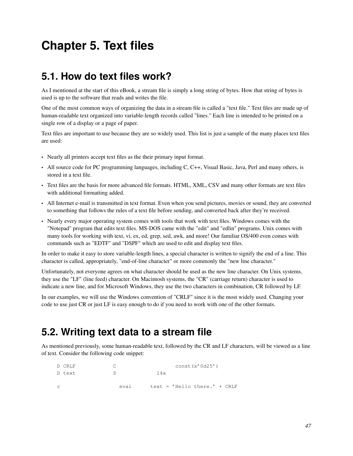# **Chapter 5. Text files**

# **5.1. How do text files work?**

As I mentioned at the start of this eBook, a stream file is simply a long string of bytes. How that string of bytes is used is up to the software that reads and writes the file.

One of the most common ways of organizing the data in a stream file is called a "text file." Text files are made up of human-readable text organized into variable-length records called "lines." Each line is intended to be printed on a single row of a display or a page of paper.

Text files are important to use because they are so widely used. This list is just a sample of the many places text files are used:

- Nearly all printers accept text files as the their primary input format.
- All source code for PC programming languages, including C, C++, Visual Basic, Java, Perl and many others, is stored in a text file.
- Text files are the basis for more advanced file formats. HTML, XML, CSV and many other formats are text files with additional formatting added.
- All Internet e-mail is transmitted in text format. Even when you send pictures, movies or sound, they are converted to something that follows the rules of a text file before sending, and converted back after they're received.
- Nearly every major operating system comes with tools that work with text files. Windows comes with the "Notepad" program that edits text files. MS-DOS came with the "edit" and "edlin" programs. Unix comes with many tools for working with text, vi, ex, ed, grep, sed, awk, and more! Our familiar OS/400 even comes with commands such as "EDTF" and "DSPF" which are used to edit and display text files.

In order to make it easy to store variable-length lines, a special character is written to signify the end of a line. This character is called, appropriately, "end-of-line character" or more commonly the "new line character."

Unfortunately, not everyone agrees on what character should be used as the new line character. On Unix systems, they use the "LF" (line feed) character. On Macintosh systems, the "CR" (carriage return) character is used to indicate a new line, and for Microsoft Windows, they use the two characters in combination, CR followed by LF.

In our examples, we will use the Windows convention of "CRLF" since it is the most widely used. Changing your code to use just CR or just LF is easy enough to do if you need to work with one of the other formats.

# **5.2. Writing text data to a stream file**

As mentioned previously, some human-readable text, followed by the CR and LF characters, will be viewed as a line of text. Consider the following code snippet:

| D CRLF        |       | const(x'0d25')                  |
|---------------|-------|---------------------------------|
| D text        |       | 14a                             |
| $\mathcal{C}$ | eva 1 | text = $'$ Hello there.' + CRLF |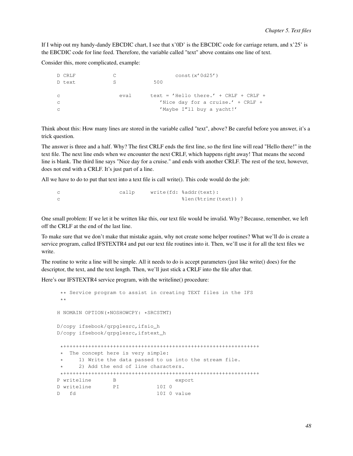If I whip out my handy-dandy EBCDIC chart, I see that x'0D' is the EBCDIC code for carriage return, and x'25' is the EBCDIC code for line feed. Therefore, the variable called "text" above contains one line of text.

Consider this, more complicated, example:

| D CRLF       |       | const(x'0d25')                           |
|--------------|-------|------------------------------------------|
| D text       | S     | 500                                      |
|              |       |                                          |
| $\mathbf C$  | eva l | text = $'$ Hello there.' + CRLF + CRLF + |
| $\mathbf C$  |       | 'Nice day for a cruise.' + $CRLF +$      |
| $\mathbb{C}$ |       | 'Maybe I"ll buy a yacht!'                |
|              |       |                                          |

Think about this: How many lines are stored in the variable called "text", above? Be careful before you answer, it's a trick question.

The answer is three and a half. Why? The first CRLF ends the first line, so the first line will read "Hello there!" in the text file. The next line ends when we encounter the next CRLF, which happens right away! That means the second line is blank. The third line says "Nice day for a cruise." and ends with another CRLF. The rest of the text, however, does not end with a CRLF. It's just part of a line.

All we have to do to put that text into a text file is call write(). This code would do the job:

c callp write(fd: %addr(text): c  $\ell$  %len(%trimr(text)) )

One small problem: If we let it be written like this, our text file would be invalid. Why? Because, remember, we left off the CRLF at the end of the last line.

To make sure that we don't make that mistake again, why not create some helper routines? What we'll do is create a service program, called IFSTEXTR4 and put our text file routines into it. Then, we'll use it for all the text files we write.

The routine to write a line will be simple. All it needs to do is accept parameters (just like write() does) for the descriptor, the text, and the text length. Then, we'll just stick a CRLF into the file after that.

Here's our IFSTEXTR4 service program, with the writeline() procedure:

```
** Service program to assist in creating TEXT files in the IFS
**
H NOMAIN OPTION(*NOSHOWCPY: *SRCSTMT)
D/copy ifsebook/qrpglesrc,ifsio_h
D/copy ifsebook/qrpglesrc,ifstext_h
*+++++++++++++++++++++++++++++++++++++++++++++++++++++++++++++++
* The concept here is very simple:
     1) Write the data passed to us into the stream file.
      2) Add the end of line characters.
*+++++++++++++++++++++++++++++++++++++++++++++++++++++++++++++++
P writeline B export
D writeline PI 10I 0
D fd 10I 0 value
```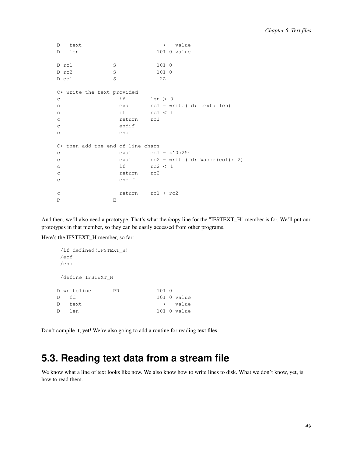```
D text \qquad \qquad * value<br>D len \qquad \qquad 10I \t0 \text{ value}10I 0 value
D rc1 S 10I 0
D rc2 S 10I 0
D eol S 2A
C* write the text provided<br>c if
c if \t len > 0c eval rc1 = write(fd: text: len)
c if rcl < 1c return rc1
c endif
c endif
C* then add the end-of-line chars
c eval eol = x'0d25'
c eval rc2 = write(fd: %addr(eol): 2)
c if rc2 < 1c return rc2
c endif
c return rc1 + rc2
P EXECUTIVE RESERVE
```
And then, we'll also need a prototype. That's what the /copy line for the "IFSTEXT\_H" member is for. We'll put our prototypes in that member, so they can be easily accessed from other programs.

Here's the IFSTEXT\_H member, so far:

```
/if defined(IFSTEXT_H)
/eof
/endif
/define IFSTEXT_H
D writeline PR 10I 0
D fd 10I 0 value
D text * value
D len 10I 0 value
```
Don't compile it, yet! We're also going to add a routine for reading text files.

# **5.3. Reading text data from a stream file**

We know what a line of text looks like now. We also know how to write lines to disk. What we don't know, yet, is how to read them.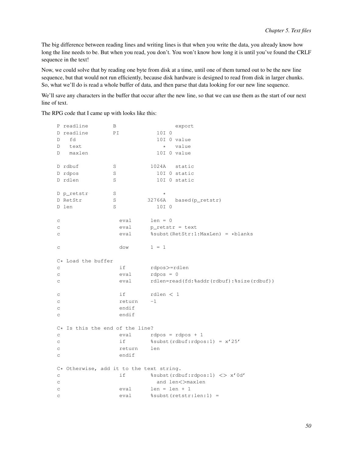The big difference between reading lines and writing lines is that when you write the data, you already know how long the line needs to be. But when you read, you don't. You won't know how long it is until you've found the CRLF sequence in the text!

Now, we could solve that by reading one byte from disk at a time, until one of them turned out to be the new line sequence, but that would not run efficiently, because disk hardware is designed to read from disk in larger chunks. So, what we'll do is read a whole buffer of data, and then parse that data looking for our new line sequence.

We'll save any characters in the buffer that occur after the new line, so that we can use them as the start of our next line of text.

The RPG code that I came up with looks like this:

|                           | P readline                               | В       |                 | export                                   |
|---------------------------|------------------------------------------|---------|-----------------|------------------------------------------|
|                           | D readline                               | PΙ      | 10I 0           |                                          |
| D                         | fd                                       |         |                 | 10I 0 value                              |
| D                         | text                                     |         | $\star$         | value                                    |
| D                         | maxlen                                   |         |                 | 10I 0 value                              |
|                           |                                          |         |                 |                                          |
|                           | D rdbuf                                  | S       | 1024A           | static                                   |
|                           | D rdpos                                  | S       |                 | 10I 0 static                             |
|                           | D rdlen                                  | S       |                 | 10I 0 static                             |
|                           |                                          |         |                 |                                          |
|                           | D p_retstr                               | S       | $\star$         |                                          |
|                           | D RetStr                                 | $\rm S$ | 32766A          | based(p_retstr)                          |
|                           | D len                                    | S       | 10I 0           |                                          |
|                           |                                          |         |                 |                                          |
| C                         |                                          | eval    | $len = 0$       |                                          |
| C                         |                                          | eval    |                 | $p_{\text{relstr}} = \text{text}$        |
| $\mathsf C$               |                                          | eval    |                 | %subst(RetStr:1:MaxLen) = *blanks        |
|                           |                                          |         |                 |                                          |
| C                         |                                          | dow     | $1 = 1$         |                                          |
|                           |                                          |         |                 |                                          |
|                           | C* Load the buffer                       |         |                 |                                          |
| C                         |                                          | if      | rdpos>=rdlen    |                                          |
| $\rm{C}$                  |                                          | eval    | $rdpos = 0$     |                                          |
| $\subset$                 |                                          | eval    |                 | rdlen=read(fd:%addr(rdbuf):%size(rdbuf)) |
|                           |                                          |         |                 |                                          |
| C                         |                                          | if      | rdlen $<$ 1     |                                          |
| $\rm ^c$                  |                                          | return  | $-1$            |                                          |
| $\rm _C$                  |                                          | endif   |                 |                                          |
| $\mathop{\rm \mathsf{C}}$ |                                          | endif   |                 |                                          |
|                           |                                          |         |                 |                                          |
|                           | $C*$ Is this the end of the line?        |         |                 |                                          |
| $\mathtt{C}$              |                                          | eval    |                 | $rdpos = rdpos + 1$                      |
| $\rm{C}$                  |                                          | if      |                 | %subst(rdbuf: rdpos: 1) = $x'$ 25'       |
| $\rm ^c$                  |                                          | return  | len             |                                          |
| C                         |                                          | endif   |                 |                                          |
|                           |                                          |         |                 |                                          |
|                           | C* Otherwise, add it to the text string. |         |                 |                                          |
| $\mathop{\rm \mathsf{C}}$ |                                          | if      |                 | %subst(rdbuf:rdpos:1) <> x'0d'           |
| $\rm{C}$                  |                                          |         |                 | and len<>maxlen                          |
| $\rm ^c$                  |                                          | eval    | $len = len + 1$ |                                          |
| $\mathsf{C}$              |                                          | eval    |                 | %subst(retstr:len:1) =                   |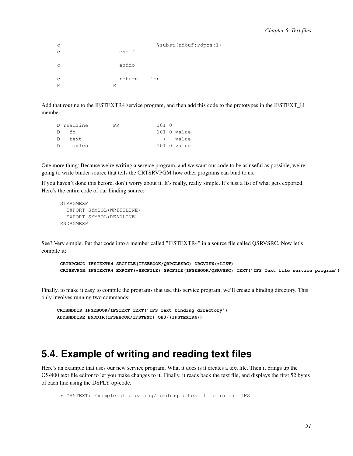|              | %subst(rdbuf:rdpos:1) |
|--------------|-----------------------|
| endif        |                       |
| enddo        |                       |
| return<br>F. | len                   |
|              |                       |

Add that routine to the IFSTEXTR4 service program, and then add this code to the prototypes in the IFSTEXT\_H member:

|    | D readline | PR. | 10T 0 |             |
|----|------------|-----|-------|-------------|
| D  | - Fd       |     |       | 10I O value |
|    | D text     |     |       | * value     |
| D. | maxlen     |     |       | 10I O value |

One more thing: Because we're writing a service program, and we want our code to be as useful as possible, we're going to write binder source that tells the CRTSRVPGM how other programs can bind to us.

If you haven't done this before, don't worry about it. It's really, really simple. It's just a list of what gets exported. Here's the entire code of our binding source:

```
STRPGMEXP
  EXPORT SYMBOL(WRITELINE)
  EXPORT SYMBOL(READLINE)
ENDPGMEXP
```
See? Very simple. Put that code into a member called "IFSTEXTR4" in a source file called QSRVSRC. Now let's compile it:

```
CRTRPGMOD IFSTEXTR4 SRCFILE(IFSEBOOK/QRPGLESRC) DBGVIEW(*LIST)
CRTSRVPGM IFSTEXTR4 EXPORT(*SRCFILE) SRCFILE(IFSEBOOK/QSRVSRC) TEXT('IFS Text file service program')
```
Finally, to make it easy to compile the programs that use this service program, we'll create a binding directory. This only involves running two commands:

```
CRTBNDDIR IFSEBOOK/IFSTEXT TEXT('IFS Text binding directory')
ADDBNDDIRE BNDDIR(IFSEBOOK/IFSTEXT) OBJ((IFSTEXTR4))
```
#### **5.4. Example of writing and reading text files**

Here's an example that uses our new service program. What it does is it creates a text file. Then it brings up the OS/400 text file editor to let you make changes to it. Finally, it reads back the text file, and displays the first 52 bytes of each line using the DSPLY op-code.

```
* CH5TEXT: Example of creating/reading a text file in the IFS
```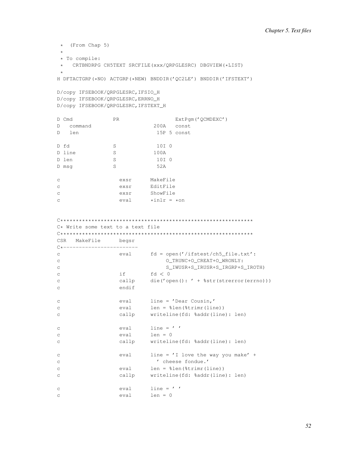```
\star (From Chap 5)
 \ddot{\phantom{1}}* To compile:
 * CRTBNDRPG CH5TEXT SRCFILE (xxx/QRPGLESRC) DBGVIEW (*LIST)
H DFTACTGRP (*NO) ACTGRP (*NEW) BNDDIR ('QC2LE') BNDDIR ('IFSTEXT')
D/copy IFSEBOOK/QRPGLESRC, IFSIO_H
D/copy IFSEBOOK/QRPGLESRC, ERRNO_H
D/copy IFSEBOOK/QRPGLESRC, IFSTEXT_H
D Cmd
                            PR
                                                               ExtPgm('QCMDEXC')
D command
                                                   200A const
D len
                                                     15P 5 const
                \frac{S}{S}10I 0
D fd
D line
                                                  100AD len
                                                    10I 0
                            SD msg S
                                                    52A
                               exsr MakeFile
\mathbf{C}EditFile
                               exsr
\mathbf Cexsr
                                                ShowFile
\mathbf Ceval *inlr = *on\mathbf{C}\label{eq:1} \textcolor{red}{\textbf{C}\textcolor{blue}{\textbf{+}\textcolor{blue}{\textbf{+}\textcolor{blue}{\textbf{+}\textcolor{blue}{\textbf{+}\textcolor{blue}{\textbf{+}\textcolor{blue}{\textbf{+}\textcolor{blue}{\textbf{+}\textcolor{blue}{\textbf{+}}\textcolor{blue}{\textbf{+}}\textcolor{blue}{\textbf{+}}\textcolor{blue}{\textbf{+}\textcolor{blue}{\textbf{+}\textcolor{blue}{\textbf{+}}\textcolor{blue}{\textbf{+}\textcolor{blue}{\textbf{+}}\textcolor{blue}{\textbf{+}\textcolor{blue}{\textbf{+}\textcolor{blue}{\textbf{
```
# C\* Write some text to a text file

| CSR MakeFile | begsr |
|--------------|-------|

| -----------                |                  |                                                 |
|----------------------------|------------------|-------------------------------------------------|
| C*------------------------ |                  |                                                 |
| $\mathtt{C}$               | eval             | $fd = open('/ifstest/ch5_file.txt':$            |
| C                          |                  | O TRUNC+O CREAT+O WRONLY:                       |
| $\mathsf C$                |                  | S IWUSR+S IRUSR+S IRGRP+S IROTH)                |
| $\mathsf C$                | if a             | fd < 0                                          |
| C                          |                  | callp $die('open(): ' + %str(strerror(errno)))$ |
| $\mathsf C$                | endif            |                                                 |
|                            |                  |                                                 |
| $\mathsf{C}$               |                  | eval line = 'Dear Cousin,'                      |
| $\mathsf C$                |                  | $eval$ len = $\ell$ len ( $\ell$ trimr (line))  |
| $\mathsf C$                |                  | callp writeline(fd: %addr(line): len)           |
|                            |                  |                                                 |
| C                          |                  | $eval$ line = $'$ $'$                           |
| $\mathsf C$                | $eval$ $len = 0$ |                                                 |
| C                          |                  | callp writeline (fd: %addr(line): len)          |
|                            |                  |                                                 |
| C                          | eval             | line = $'I$ love the way you make' +            |
| C                          |                  | ' cheese fondue.'                               |
| C                          | eval             | $len = %len(%time() = %len(1ine))$              |
| C                          | callp            | writeline(fd: %addr(line): len)                 |
|                            |                  |                                                 |
| $\mathsf C$                |                  | $eval$ $line = '$ '                             |
| C                          | $eval$ $len = 0$ |                                                 |
|                            |                  |                                                 |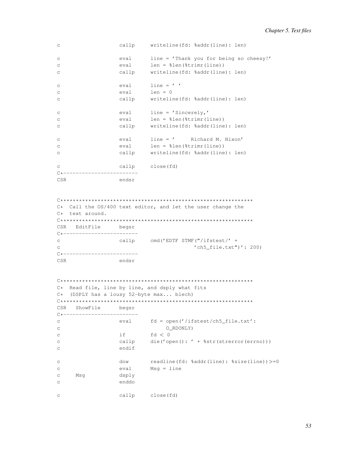| $\mathsf C$  |                  | callp writeline (fd: %addr(line): len)        |
|--------------|------------------|-----------------------------------------------|
| $\mathsf C$  | eval             | line = 'Thank you for being so cheesy!'       |
| $\mathsf C$  | eval             | $len = %len(%trimr(line))$                    |
| $\mathsf C$  | callp            | writeline(fd: %addr(line): len)               |
| $\mathsf{C}$ | eval             | $line = '$                                    |
| $\mathsf{C}$ | eval             | $len = 0$                                     |
| $\mathsf C$  |                  | callp writeline (fd: %addr(line): len)        |
| $\mathsf C$  |                  | $eval$ line = 'Sincerely,'                    |
| $\mathsf{C}$ |                  | $eval$ len = $\text{then} (\text{string}() )$ |
| $\mathsf{C}$ |                  | callp writeline (fd: %addr(line): len)        |
| $\mathsf{C}$ | eval             | line = ' Richard M. Nixon'                    |
| $\mathsf C$  |                  | $eval$ len = $\text{then} (\text{string}() )$ |
| $\mathsf C$  |                  | callp writeline (fd: %addr(line): len)        |
| $\mathsf{C}$ |                  | callp close(fd)                               |
| $C*$         | ---------------- |                                               |
| <b>CSR</b>   | endsr            |                                               |

 $C*$  Call the  $OS/400$  text editor, and let the user change the  $C*$  text around. CSR EditFile begsr  $C$ \*------------------------callp cmd('EDTF STMF("/ifstest/' +  $\mathbf{C}$  $'$ ch5\_file.txt")': 200)  $\mathcal{C}$ C\*-------------------------**CSR** endsr

```
C* Read file, line by line, and dsply what fits
C* (DSPLY has a lousy 52-byte max... blech)
CSR ShowFile
                begsr
C*-------------------------
                       fd = open('/ifstest/ch5_file.txt'.\mathsf{C}eval
                             O_RDONLY)
_{\rm C}if fd < 0<br>callp die('open(): ' + %str(strerror(errno)))_{\rm C}\mathbf C\mathbf Cendif
                       readline(fd: %addr(line): %size(line))>=0<br>Msg = line
\mathtt{C}dow
\mathbf{C}eval
                dsply
\mathtt{C}^-Msg
                enddo
\mathbf{C}callp close(fd)
\mathtt{C}
```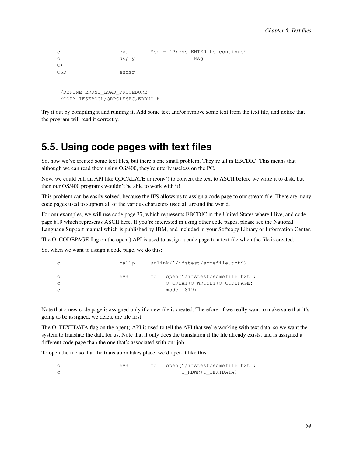```
c eval Msg = 'Press ENTER to continue'
c dsply Msg
C*-------------------------
CSR endsr
/DEFINE ERRNO_LOAD_PROCEDURE
/COPY IFSEBOOK/QRPGLESRC,ERRNO_H
```
Try it out by compiling it and running it. Add some text and/or remove some text from the text file, and notice that the program will read it correctly.

#### **5.5. Using code pages with text files**

So, now we've created some text files, but there's one small problem. They're all in EBCDIC! This means that although we can read them using OS/400, they're utterly useless on the PC.

Now, we could call an API like QDCXLATE or iconv() to convert the text to ASCII before we write it to disk, but then our OS/400 programs wouldn't be able to work with it!

This problem can be easily solved, because the IFS allows us to assign a code page to our stream file. There are many code pages used to support all of the various characters used all around the world.

For our examples, we will use code page 37, which represents EBCDIC in the United States where I live, and code page 819 which represents ASCII here. If you're interested in using other code pages, please see the National Language Support manual which is published by IBM, and included in your Softcopy Library or Information Center.

The O\_CODEPAGE flag on the open() API is used to assign a code page to a text file when the file is created.

So, when we want to assign a code page, we do this:

|     | callp | unlink('/ifstest/somefile.txt')      |
|-----|-------|--------------------------------------|
| - C | eva l | $fd = open('/ifstest/somefile.txt':$ |
| - C |       | O CREAT+O WRONLY+O CODEPAGE:         |
| - C |       | mode: 819)                           |

Note that a new code page is assigned only if a new file is created. Therefore, if we really want to make sure that it's going to be assigned, we delete the file first.

The O\_TEXTDATA flag on the open() API is used to tell the API that we're working with text data, so we want the system to translate the data for us. Note that it only does the translation if the file already exists, and is assigned a different code page than the one that's associated with our job.

To open the file so that the translation takes place, we'd open it like this:

c eval fd = open('/ifstest/somefile.txt': c O\_RDWR+O\_TEXTDATA)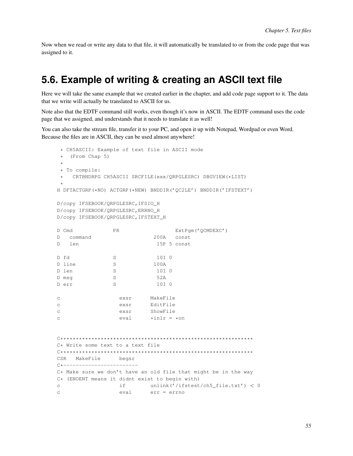Now when we read or write any data to that file, it will automatically be translated to or from the code page that was assigned to it.

#### 5.6. Example of writing & creating an ASCII text file

Here we will take the same example that we created earlier in the chapter, and add code page support to it. The data that we write will actually be translated to ASCII for us.

Note also that the EDTF command still works, even though it's now in ASCII. The EDTF command uses the code page that we assigned, and understands that it needs to translate it as well!

You can also take the stream file, transfer it to your PC, and open it up with Notepad, Wordpad or even Word. Because the files are in ASCII, they can be used almost anywhere!

```
* CH5ASCII: Example of text file in ASCII mode
 \star (From Chap 5)
 * To compile:
    CRTBNDRPG CH5ASCII SRCFILE (xxx/QRPGLESRC) DBGVIEW (*LIST)
 \starH DFTACTGRP (*NO) ACTGRP (*NEW) BNDDIR ('QC2LE') BNDDIR ('IFSTEXT')
D/copy IFSEBOOK/QRPGLESRC, IFSIO_H
D/copy IFSEBOOK/QRPGLESRC, ERRNO_H
D/copy IFSEBOOK/QRPGLESRC, IFSTEXT_H
D Cmd
                                                 ExtPqm('OCMDEXC')
                      PR
D command
                                        200A const
                                          15P 5 const
D \quad \text{len}D fd
                      S10T<sub>0</sub>SD line
                                         100A
                      S10I 0
D len
                                          52A
D msq
                      SD err
                      S10T<sub>0</sub>MakeFile
\mathtt{C}exsr
                                       EditFile
                          exsr
\mathbf{C}ShowFile
\mathsf{C}exsr
                          eval
                                       *inlr = *on\simC* Write some text to a text file
\begin{array}{l} \rule{0pt}{3.5mm}\rule{0pt}{3mm}\rule{0pt}{3mm}\rule{0pt}{3mm}\rule{0pt}{3mm}\rule{0pt}{3mm}\rule{0pt}{3mm}\rule{0pt}{3mm}\rule{0pt}{3mm}\rule{0pt}{3mm}\rule{0pt}{3mm}\rule{0pt}{3mm}\rule{0pt}{3mm}\rule{0pt}{3mm}\rule{0pt}{3mm}\rule{0pt}{3mm}\rule{0pt}{3mm}\rule{0pt}{3mm}\rule{0pt}{3mm}\rule{0pt}{3mm}\rule{0pt}{3mm}\rule{0pt}{3mm}\rule{0pt}{3mm}\rule{0pt}{3mm}\rule{0pt}{3mm}\rule{0pt}{3mm}\rule{CSR
      MakeFile
                          begsr
C*-----------------------
C* Make sure we don't have an old file that might be in the way
C* (ENOENT means it didnt exist to begin with)
                          if
                                      unlink('/ifstest/ch5_file.txt') < 0\mathtt{C}eval
                                       err = errno\mathcal{C}
```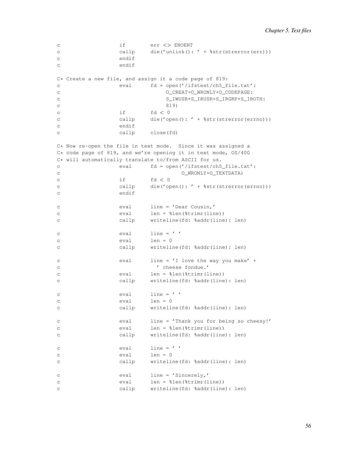```
c if err <> ENOENT
c callp die('unlink(): ' + $str(strerror(err)))
c endif
c endif
C* Create a new file, and assign it a code page of 819:
c eval fd = open('/ifstest/ch5_file.txt':
c O_CREAT+O_WRONLY+O_CODEPAGE:
c S_IWUSR+S_IRUSR+S_IRGRP+S_IROTH:
c 819)
c if f d < 0c callp die('open(): ' + %str(strerror(errno)))
c endif
c callp close(fd)
C* Now re-open the file in text mode. Since it was assigned a
C* code page of 819, and we're opening it in text mode, OS/400
C* will automatically translate to/from ASCII for us.
c eval fd = open('/ifstest/ch5_file.txt':
c O_WRONLY+O_TEXTDATA)
c if fd < 0c callp die('open(): ' + %str(strerror(errno)))
c endif
c eval line = 'Dear Cousin,'
c eval len = %len(%trimr(line))
c callp writeline(fd: %addr(line): len)
c eval line = ' '
c eval len = 0
c callp writeline(fd: %addr(line): len)
c eval line = 'I love the way you make' +
c ' cheese fondue.'
c eval len = %len(%trimr(line))
c callp writeline(fd: %addr(line): len)
c eval line = ' '
c eval len = 0
c callp writeline(fd: %addr(line): len)
c eval line = 'Thank you for being so cheesy!'
c eval len = %len(%trimr(line))
c callp writeline(fd: %addr(line): len)
c \qquad \qquad \text{eval} \qquad \text{line} = \text{'}c eval len = 0
c callp writeline(fd: %addr(line): len)
c eval line = 'Sincerely,'
c eval len = %len(%trimr(line))
c callp writeline(fd: %addr(line): len)
```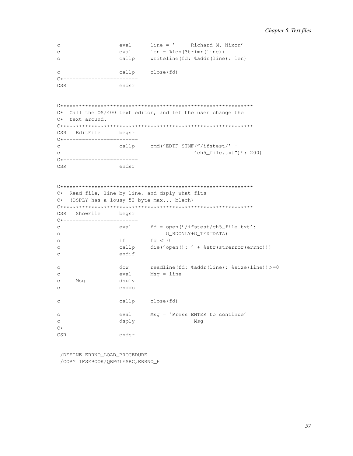```
line = ' Richard M. Nixon'<br>len = %len(%trimr(line))
                eval
_{\rm C}\mathsf{C}eval
                callp
                        writeline(fd: %addr(line): len)
\mathsf{C}callp
                        close(fd)
\simC*--------------------------
CSR
                endsr
C* Call the OS/400 text editor, and let the user change the
C* text around.
CSR EditFile begsr
C*--------------------------
                callp cmd('EDTF STMF("/ifstest/' +
\mathbf{C}'ch5_file.txt")': 200)
\mathbf{C}C*------------------------
CSR
                endsr
C* Read file, line by line, and dsply what fits
C* (DSPLY has a lousy 52-byte max... blech)
CSR ShowFile
               begsr
C*-------------------------
\mathcal{C}eval
                       fd = open('/ifstest/ch5_file.txt':
                            O_RDONLY+O_TEXTDATA)
\mathtt{C}if \tfd < 0\mathbf{C}die('open(): ' + %str(strerror(errno)))
                callp
\mathbf{c}endif
_{\rm C}readline(fd: %addr(line): %size(line))>=0
\mathtt{C}dow
                eval
                        Msq = line\mathsf{C}\mathbf CMsq
                dsply
\mathcal{C}enddo
                callp close(fd)
\mathtt{C}\mathbf{C}eval
                       Msq = 'Press ENTER to continue'
                                   Msq
\simdsplv
_{\texttt{endsr}}CSR
```
/DEFINE ERRNO LOAD PROCEDURE /COPY IFSEBOOK/QRPGLESRC, ERRNO\_H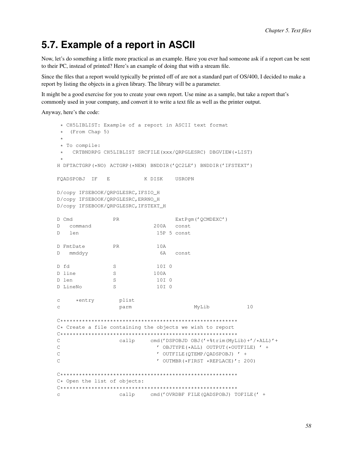### 5.7. Example of a report in ASCII

Now, let's do something a little more practical as an example. Have you ever had someone ask if a report can be sent to their PC, instead of printed? Here's an example of doing that with a stream file.

Since the files that a report would typically be printed off of are not a standard part of OS/400, I decided to make a report by listing the objects in a given library. The library will be a parameter.

It might be a good exercise for you to create your own report. Use mine as a sample, but take a report that's commonly used in your company, and convert it to write a text file as well as the printer output.

Anyway, here's the code:

```
* CH5LIBLIST: Example of a report in ASCII text format
\star (From Chap 5)
* To compile:
   CRTBNDRPG CH5LIBLIST SRCFILE(xxx/QRPGLESRC) DBGVIEW(*LIST)
H DFTACTGRP (*NO) ACTGRP (*NEW) BNDDIR ('QC2LE') BNDDIR ('IFSTEXT')
                     K DISK
FQADSPOBJ IF E
                              USROPN
D/copy IFSEBOOK/QRPGLESRC, IFSIO_H
D/copy IFSEBOOK/QRPGLESRC, ERRNO_H
D/copy IFSEBOOK/QRPGLESRC, IFSTEXT_H
                             ExtPqm('QCMDEXC')
D Cmd
              PR
D command
                        200A const
                         15P 5 const
D len
D FmtDate
             PR
                         10AD mmddyy
                         6A const
D fd
             S10T<sub>0</sub>D line
             S100A
                         10I 0
D len
             S10I 0
             SD LineNo
\mathsf{C}*entry
              plist
                                   MyLib
\mathcal{C}parm
                                                10C* Create a file containing the objects we wish to report
cmd('DSPOBJD OBJ('+%trim(MyLib)+'/*ALL)'+
\capcallp
\mathsf{C}' OBJTYPE (*ALL) OUTPUT (*OUTFILE) ' +
\mathsf C' OUTFILE (QTEMP/QADSPOBJ) ' +
                          ' OUTMBR (*FIRST *REPLACE)': 200)
\overline{C}C* Open the list of objects:
callp
                       cmd('OVRDBF FILE(QADSPOBJ) TOFILE(' +
\mathtt{C}
```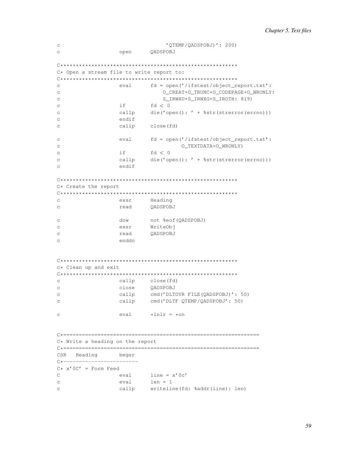```
'QTEMP/QADSPOBJ)': 200)
\mathtt{C}\overline{C}open
                        OADSPOBJ
C* Open a stream file to write report to:
\mathsf{C}eval fd = open('/ifstest/object_report.txt':
                          O_CREAT+O_TRUNC+O_CODEPAGE+O_WRONLY:
_{\rm C}S IRWXU+S IRWXG+S IROTH: 819)
\mathtt{C}if
                       fd < 0\mathsf{C}callp
                       die ('open(): ' + %str(strerror(errno)))
\mathcal{C}endif
\mathsf{C}callp close(fd)
\mathcal{C}fd = open('/ifstest/object\_report.txt':eval
\overline{C}O TEXTDATA+O WRONLY)
\mathcal{C}if
                        fd < 0_{\rm C}\mathcal{C}callp
                        die ('open(): ' + %str(strerror(errno)))
                endif
\mathcal{C}C* Create the report
exsr
                       Heading
\sim\overbrace{\phantom{a}}^{\phantom{a}+}read
_{\rm C}OADSPOBJ
                      not %eof(QADSPOBJ)<br>WriteObj
\mathsf{C}dow
               exsr
\mathsf{C}read
                      QADSPOBJ
\mathtt{C}enddo
\mathcal{C}c* Clean up and exit
\simcallp close(fd)
\mathbf{C}close
                      QADSPOBJ
                callp cmd('DLTOVR FILE(QADSPOBJ)': 50)
\mathcal{C}callp
                       cmd('DLTF QTEMP/QADSPOBJ': 50)
_{\rm C}eval \qquad \star inlr = \star on\mathsf{C}C* Write a heading on the report
CSR Heading begsr
C*--------------------------
C* x' 0C' = Form Feedline = x' 0c'\mathcal{C}evaleval
                      len = 1\mathtt{C}cal1pwriteline(fd: %addr(line): len)
\mathtt{C}
```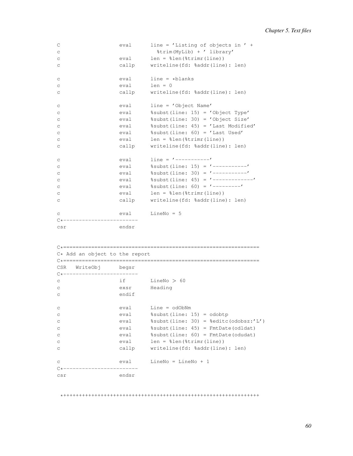```
C eval line = 'Listing of objects in ' +
c %trim(MyLib) + ' library'
c eval len = %len(%trimr(line))
c callp writeline(fd: %addr(line): len)
c eval line = *blanks
c eval len = 0
c callp writeline(fd: %addr(line): len)
c eval line = 'Object Name'
c eval %subst(line: 15) = 'Object Type'
c eval %subst(line: 30) = 'Object Size'
c eval %subst(line: 45) = 'Last Modified'
c eval %subst(line: 60) = 'Last Used'
c eval len = %len(%trimr(line))
c callp writeline(fd: %addr(line): len)
c eval line = '-----------'
c eval %subst(line: 15) = '-----------'
c eval %subst(line: 30) = '-----------'
c eval %subst(line: 45) = '-------------'
c eval %subst(line: 60) = '---------'
c eval len = %len(%trimr(line))
c callp writeline(fd: %addr(line): len)
c eval LineNo = 5
C*------------------------
csr endsr
C*===============================================================
C* Add an object to the report
C*===============================================================
CSR WriteObj begsr
C*------------------------
c if LineNo > 60
c exsr Heading
c endif
c eval Line = odObNm
c eval %subst(line: 15) = odobtp
c eval %subst(line: 30) = %editc(odobsz:'L')
c eval %subst(line: 45) = FmtDate(odldat)
c eval %subst(line: 60) = FmtDate(odudat)
c eval len = %len(%trimr(line))
c callp writeline(fd: %addr(line): len)
c eval LineNo = LineNo + 1
C*------------------------
csr endsr
```
\*+++++++++++++++++++++++++++++++++++++++++++++++++++++++++++++++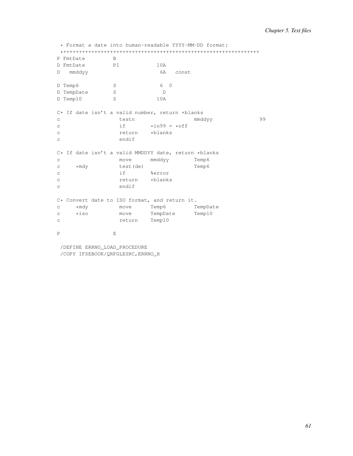\* Format a date into human-readable YYYY-MM-DD format: \*+++++++++++++++++++++++++++++++++++++++++++++++++++++++++++++++ P FmtDate B<br>D FmtDate PI D FmtDate PI 10A D mmddyy 6A const D Temp6 S 6 0 D TempDate S D D Temp10 S 10A  $C*$  If date isn't a valid number, return \*blanks<br>c  $testn$ c testn mmddyy 99 c  $\qquad \qquad \text{if} \qquad \text{while} \qquad \text{where} \qquad \text{if} \qquad \text{if} \qquad \text{if} \qquad \text{if} \qquad \text{if} \qquad \text{if} \qquad \text{if} \qquad \text{if} \qquad \text{if} \qquad \text{if} \qquad \text{if} \qquad \text{if} \qquad \text{if} \qquad \text{if} \qquad \text{if} \qquad \text{if} \qquad \text{if} \qquad \text{if} \qquad \text{if} \qquad \text{if} \qquad \text{if} \qquad \text{if} \qquad \text{if} \qquad \text{if$ c return<br>c endif endif  $C*$  If date isn't a valid MMDDYY date, return \*blanks<br>c move mmddyy Temp6 c move move mmddyy c \*mdy test(de) Temp6<br>c if %error c if  $\frac{1}{2}$  if  $\frac{1}{2}$ c return \*blanks c endif C\* Convert date to ISO format, and return it. c \*mdy move Temp6 TempDate<br>c \*iso move TempDate Temp10 c \*iso move TempDate<br>c return Temp10 c return P E

/DEFINE ERRNO\_LOAD\_PROCEDURE /COPY IFSEBOOK/QRPGLESRC,ERRNO\_H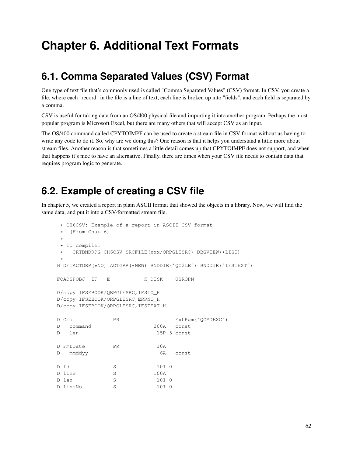# **Chapter 6. Additional Text Formats**

# **6.1. Comma Separated Values (CSV) Format**

One type of text file that's commonly used is called "Comma Separated Values" (CSV) format. In CSV, you create a file, where each "record" in the file is a line of text, each line is broken up into "fields", and each field is separated by a comma.

CSV is useful for taking data from an OS/400 physical file and importing it into another program. Perhaps the most popular program is Microsoft Excel, but there are many others that will accept CSV as an input.

The OS/400 command called CPYTOIMPF can be used to create a stream file in CSV format without us having to write any code to do it. So, why are we doing this? One reason is that it helps you understand a little more about stream files. Another reason is that sometimes a little detail comes up that CPYTOIMPF does not support, and when that happens it's nice to have an alternative. Finally, there are times when your CSV file needs to contain data that requires program logic to generate.

# **6.2. Example of creating a CSV file**

In chapter 5, we created a report in plain ASCII format that showed the objects in a library. Now, we will find the same data, and put it into a CSV-formatted stream file.

```
* CH6CSV: Example of a report in ASCII CSV format
* (From Chap 6)
*
* To compile:
* CRTBNDRPG CH6CSV SRCFILE(xxx/QRPGLESRC) DBGVIEW(*LIST)
*
H DFTACTGRP(*NO) ACTGRP(*NEW) BNDDIR('QC2LE') BNDDIR('IFSTEXT')
FQADSPOBJ IF E K DISK USROPN
D/copy IFSEBOOK/QRPGLESRC,IFSIO_H
D/copy IFSEBOOK/QRPGLESRC,ERRNO_H
D/copy IFSEBOOK/QRPGLESRC,IFSTEXT_H
D Cmd PR PR ExtPqm('OCMDEXC')
D command 200A const
D len 15P 5 const
D FmtDate PR 10A
D mmddyy 6A const
D fd S 10I 0
D line S 100A
D len S 10I 0
D LineNo S 10I 0
```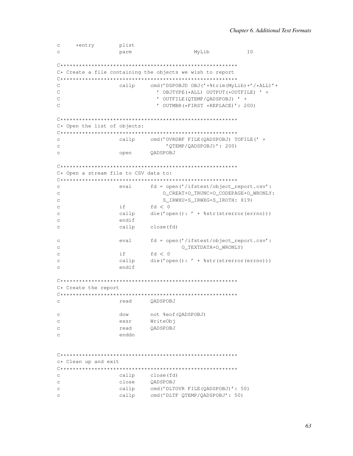```
plist
c *entry
\overline{C}parm
                                MyLib
                                            10C* Create a file containing the objects we wish to report
cmd('DSPOBJD OBJ('+%trim(MyLib)+'/*ALL)'+
\capcallp
\mathsf{C}' OBJTYPE (*ALL) OUTPUT (*OUTFILE) ' +
\overline{C}' OUTFILE (OTEMP/OADSPOBJ) ' +
                       ' OUTMBR (*FIRST *REPLACE)': 200)
\overline{C}C* Open the list of objects:
cmd('OVRDBF FILE(QADSPOBJ) TOFILE(' +
              callp
\sim'OTEMP/OADSPOBJ)': 200)
\mathtt{C}QADSPOBJ
              open
\mathtt{C}C* Open a stream file to CSV data to:
fd = open('/ifstest/object_report.csv':
\Gammaeval
                        O_CREAT+O_TRUNC+O_CODEPAGE+O_WRONLY:
_{\rm C}S_IRWXU+S_IRWXG+S_IROTH: 819)
\mathcal{C}\Gammaiffd < 0die ('open (): ' + %str (strerror (errno)))
\mathsf{C}callp
\mathcal{C}endif
              callp close(fd)
\mathsf{C}eval fd = open('/ifstest/object_report.csv':
\mathcal{C}O_TEXTDATA+O_WRONLY)
\Gammaif
                     f d < 0_{\rm C}callp
                     die ('open(): ' + %str(strerror(errno)))
\Gammaendif
\mathsf{C}C* Create the report
read QADSPOBJ
_{\rm C}dow
                    not %eof (QADSPOBJ)
\mathsf{C}exsr
                    WriteObi
\simread
\mathtt{C}QADSPOBJ
              enddo
\mathcal{C}c* Clean up and exit
callp close(fd)
\mathsf{C}_{\rm C}close
                    QADSPOBJ
                    cmd('DLTOVR FILE(QADSPOBJ)': 50)
              callp
\mathtt{C}cmd('DLTF QTEMP/QADSPOBJ': 50)
\mathcal{C}callp
```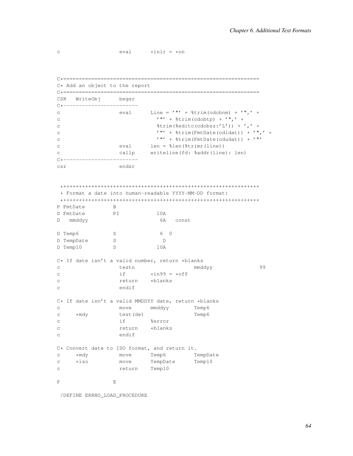```
c \text{eval} \text{*inlr} = \text{*on}
```
C\*=============================================================== C\* Add an object to the report C\*=============================================================== CSR WriteObj begsr C\*----------------------- eval Line =  $^{\prime}$  "' +  $^{\prime}$  &trim(odobnm) +  $^{\prime}$  ",' + c  $'''' + %time(odobtp) + ''", ' +$ c  $\text{String}(\text{dedite}(\text{odobsz:}' L')) + ', ' +$ c '"' + %trim(FmtDate(odldat)) + '",' + c  $\mathcal{L} \mathbb{I}^{\prime} + \frac{1}{2} \text{trim}(\text{FmtDate}(\text{odudat})) + \frac{1}{2} \mathbb{I}^{\prime}$ c eval len = %len(%trimr(line)) c callp writeline(fd: %addr(line): len) C\*----------------------- csr endsr \*+++++++++++++++++++++++++++++++++++++++++++++++++++++++++++++++ \* Format a date into human-readable YYYY-MM-DD format: \*+++++++++++++++++++++++++++++++++++++++++++++++++++++++++++++++ P FmtDate B D FmtDate PI 10A D mmddyy 6A const D Temp6 S 6 0 D TempDate S D<br>D Temp10 S 10A D Temp10 S 10A C\* If date isn't a valid number, return \*blanks c testn mmddyy 99 c  $if \rightarrow xin99 = *off$ c return \*blanks c endif  $C*$  If date isn't a valid MMDDYY date, return \*blanks<br>c move mmddyy Temp6 c move mmddyy Temp6 c \*mdy test(de) Temp6 c if  $\frac{1}{2}$  if  $\frac{1}{2}$ c return \*blanks c endif C\* Convert date to ISO format, and return it. c \*mdy move Temp6 TempDate c \*iso move TempDate Temp10 c return Temp10 P E

/DEFINE ERRNO\_LOAD\_PROCEDURE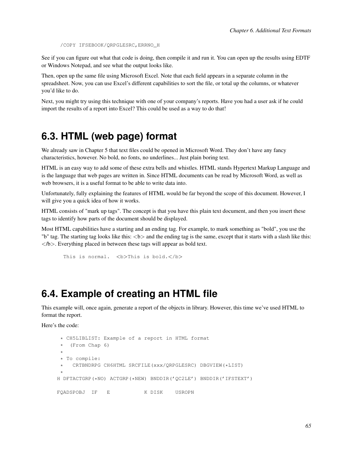/COPY IFSEBOOK/QRPGLESRC,ERRNO\_H

See if you can figure out what that code is doing, then compile it and run it. You can open up the results using EDTF or Windows Notepad, and see what the output looks like.

Then, open up the same file using Microsoft Excel. Note that each field appears in a separate column in the spreadsheet. Now, you can use Excel's different capabilities to sort the file, or total up the columns, or whatever you'd like to do.

Next, you might try using this technique with one of your company's reports. Have you had a user ask if he could import the results of a report into Excel? This could be used as a way to do that!

#### **6.3. HTML (web page) format**

We already saw in Chapter 5 that text files could be opened in Microsoft Word. They don't have any fancy characteristics, however. No bold, no fonts, no underlines... Just plain boring text.

HTML is an easy way to add some of these extra bells and whistles. HTML stands Hypertext Markup Language and is the language that web pages are written in. Since HTML documents can be read by Microsoft Word, as well as web browsers, it is a useful format to be able to write data into.

Unfortunately, fully explaining the features of HTML would be far beyond the scope of this document. However, I will give you a quick idea of how it works.

HTML consists of "mark up tags". The concept is that you have this plain text document, and then you insert these tags to identify how parts of the document should be displayed.

Most HTML capabilities have a starting and an ending tag. For example, to mark something as "bold", you use the "b" tag. The starting tag looks like this:  $\langle b \rangle$  and the ending tag is the same, except that it starts with a slash like this:  $\langle b \rangle$ . Everything placed in between these tags will appear as bold text.

```
This is normal. \langle b \rangleThis is bold.\langle b \rangle
```
#### **6.4. Example of creating an HTML file**

This example will, once again, generate a report of the objects in library. However, this time we've used HTML to format the report.

Here's the code:

```
* CH5LIBLIST: Example of a report in HTML format
 * (From Chap 6)
 *
 * To compile:
 * CRTBNDRPG CH6HTML SRCFILE(xxx/QRPGLESRC) DBGVIEW(*LIST)
 *
H DFTACTGRP(*NO) ACTGRP(*NEW) BNDDIR('QC2LE') BNDDIR('IFSTEXT')
FQADSPOBJ IF E K DISK USROPN
```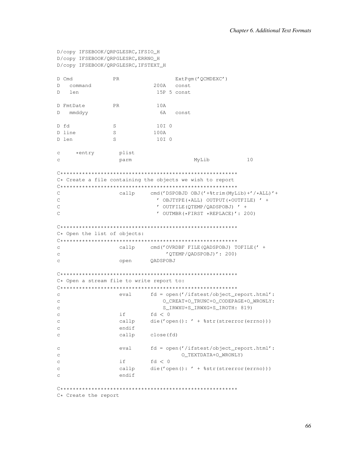```
D/copy IFSEBOOK/ORPGLESRC, IFSIO H
D/copy IFSEBOOK/QRPGLESRC, ERRNO_H
D/copy IFSEBOOK/QRPGLESRC, IFSTEXT_H
D Cmd
                 PRExtPqm('QCMDEXC')
D command
                                200A const
D len
                                 15P 5 const
D FmtDate
                 PR
                                10A6A const
D mmddyy
D fd
                                10I 0
                  SD line
                 S100A
                 SD len
                                 10T<sub>0</sub>c *entry
                 plist
\mathcal{C}parm
                                              MyLib
                                                               10C* Create a file containing the objects we wish to report
\begin{smallmatrix} \rule{0mm}{6mm} \rule{0mm}{3mm} \rule{0mm}{3mm} \rule{0mm}{3mm} \rule{0mm}{3mm} \rule{0mm}{3mm} \rule{0mm}{3mm} \rule{0mm}{3mm} \rule{0mm}{3mm} \rule{0mm}{3mm} \rule{0mm}{3mm} \rule{0mm}{3mm} \rule{0mm}{3mm} \rule{0mm}{3mm} \rule{0mm}{3mm} \rule{0mm}{3mm} \rule{0mm}{3mm} \rule{0mm}{3mm} \rule{0mm}{3mm} \rule{0mm}{3mm} \rule{0mm}{3mm} \rule{0mm}{3mm} \rule{0mm}{3mm} \rule{0mm}{3cmd('DSPOBJD OBJ('+%trim(MyLib)+'/*ALL)'+
\mathcal{C}callp
\overline{C}' OBJTYPE (*ALL) OUTPUT (*OUTFILE) ' +
                                  ' OUTFILE (OTEMP/OADSPOBJ) ' +
\mathcal{C}\mathsf{C}' OUTMBR (*FIRST *REPLACE)': 200)
C* Open the list of objects:
\simcallp cmd('OVRDBF FILE(QADSPOBJ) TOFILE(' +
                                    'QTEMP/QADSPOBJ)': 200)
\mathtt{C}QADSPOBJ
                     open
\GammaC* Open a stream file to write report to:
\simeval fd = open('/ifstest/object_report.html':
                                   O_CREAT+O_TRUNC+O_CODEPAGE+O_WRONLY:
_{\rm C}S_IRWXU+S_IRWXG+S_IROTH: 819)
\mathcal{C}if -
                              fd < 0\mathsf{C}callp
                              die('open(): ' + %str(strerror(errno)))
\Gammaendif
\mathsf{C}close(fd)
                     callp
\mathtt{C}_{\rm C}eval
                             fd = open('/ifstest/object_report.html':
                                         O_TEXTDATA+O_WRONLY)
\mathcal{C}if a
\overline{C}fd < 0\Gammacallp
                               die ('open (): ' + %str (strerror (errno)))
                     endif
\mathsf{C}
```
C\* Create the report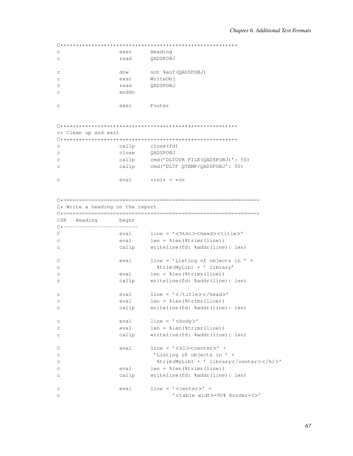| C            | exsr  | Heading             |
|--------------|-------|---------------------|
| $\mathsf{C}$ | read  | OADSPOBJ            |
|              |       |                     |
| C            | dow   | not %eof (OADSPOBJ) |
| $\mathsf{C}$ | exsr  | WriteObj            |
| C            | read  | OADSPOBJ            |
| C            | enddo |                     |
|              |       |                     |
| C            | exsr  | Footer              |

| c* Clean up and exit |       |                                  |  |  |  |
|----------------------|-------|----------------------------------|--|--|--|
|                      |       |                                  |  |  |  |
| $\mathtt{C}$         | callp | close (fd)                       |  |  |  |
| $\rm{C}$             | close | OADSPOBJ                         |  |  |  |
| $\mathsf{C}$         | callp | cmd('DLTOVR FILE(OADSPOBJ)': 50) |  |  |  |
| $\mathsf{C}$         | callp | cmd('DLTF OTEMP/OADSPOBJ': 50)   |  |  |  |
|                      |       |                                  |  |  |  |
| $\mathsf{C}$         | eva l | $*inlr = *on$                    |  |  |  |

|              | C* Write a heading on the report |       |                                                          |
|--------------|----------------------------------|-------|----------------------------------------------------------|
|              |                                  |       |                                                          |
|              | CSR Heading begsr                |       |                                                          |
|              | $C$ *-------------------------   |       |                                                          |
| $\mathsf{C}$ |                                  |       | eval line = ' <html><head><title>'</title></head></html> |
| C            |                                  |       | $eval$ len = $\text{len}(\text{String}(\text{line}))$    |
| С            |                                  |       | callp writeline(fd: %addr(line): len)                    |
| $\mathsf{C}$ |                                  | eval  | line = $'$ Listing of objects in $'$ +                   |
| C            |                                  |       | %trim(MyLib) + ' library'                                |
| С            |                                  | eval  | $len = %len(%trimr(line))$                               |
| С            |                                  | callp | writeline(fd: %addr(line): len)                          |
| С            |                                  | eval  | $line = ' \lt/ \text{title} \lt/ \text{head}$            |
| C            |                                  |       | $eval$ len = $\ell$ len ( $\ell$ trimr (line))           |
| С            |                                  | callp | writeline(fd: %addr(line): len)                          |
| С            |                                  | eval  | $line = ' <$ body>'                                      |
| С            |                                  |       | $eval$ len = $\ell$ len ( $\ell$ trimr (line))           |
| С            |                                  | callp | writeline(fd: %addr(line): len)                          |
| C            |                                  | eval  | $line = ' < h1 > < center>'$ +                           |
|              |                                  |       |                                                          |
| С            |                                  |       | 'Listing of objects in ' +<br>%trim(MyLib) + ' library'  |
| C            |                                  | eval  | $len = %len(%trimr(line))$                               |
| С            |                                  |       |                                                          |
| С            |                                  | callp | writeline(fd: %addr(line): len)                          |
| C            |                                  | eval  | $line = ' < center>' +$                                  |
| С            |                                  |       | ' <table border="3" width="90%">'</table>                |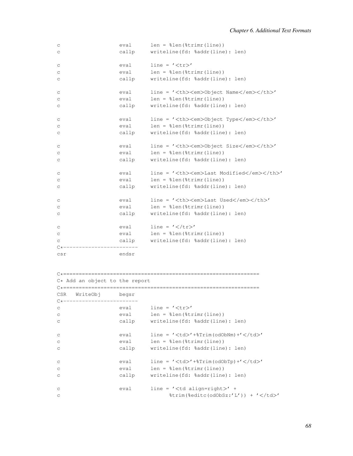| C           | eval  | $len = %len(%trimr(line))$                 |                        |    |
|-------------|-------|--------------------------------------------|------------------------|----|
| C           | callp | writeline(fd: %addr(line): len)            |                        |    |
| C           | eval  | $line = ' '$                               |                        |    |
|             |       |                                            |                        |    |
| С           | eval  | $len = %len(%trimr(line))$                 |                        |    |
| C           | callp | writeline(fd: %addr(line): len)            |                        |    |
| C           | eval  | $line = 'om$ Name $'}$                     | <em>om</em>            | '} |
| C           | eval  | $len = %len(%trimr(line))$                 |                        |    |
| C           | callp | writeline(fd: %addr(line): len)            |                        |    |
| C           | eval  | line = ' <th><em>Object Type</em></th> '   | <em>Object Type</em>   |    |
| C           | eval  | $len = %len(%trimr(line))$                 |                        |    |
| $\mathsf C$ | callp | writeline(fd: %addr(line): len)            |                        |    |
| C           | eval  | line = ' <th><em>Object Size</em></th> '   | <em>Object Size</em>   |    |
| C           | eval  | $len = %len(%trimr(line))$                 |                        |    |
| C           | callp | writeline(fd: %addr(line): len)            |                        |    |
| C           | eval  | line = ' <th><em>Last Modified</em></th> ' | <em>Last Modified</em> |    |
| С           | eval  | $len = %len(%trimr(line))$                 |                        |    |
| C           | callp | writeline(fd: %addr(line): len)            |                        |    |
| C           | eval  | line = ' <th><em>Last Used</em></th> '     | <em>Last Used</em>     |    |
| С           | eval  | $len = %len(%trimr(line))$                 |                        |    |
| C           | callp | writeline(fd: %addr(line): len)            |                        |    |
| C           | eval  | $line = ' \lt/ \text{tr}$                  |                        |    |
| $\mathsf C$ | eval  | $len = %len(%trimr(line))$                 |                        |    |
| C           | callp | writeline(fd: %addr(line): len)            |                        |    |
|             |       |                                            |                        |    |
| csr         | endsr |                                            |                        |    |

```
C*===============================================================
C* Add an object to the report
C*===============================================================
CSR WriteObj begsr
C*--------------------------
c eval line = '<tr>'
c eval len = %len(%trimr(line))
c callp writeline(fd: %addr(line): len)
c eval line = '<td>'+%Trim(odObNm)+'</td>'
c eval len = %len(%trimr(line))
c callp writeline(fd: %addr(line): len)
c eval line = '<td>'+%Trim(odObTp)+'</td>'
c eval len = %len(%trimr(line))
c callp writeline(fd: %addr(line): len)
c eval line = '<td align=right>' +
c \text{trim}(\text{?add}(\text{odobs}z; 'L')) + 'c/dz'
```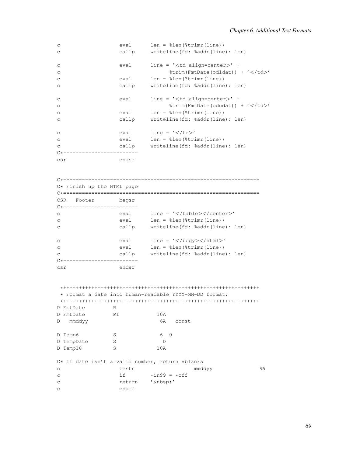| $\mathsf C$  | eval  | $len = %len(%trimr(line))$                            |                   |
|--------------|-------|-------------------------------------------------------|-------------------|
| $\mathsf{C}$ | callp | writeline (fd: %addr(line): len)                      |                   |
| $\mathsf C$  | eval  | $line = ' align=center> ' +$                          | align=center> ' + |
| $\mathsf C$  |       | $\frac{1}{2}$ trim (FmtDate (odldat)) + $\frac{1}{2}$ |                   |
| $\mathsf C$  | eval  | $len = %len(%trimr(line))$                            |                   |
| $\mathsf C$  | callp | writeline(fd: %addr(line): len)                       |                   |
| $\mathsf C$  | eval  | $line = ' align=center> ' +$                          | align=center> ' + |
| $\mathsf C$  |       | $%trim(FmLDate(odudat)) + ' < /td>'$                  |                   |
| $\mathsf C$  | eval  | $len = %len(%trimr(line))$                            |                   |
| C            | callp | writeline(fd: %addr(line): len)                       |                   |
| $\mathsf C$  | eval  | $line = ' \lt/ \text{tr}$                             |                   |
| $\mathsf C$  | eval  | $len = %len(%trimr(line))$                            |                   |
| $\mathsf{C}$ | callp | writeline(fd: %addr(line): len)                       |                   |
| $C*$         |       |                                                       |                   |
| csr          | endsr |                                                       |                   |

C\*=============================================================== C\* Finish up the HTML page C\*=============================================================== CSR Footer begsr C\*----------------------- c eval line = '</table></center>' c eval len = %len(%trimr(line)) c callp writeline(fd: %addr(line): len) c eval line = '</body></html>' c eval len = %len(%trimr(line)) c callp writeline(fd: %addr(line): len) C\*-------------------------csr endsr

```
*+++++++++++++++++++++++++++++++++++++++++++++++++++++++++++++++
* Format a date into human-readable YYYY-MM-DD format:
*+++++++++++++++++++++++++++++++++++++++++++++++++++++++++++++++
P FmtDate B<br>D FmtDate PI
D FmtDate PI 10A
D mmddyy 6A const
D Temp6 S 6 0
D TempDate S D
D Temp10 S 10A
C* If date isn't a valid number, return *blanks
c testn mmddyy 99
c if \rightarrow x if \rightarrow x of f
c return '  '
c endif
```
*69*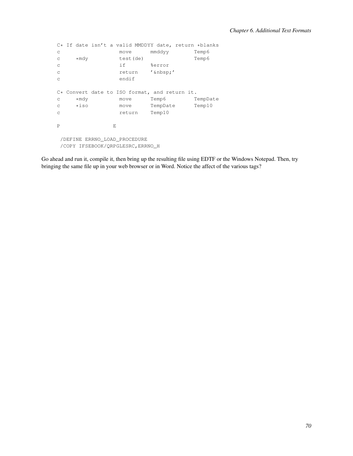```
C* If date isn't a valid MMDDYY date, return *blanks<br>c move mmddyy Temp6
                            mmddyy
c *mdy test(de) Temp6<br>c if %error
                             %error
c return '  '
c endif
C* Convert date to ISO format, and return it.<br>c *mdy move Temp6 TempDate
     % *mdy move Temp6 TempDat<br>*iso move TempDate Temp10
c *iso move TempDate<br>c return Temp10
                  return
P E
 /DEFINE ERRNO_LOAD_PROCEDURE
 /COPY IFSEBOOK/QRPGLESRC,ERRNO_H
```
Go ahead and run it, compile it, then bring up the resulting file using EDTF or the Windows Notepad. Then, try bringing the same file up in your web browser or in Word. Notice the affect of the various tags?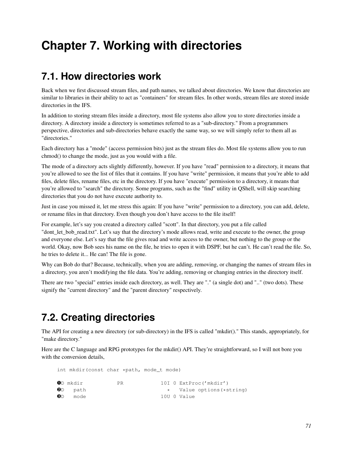# **Chapter 7. Working with directories**

# **7.1. How directories work**

Back when we first discussed stream files, and path names, we talked about directories. We know that directories are similar to libraries in their ability to act as "containers" for stream files. In other words, stream files are stored inside directories in the IFS.

In addition to storing stream files inside a directory, most file systems also allow you to store directories inside a directory. A directory inside a directory is sometimes referred to as a "sub-directory." From a programmers perspective, directories and sub-directories behave exactly the same way, so we will simply refer to them all as "directories."

Each directory has a "mode" (access permission bits) just as the stream files do. Most file systems allow you to run chmod() to change the mode, just as you would with a file.

The mode of a directory acts slightly differently, however. If you have "read" permission to a directory, it means that you're allowed to see the list of files that it contains. If you have "write" permission, it means that you're able to add files, delete files, rename files, etc in the directory. If you have "execute" permission to a directory, it means that you're allowed to "search" the directory. Some programs, such as the "find" utility in QShell, will skip searching directories that you do not have execute authority to.

Just in case you missed it, let me stress this again: If you have "write" permission to a directory, you can add, delete, or rename files in that directory. Even though you don't have access to the file itself!

For example, let's say you created a directory called "scott". In that directory, you put a file called "dont\_let\_bob\_read.txt". Let's say that the directory's mode allows read, write and execute to the owner, the group and everyone else. Let's say that the file gives read and write access to the owner, but nothing to the group or the world. Okay, now Bob sees his name on the file, he tries to open it with DSPF, but he can't. He can't read the file. So, he tries to delete it... He can! The file is gone.

Why can Bob do that? Because, technically, when you are adding, removing, or changing the names of stream files in a directory, you aren't modifying the file data. You're adding, removing or changing entries in the directory itself.

There are two "special" entries inside each directory, as well. They are "." (a single dot) and ".." (two dots). These signify the "current directory" and the "parent directory" respectively.

# **7.2. Creating directories**

The API for creating a new directory (or sub-directory) in the IFS is called "mkdir()." This stands, appropriately, for "make directory."

Here are the C language and RPG prototypes for the mkdir() API. They're straightforward, so I will not bore you with the conversion details,

int mkdir(const char \*path, mode\_t mode)

|   | OD mkdir       | PR. |  | 10I 0 ExtProc('mkdir')    |
|---|----------------|-----|--|---------------------------|
|   | <b>OD</b> path |     |  | * Value options (*string) |
| ❸ | mode           |     |  | 10U O Value               |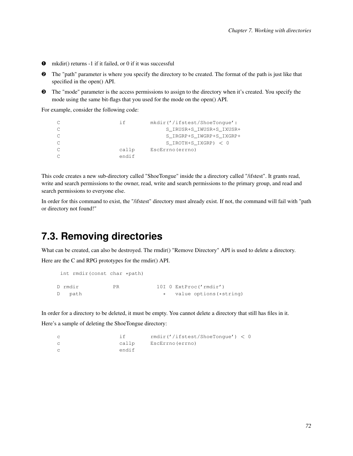- ➊ mkdir() returns -1 if it failed, or 0 if it was successful
- ➋ The "path" parameter is where you specify the directory to be created. The format of the path is just like that specified in the open() API.
- ➌ The "mode" parameter is the access permissions to assign to the directory when it's created. You specify the mode using the same bit-flags that you used for the mode on the open() API.

For example, consider the following code:

```
C if mkdir('/ifstest/ShoeTongue':
C S IRUSR+S IWUSR+S IXUSR+
C S_IRGRP+S_IWGRP+S_IXGRP+
C S_IROTH+S_IXGRP) < 0
C callp EscErrno(errno)
C endif
```
This code creates a new sub-directory called "ShoeTongue" inside the a directory called "/ifstest". It grants read, write and search permissions to the owner, read, write and search permissions to the primary group, and read and search permissions to everyone else.

In order for this command to exist, the "/ifstest" directory must already exist. If not, the command will fail with "path or directory not found!"

### **7.3. Removing directories**

What can be created, can also be destroyed. The rmdir() "Remove Directory" API is used to delete a directory.

Here are the C and RPG prototypes for the rmdir() API.

```
int rmdir(const char *path)
D rmdir PR 10I 0 ExtProc('rmdir')
D path \ast value options (*string)
```
In order for a directory to be deleted, it must be empty. You cannot delete a directory that still has files in it. Here's a sample of deleting the ShoeTongue directory:

```
c if rmdir('/ifstest/ShoeTongue') < 0
c callp EscErrno(errno)
c endif
```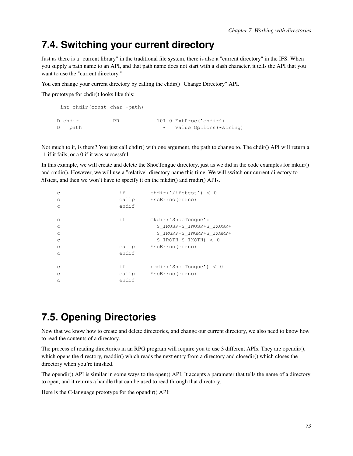## **7.4. Switching your current directory**

Just as there is a "current library" in the traditional file system, there is also a "current directory" in the IFS. When you supply a path name to an API, and that path name does not start with a slash character, it tells the API that you want to use the "current directory."

You can change your current directory by calling the chdir() "Change Directory" API.

The prototype for chdir() looks like this:

```
int chdir(const char *path)
D chdir PR 10I 0 ExtProc('chdir')
D path \star Value Options (*string)
```
Not much to it, is there? You just call chdir() with one argument, the path to change to. The chdir() API will return a -1 if it fails, or a 0 if it was successful.

In this example, we will create and delete the ShoeTongue directory, just as we did in the code examples for mkdir() and rmdir(). However, we will use a "relative" directory name this time. We will switch our current directory to /ifstest, and then we won't have to specify it on the mkdir() and rmdir() APIs.

| C<br>C<br>C             | if<br>callp<br>endif  | chdir('/ifstest') < 0<br>EscErrno (errno)                                                             |
|-------------------------|-----------------------|-------------------------------------------------------------------------------------------------------|
| C<br>C<br>C<br>C        | i f                   | mkdir('ShoeTonque':<br>S IRUSR+S IWUSR+S IXUSR+<br>S_IRGRP+S_IWGRP+S_IXGRP+<br>S IROTH+S IXOTH) $<$ 0 |
| C<br>C                  | callp<br>endif        | EscErrno (errno)                                                                                      |
| C<br>$\mathcal{C}$<br>C | i f<br>callp<br>endif | rmdir('ShoeTonque') < 0<br>EscErrno (errno)                                                           |

## **7.5. Opening Directories**

Now that we know how to create and delete directories, and change our current directory, we also need to know how to read the contents of a directory.

The process of reading directories in an RPG program will require you to use 3 different APIs. They are opendir(), which opens the directory, readdir() which reads the next entry from a directory and closedir() which closes the directory when you're finished.

The opendir() API is similar in some ways to the open() API. It accepts a parameter that tells the name of a directory to open, and it returns a handle that can be used to read through that directory.

Here is the C-language prototype for the opendir() API: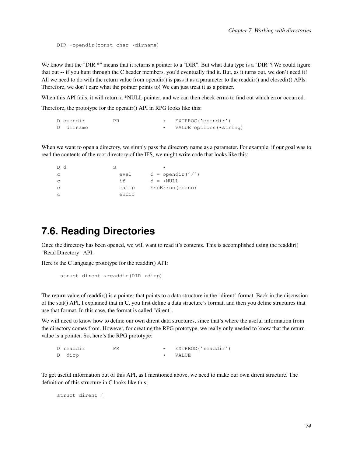DIR \*opendir(const char \*dirname)

We know that the "DIR \*" means that it returns a pointer to a "DIR". But what data type is a "DIR"? We could figure that out -- if you hunt through the C header members, you'd eventually find it. But, as it turns out, we don't need it! All we need to do with the return value from opendir() is pass it as a parameter to the readdir() and closedir() APIs. Therefore, we don't care what the pointer points to! We can just treat it as a pointer.

When this API fails, it will return a \*NULL pointer, and we can then check errno to find out which error occurred. Therefore, the prototype for the opendir() API in RPG looks like this:

| D opendir | PR. | EXTPROC('opendir')      |
|-----------|-----|-------------------------|
| D dirname |     | VALUE options (*string) |

When we want to open a directory, we simply pass the directory name as a parameter. For example, if our goal was to read the contents of the root directory of the IFS, we might write code that looks like this:

```
D d S *
c eval d = \text{opendir}(t'/t)c \qquad \qquad if \qquad d = \star \text{NULL}c callp EscErrno(errno)
c endif
```
#### **7.6. Reading Directories**

Once the directory has been opened, we will want to read it's contents. This is accomplished using the readdir() "Read Directory" API.

Here is the C language prototype for the readdir() API:

```
struct dirent *readdir(DIR *dirp)
```
The return value of readdir() is a pointer that points to a data structure in the "dirent" format. Back in the discussion of the stat() API, I explained that in C, you first define a data structure's format, and then you define structures that use that format. In this case, the format is called "dirent".

We will need to know how to define our own dirent data structures, since that's where the useful information from the directory comes from. However, for creating the RPG prototype, we really only needed to know that the return value is a pointer. So, here's the RPG prototype:

```
D readdir PR * EXTPROC('readdir')
D dirp \star VALUE
```
To get useful information out of this API, as I mentioned above, we need to make our own dirent structure. The definition of this structure in C looks like this;

```
struct dirent {
```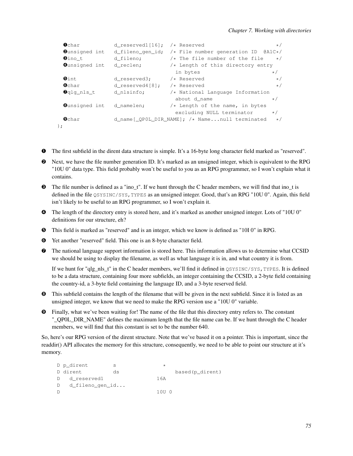```
Ochar d_reserved1[16]; /* Reserved \star/<br>Ounsigned int d fileno gen id; /* File number generation ID @AlC*/
 Ounsigned int d_fileno_gen_id; /* File number generation ID @A1C*/<br>
Oino_t d_fileno; /* The file number of the file */
 \bulletino_t d_fileno; /* The file number of the file */<br>
\bulletunsigned int d_reclen; /* Length of this directory entry
                                      /* Length of this directory entry
                                      in bytes \star /<br>
\star Reserved \star\bulletint d_reserved3; /* Reserved \star/Ochar dereserved\{8\}; /* Reserved \star/Oqlg_nls_t d_nlsinfo; /* National Language Information
                                        about d_name \star/➑unsigned int d_namelen; /* Length of the name, in bytes
                                        excluding NULL terminator */
 ➒char d_name[_QP0L_DIR_NAME]; /* Name...null terminated */
};
```
- ➊ The first subfield in the dirent data structure is simple. It's a 16-byte long character field marked as "reserved".
- ➋ Next, we have the file number generation ID. It's marked as an unsigned integer, which is equivalent to the RPG "10U 0" data type. This field probably won't be useful to you as an RPG programmer, so I won't explain what it contains.
- ➌ The file number is defined as a "ino\_t". If we hunt through the C header members, we will find that ino\_t is defined in the file QSYSINC/SYS,TYPES as an unsigned integer. Good, that's an RPG "10U 0". Again, this field isn't likely to be useful to an RPG programmer, so I won't explain it.
- ➍ The length of the directory entry is stored here, and it's marked as another unsigned integer. Lots of "10U 0" definitions for our structure, eh?
- ➎ This field is marked as "reserved" and is an integer, which we know is defined as "10I 0" in RPG.
- ➏ Yet another "reserved" field. This one is an 8-byte character field.
- ➐ The national language support information is stored here. This information allows us to determine what CCSID we should be using to display the filename, as well as what language it is in, and what country it is from.

If we hunt for "qlg\_nls\_t" in the C header members, we'll find it defined in  $\alpha$ SYSINC/SYS, TYPES. It is defined to be a data structure, containing four more subfields, an integer containing the CCSID, a 2-byte field containing the country-id, a 3-byte field containing the language ID, and a 3-byte reserved field.

- ➑ This subfield contains the length of the filename that will be given in the next subfield. Since it is listed as an unsigned integer, we know that we need to make the RPG version use a "10U 0" variable.
- ➒ Finally, what we've been waiting for! The name of the file that this directory entry refers to. The constant "\_QP0L\_DIR\_NAME" defines the maximum length that the file name can be. If we hunt through the C header members, we will find that this constant is set to be the number 640.

So, here's our RPG version of the dirent structure. Note that we've based it on a pointer. This is important, since the readdir() API allocates the memory for this structure, consequently, we need to be able to point our structure at it's memory.

```
D p_dirent s<br>D dirent ds
                          based(p_dirent)
D d_reserved1 16A
D d_fileno_gen_id...
D 10U 0
```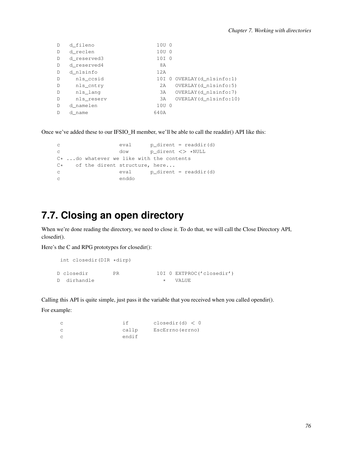| D            | d fileno    | 10U 0 |                             |
|--------------|-------------|-------|-----------------------------|
| D            | d reclen    | 10U 0 |                             |
| D            | d reserved3 | 10I 0 |                             |
| D            | d reserved4 | 8A    |                             |
| D            | d nlsinfo   | 12A   |                             |
| D            | nls_ccsid   |       | 10I 0 OVERLAY (d_nlsinfo:1) |
| D            | nls_cntry   | 2A    | OVERLAY (d_nlsinfo:5)       |
| $\mathbb{D}$ | nls_lang    | 3A    | OVERLAY (d_nlsinfo:7)       |
| D            | nls reserv  | 3A    | OVERLAY (d_nlsinfo:10)      |
| $\mathbb{D}$ | d namelen   | 10U 0 |                             |
| D            | d name      | 640A  |                             |

Once we've added these to our IFSIO\_H member, we'll be able to call the readdir() API like this:

| C    |  | eval  | $p$ dirent = readdir(d)                    |
|------|--|-------|--------------------------------------------|
| C.   |  | dow   | p dirent <> *NULL                          |
|      |  |       | $C*$ do whatever we like with the contents |
| $C*$ |  |       | of the dirent structure, here              |
| C    |  | eval  | p dirent = readdir(d)                      |
| C    |  | enddo |                                            |

# **7.7. Closing an open directory**

When we're done reading the directory, we need to close it. To do that, we will call the Close Directory API, closedir().

Here's the C and RPG prototypes for closedir():

```
int closedir(DIR *dirp)
D closedir PR 10I 0 EXTPROC('closedir')
D dirhandle \star VALUE
```
Calling this API is quite simple, just pass it the variable that you received when you called opendir().

For example:

| $\mathsf{C}$  |       | closedir(d) < 0  |
|---------------|-------|------------------|
| $\mathsf{C}$  | callp | EscErrno (errno) |
| $\mathcal{C}$ | endif |                  |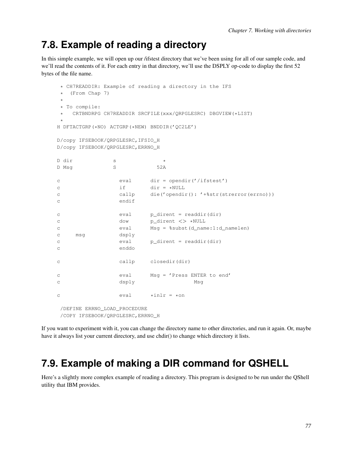## **7.8. Example of reading a directory**

In this simple example, we will open up our /ifstest directory that we've been using for all of our sample code, and we'll read the contents of it. For each entry in that directory, we'll use the DSPLY op-code to display the first 52 bytes of the file name.

```
* CH7READDIR: Example of reading a directory in the IFS
* (From Chap 7)
*
* To compile:
* CRTBNDRPG CH7READDIR SRCFILE(xxx/QRPGLESRC) DBGVIEW(*LIST)
*
H DFTACTGRP(*NO) ACTGRP(*NEW) BNDDIR('QC2LE')
D/copy IFSEBOOK/QRPGLESRC,IFSIO_H
D/copy IFSEBOOK/QRPGLESRC,ERRNO_H
D dir s *
D Msq S 52A
c eval dir = opendir('/ifstest')
c if dir = *NULL
c callp die('opendir(): '+%str(strerror(errno)))
c endif
c eval p_dirent = readdir(dir)
c dow p_dirent <> *NULL
c eval Msg = %subst(d_name:1:d_namelen)
c msg dsply
c eval p_dirent = readdir(dir)
c enddo
c callp closedir(dir)
c eval Msg = 'Press ENTER to end'
c dsply Msg
c \text{eval} \text{xinlr} = \text{xon}/DEFINE ERRNO_LOAD_PROCEDURE
/COPY IFSEBOOK/QRPGLESRC,ERRNO_H
```
If you want to experiment with it, you can change the directory name to other directories, and run it again. Or, maybe have it always list your current directory, and use chdir() to change which directory it lists.

# **7.9. Example of making a DIR command for QSHELL**

Here's a slightly more complex example of reading a directory. This program is designed to be run under the QShell utility that IBM provides.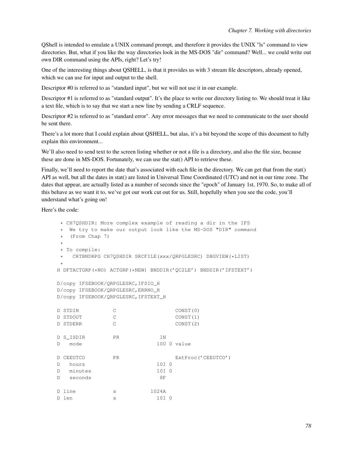QShell is intended to emulate a UNIX command prompt, and therefore it provides the UNIX "ls" command to view directories. But, what if you like the way directories look in the MS-DOS "dir" command? Well... we could write out own DIR command using the APIs, right? Let's try!

One of the interesting things about QSHELL, is that it provides us with 3 stream file descriptors, already opened, which we can use for input and output to the shell.

Descriptor #0 is referred to as "standard input", but we will not use it in our example.

Descriptor #1 is referred to as "standard output". It's the place to write our directory listing to. We should treat it like a text file, which is to say that we start a new line by sending a CRLF sequence.

Descriptor #2 is referred to as "standard error". Any error messages that we need to communicate to the user should be sent there.

There's a lot more that I could explain about QSHELL, but alas, it's a bit beyond the scope of this document to fully explain this environment...

We'll also need to send text to the screen listing whether or not a file is a directory, and also the file size, because these are done in MS-DOS. Fortunately, we can use the stat() API to retrieve these.

Finally, we'll need to report the date that's associated with each file in the directory. We can get that from the stat() API as well, but all the dates in stat() are listed in Universal Time Coordinated (UTC) and not in our time zone. The dates that appear, are actually listed as a number of seconds since the "epoch" of January 1st, 1970. So, to make all of this behave as we want it to, we've got our work cut out for us. Still, hopefully when you see the code, you'll understand what's going on!

Here's the code:

```
* CH7QSHDIR: More complex example of reading a dir in the IFS
* We try to make our output look like the MS-DOS "DIR" command
 (From Chap 7)
*
* To compile:
  CRTBNDRPG CH7QSHDIR SRCFILE(xxx/QRPGLESRC) DBGVIEW(*LIST)
*
H DFTACTGRP(*NO) ACTGRP(*NEW) BNDDIR('QC2LE') BNDDIR('IFSTEXT')
D/copy IFSEBOOK/QRPGLESRC,IFSIO_H
D/copy IFSEBOOK/QRPGLESRC,ERRNO_H
D/copy IFSEBOOK/QRPGLESRC,IFSTEXT_H
D STDIN C CONST(0)
D STDOUT C CONST(1)
D STDERR C CONST(2)
D S_ISDIR PR 1N
D mode 10U 0 value
D CEEUTCO PR ExtProc('CEEUTCO')
D hours 10I 0
D minutes 10I 0
D seconds 8F
D line s 1024A
D len s 10I 0
```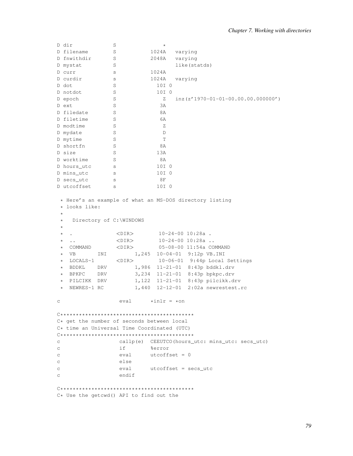```
\mathbf SD dir
D filename
             S1024A varying
D fnwithdir
             S2048A varying
D mystat
             Slike(statds)
D curr
             S1024A
             \mathbf{s}1024A varying
D curdir
                          10T<sub>0</sub>D dot
             SD notdot
             S10I 0
D epoch
             S\frac{1}{2} inz(z'1970-01-01-00.00.00.0000000')
             S3AD ext
             SD filedate
                           8A
D filetime
             S6A
D modtime
             SZD mydate
             S\BoxSD mytime
                           TSD shortfn
                          8A
             SD size
                         13A
D worktime
             S8A
D hours_utc
             S10I 0
             \mathbf{s}D mins_utc
                          10I 0
D secs_utc
             S8FD utcoffset
                          10I 0
             S* Here's an example of what an MS-DOS directory listing
 * looks like:
  Directory of C:\WINDOWS
 \star\langle DIR \rangle   10-24-00   10:28a .
  \sim\star* VB INI 1,245 10-04-01 9:12p VB.INI
 \star LOCALS~1
              <DIR>10-06-01 9:44p Local Settings
 \star BDDKL DRV
                1,986  11-21-01  8:43p  bddkl.drv
 * BPKPC DRV
                   3,234 11-21-01 8:43p bpkpc.drv
 * PILCIKK DRV
                   1,122 11-21-01 8:43p pilcikk.drv
 * NEWRES~1 RC
                   1,440 12-12-01 2:02a newrestest.rc
               eval \qquad \star inlr = \star on\mathbf CC* get the number of seconds between local
C* time an Universal Time Coordinated (UTC)
callp(e) CEEUTCO(hours_utc: mins_utc: secs_utc)
\mathbf{c}if
                        %error
\mathsf{C}eval
                        utcoffset = 0\mathcal{C}\mathcal{C}else
\simeval utcoffset = secs_utc
                endif
\mathsf{C}C********************************************************C* Use the getcwd() API to find out the
```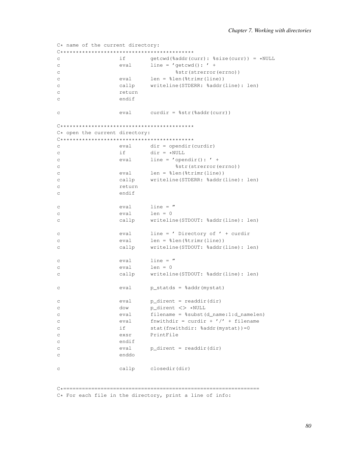```
C* name of the current directory:
if
                                          getcwd (%addr (curr): %size (curr)) = *NULL
\mathsf{C}eval
                                         line = 'getcmd(): ' +\overline{C}%str(strerror(errno))
\mathcal{C}eval
                                         len = %len(%trimr(line))\mathsf{C}callp
                                          writeline(STDERR: %addr(line): len)
\Gamma\mathsf{C}return
                            endif
_{\rm C}eval
                                       curdir = %str(% \overline{G}) = %str(*addr(curr))\overline{C}C* open the current directory:
\begin{array}{l} \rule{0pt}{3.5mm} \rule{0pt}{3mm} \rule{0pt}{3mm} \rule{0pt}{3mm} \rule{0pt}{3mm} \rule{0pt}{3mm} \end{array} \label{eq:3pt} \begin{array}{l} \rule{0pt}{3mm} \rule{0pt}{3mm} \rule{0pt}{3mm} \rule{0pt}{3mm} \rule{0pt}{3mm} \rule{0pt}{3mm} \end{array} \begin{array}{l} \rule{0pt}{3mm} \rule{0pt}{3mm} \rule{0pt}{3mm} \rule{0pt}{3mm} \rule{0pt}{3mm} \end{array} \begin{array}{l} \rule{0pt}{3mm} \rule{0ptevaldir = opendir(curdir)\mathcal{C}dir = *NULLif
\mathtt{C}eval
\mathtt{C}line = 'operator() : ' +%str(strerror(errno))
\mathsf{C}eval
                                       len = %len(%trimr(line))\overline{C}callp
                                         writeline(STDERR: %addr(line): len)
\mathcal{C}return
_{\rm C}endif
\mathsf{C}line = "_{\rm C}eval
                            eval
                                          len = 0\mathtt{C}\overline{C}callp
                                           writeline(STDOUT: %addr(line): len)
                            eval
                                         line = ' Directory of ' + curdir
\mathtt{C}len = %len(%time(int))eval
\mathcal{C}callp
                                          writeline(STDOUT: %addr(line): len)
\mathcal{C}\lim_{x \to 0} e =eval
\simevallen = 0\mathsf{C}writeline(STDOUT: %addr(line): len)
                            callp
\mathsf{C}eval
                                        p_statds = %addr(mystat)
\mathcal{C}p_dirent = readdir(dir)
                            eval
\mathsf{C}p_dirent <> *NULL
                            dow
\mathcal{C}eval
                                          filename = ssubst (d_name:1:d_namelen)
\mathsf{C}fnwithdir = curdir + \prime /' + filename
                            eval
\simif
                                           stat (fnwithdir: %addr (mystat)) = 0
\mathsf{C}PrintFile
                            exsr
\mathtt{C}_{\rm C}endif
                            eval
                                         p_dirent = readdir(dir)
\mathsf{C}enddo
\mathcal{C}callp closedir(dir)
\sim
```
C\* For each file in the directory, print a line of info: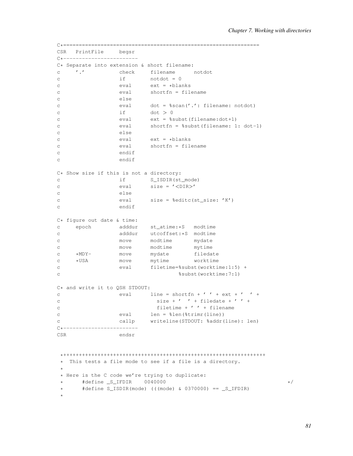```
C*===============================================================
   PrintFile
C*-------------------------
C* Separate into extension & short filename:<br>C \qquad '.' check filename
c '.' check filename notdot
c if notdot = 0
c eval ext = *blanks<br>c eval shortfn = file
c eval shortfn = filename
c else
c eval dot = %scan('.': filename: notdot)
c if \tdot > 0c eval ext = %subst(filename:dot+1)
c eval shortfn = %subst(filename: 1: dot-1)
c else
c eval ext = *blanks
c eval shortfn = filename
c endif
c endif
C* Show size if this is not a directory:<br>c if S ISDIR(st
c if S_ISDIR(st_mode)
c eval size = '<DIR>'
c else
c eval size = %editc(st_size: 'K')
c endif
C* figure out date & time:
c epoch adddur st_atime:*S modtime
c adddur utcoffset:*S modtime<br>c move modtime mydate
c move modtime
c move modtime mytime
c *MDY- move mydate filedate<br>c *USA move mytime worktime
c *USA move mytime worktime
c eval filetime=%subst(worktime:1:5) +
c %subst(worktime:7:1)
C* and write it to QSH STDOUT:
c eval line = shortfn + \prime \prime + ext + \prime \prime +
c size + ' ' + filedate + ' ' +c filetime + ' ' + filename
c eval len = %len(%trimr(line))
c callp writeline(STDOUT: %addr(line): len)
C*------------------------
CSR endsr
*+++++++++++++++++++++++++++++++++++++++++++++++++++++++++++++++++
* This tests a file mode to see if a file is a directory.
*
* Here is the C code we're trying to duplicate:
\star #define S_IFDIR 0040000 \star/* #define S_ISDIR(mode) (((mode) & 0370000) == _S_IFDIR)
*
```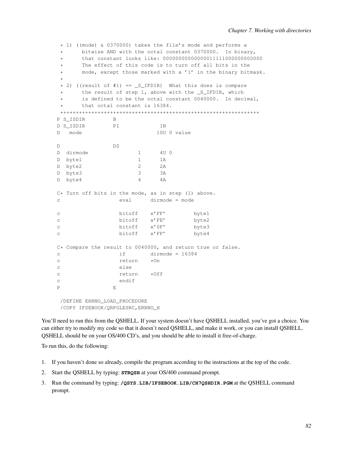```
* 1) ((mode) & 0370000) takes the file's mode and performs a
     bitwise AND with the octal constant 0370000. In binary,
* that constant looks like: 00000000000000011111000000000000
     The effect of this code is to turn off all bits in the
* mode, except those marked with a '1' in the binary bitmask.
*
* 2) ((result of #1) == _S_IFDIR) What this does is compare
     the result of step 1, above with the _S_IFDIR, which
     is defined to be the octal constant 0040000. In decimal,
     that octal constant is 16384.
*+++++++++++++++++++++++++++++++++++++++++++++++++++++++++++++++
P S ISDIR B
D S ISDIR PI 1N
D mode 10U 0 value
D DS
D dirmode 1 4U 0
D byte1 1 1A
D byte2 2 2A
D byte3 3 3A
D byte4 4 4A
C* Turn off bits in the mode, as in step (1) above.<br>c e and e = mode
c eval dirmode = mode
c bitoff x'FF' byte1
c bitoff x'FE' byte2
c bitoff x'0F' byte3
c bitoff x'FF' byte4
C* Compare the result to 0040000, and return true or false.
c if dirmode = 16384
c return \starOn
c else
c return *Off
c endif
P E
/DEFINE ERRNO_LOAD_PROCEDURE
```
/COPY IFSEBOOK/QRPGLESRC,ERRNO\_H

You'll need to run this from the QSHELL. If your system doesn't have QSHELL installed, you've got a choice. You can either try to modify my code so that it doesn't need QSHELL, and make it work, or you can install QSHELL. QSHELL should be on your OS/400 CD's, and you should be able to install it free-of-charge.

To run this, do the following:

- 1. If you haven't done so already, compile the program according to the instructions at the top of the code.
- 2. Start the QSHELL by typing: **STRQSH** at your OS/400 command prompt.
- 3. Run the command by typing: **/QSYS.LIB/IFSEBOOK.LIB/CH7QSHDIR.PGM** at the QSHELL command prompt.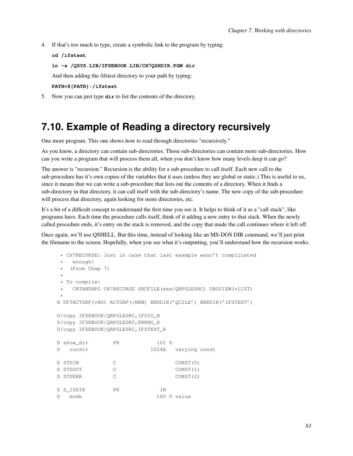4. If that's too much to type, create a symbolic link to the program by typing:

```
cd /ifstest
ln -s /QSYS.LIB/IFSEBOOK.LIB/CH7QSHDIR.PGM dir
And then adding the /ifstest directory to your path by typing:
```
**PATH=\${PATH}:/ifstest**

5. Now you can just type **dir** to list the contents of the directory.

### **7.10. Example of Reading a directory recursively**

One more program. This one shows how to read through directories "recursively."

As you know, a directory can contain sub-directories. Those sub-directories can contain more sub-directories. How can you write a program that will process them all, when you don't know how many levels deep it can go?

The answer is "recursion." Recursion is the ability for a sub-procedure to call itself. Each new call to the sub-procedure has it's own copies of the variables that it uses (unless they are global or static.) This is useful to us, since it means that we can write a sub-procedure that lists out the contents of a directory. When it finds a sub-directory in that directory, it can call itself with the sub-directory's name. The new copy of the sub-procedure will process that directory, again looking for more directories, etc.

It's a bit of a difficult concept to understand the first time you see it. It helps to think of it as a "call stack", like programs have. Each time the procedure calls itself, think of it adding a new entry to that stack. When the newly called procedure ends, it's entry on the stack is removed, and the copy that made the call continues where it left off.

Once again, we'll use QSHELL. But this time, instead of looking like an MS-DOS DIR command, we'll just print the filename to the screen. Hopefully, when you see what it's outputting, you'll understand how the recursion works.

```
* CH7RECURSE: Just in case that last example wasn't complicated
  enough!
  (From Chap 7)
 *
* To compile:
  CRTBNDRPG CH7RECURSE SRCFILE(xxx/QRPGLESRC) DBGVIEW(*LIST)
 *
H DFTACTGRP(*NO) ACTGRP(*NEW) BNDDIR('QC2LE') BNDDIR('IFSTEXT')
D/copy IFSEBOOK/QRPGLESRC,IFSIO_H
D/copy IFSEBOOK/QRPGLESRC,ERRNO_H
D/copy IFSEBOOK/QRPGLESRC,IFSTEXT_H
D show_dir PR 10I 0
D curdir 1024A varying const
D STDIN C CONST (0)
D STDOUT C CONST(1)
D STDERR C CONST(2)
D S_ISDIR PR 1N
D mode 10U 0 value
```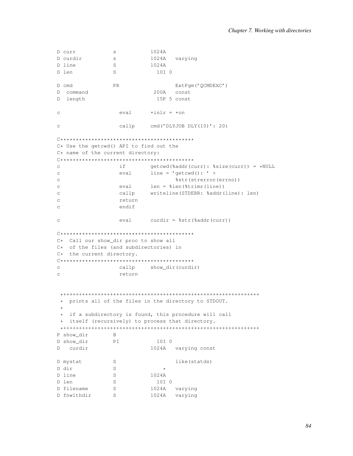```
D curr
           S1024A
D curdir
             S1024A varying
D line
             S1024A
D len
             S10T<sub>0</sub>{\rm PR}ExtPqm('QCMDEXC')
D cmd
D command
                        200A const
D length
                         15P 5 const
\mathtt{C}eval \qquad \star inlr = \star oncallp cmd('DLYJOB DLY(10)': 20)\mathtt{C}C*******************************************************C* Use the getcwd() API to find out the
C* name of the current directory:
\mathcal{C}if
                       getcwd(%addr(curr): %size(curr)) = *NULL
                eval line = 'getcd() : ' +_{\rm C}%str(strerror(errno))
\mathcal{C}eval len = %len(%trimr(line))
\mathcal{C}callp
                       writeline(STDERR: %addr(line): len)
_{\rm C}return
\mathcal{C}\mathtt{C}endif
\mathtt{C}eval
                      curdir = %str(% \overline{G}) = %str(*addr(curr))C* Call our show_dir proc to show all
C* of the files (and subdirectories) in
C* the current directory.
callp show_dir(curdir)
\mathbf{C}\mathbf{C}return
* prints all of the files in the directory to STDOUT.
 \pm* if a subdirectory is found, this procedure will call
* itself (recursively) to process that directory.
\mathbb BP show_dir
D show_dir
             PI10I 0
D curdir
                       1024A varying const
            SD mystat
                              like (statds)
D dir
             S\starD line
                       1024A
             SD len
             S10I 0
             SD filename
                       1024A varying
D fnwithdir S
                       1024A varying
```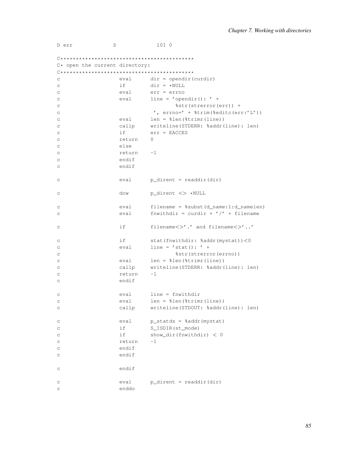D err  $S$  $10I<sub>0</sub>$ 

| $C*$ open the current directory: |        |                                             |  |
|----------------------------------|--------|---------------------------------------------|--|
|                                  |        |                                             |  |
| C                                |        | $eval$ dir = opendir (curdir)               |  |
| C                                | if i   | $dir = *NULL$                               |  |
| C                                | eval   | $err = err$                                 |  |
| C                                | eval   | line = $'$ opendir(): $'$ +                 |  |
| С                                |        | %str(strerror(err)) +                       |  |
| С                                |        | ', $error=' + %trim(%editc(err('L'))$       |  |
| C                                | eval   | $len = %len(%trimr(line))$                  |  |
| C                                | callp  | writeline(STDERR: %addr(line): len)         |  |
| С                                | if     | $err = EACCES$                              |  |
| С                                | return | 0                                           |  |
| С                                | else   |                                             |  |
| C                                | return | $-1$                                        |  |
| C                                | endif  |                                             |  |
| С                                | endif  |                                             |  |
|                                  |        |                                             |  |
| C                                | eval   | $p\_dirent = readdir dir)$                  |  |
|                                  |        |                                             |  |
| С                                | dow    | p_dirent <> *NULL                           |  |
|                                  |        |                                             |  |
| С                                | eval   | $filename = %subst(d_name:1:d_namelen)$     |  |
| C                                | eval   | fnwithdir = curdir + $\prime$ /' + filename |  |
|                                  |        |                                             |  |
| С                                | if     | filename<>'.' and filename<>''              |  |
|                                  | if i   |                                             |  |
| С                                |        | stat (fnwithdir: %addr(mystat))<0           |  |
| С                                | eval   | $line = 'stat() : ' +$                      |  |
| С                                |        | %str(strerror(errno))                       |  |
| С                                | eval   | $len = %len(%trimr(line))$                  |  |
| C                                | callp  | writeline(STDERR: %addr(line): len)         |  |
| C                                | return | $-1$                                        |  |
| $\rm{C}$                         | endif  |                                             |  |
|                                  | eval   | $line =$ fnwithdir                          |  |
| С                                | eval   | $len = %len(%trimr(line))$                  |  |
| C<br>C                           | callp  | writeline(STDOUT: %addr(line): len)         |  |
|                                  |        |                                             |  |
| С                                | eval   | $p_{static}$ = %addr (mystat)               |  |
| C                                | if     | S_ISDIR(st_mode)                            |  |
| C                                | if     | show dir(fnwithdir) $< 0$                   |  |
| C                                | return | $-1$                                        |  |
| С                                | endif  |                                             |  |
| С                                | endif  |                                             |  |
|                                  |        |                                             |  |
| С                                | endif  |                                             |  |
|                                  |        |                                             |  |
| С                                | eval   | $p\_dirent = readdir (dir)$                 |  |
| C                                | enddo  |                                             |  |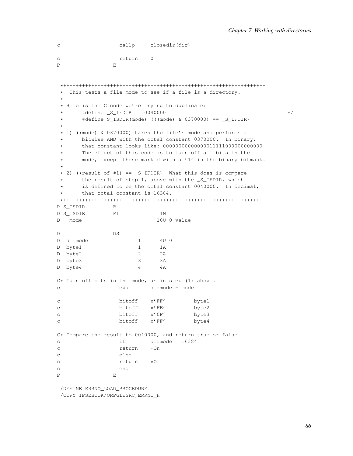```
c callp closedir(dir)
c return 0
P E
```

```
*+++++++++++++++++++++++++++++++++++++++++++++++++++++++++++++++++
* This tests a file mode to see if a file is a directory.
 *
 * Here is the C code we're trying to duplicate:
\star #define S_IFDIR 0040000 \star/* #define S_ISDIR(mode) (((mode) & 0370000) == _S_IFDIR)
 *
* 1) ((mode) & 0370000) takes the file's mode and performs a
     bitwise AND with the octal constant 0370000. In binary,
* that constant looks like: 00000000000000011111000000000000
* The effect of this code is to turn off all bits in the
* mode, except those marked with a '1' in the binary bitmask.
 *
* 2) ((result of #1) == _S_IFDIR) What this does is compare
* the result of step 1, above with the _S_IFDIR, which
* is defined to be the octal constant 0040000. In decimal,
     that octal constant is 16384.
*+++++++++++++++++++++++++++++++++++++++++++++++++++++++++++++++
P S ISDIR B
D S_ISDIR PI 1N
D mode 10U 0 value
D DS
D dirmode 1 4U 0
D byte1 1 1A
D byte2 2 2A
D byte3 3 3A
D byte4 4 4A
C* Turn off bits in the mode, as in step (1) above.
c eval dirmode = mode
c bitoff x'FF' byte1
c bitoff x'FE' byte2
c bitoff x'0F' byte3
c bitoff x'FF' byte4
C* Compare the result to 0040000, and return true or false.
c if dirmode = 16384
c return *On
c else
c return *Off
c endif
P E
```
/DEFINE ERRNO\_LOAD\_PROCEDURE /COPY IFSEBOOK/QRPGLESRC,ERRNO\_H